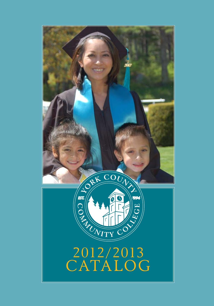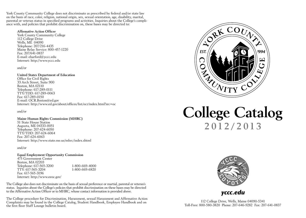York County Community College does not discriminate as prescribed by federal and/or state law on the basis of race, color, religion, national origin, sex, sexual orientation, age, disability, marital, parental or veteran status in specified programs and activities. Inquiries about the College's compliance with, and policies that prohibit discrimination on, these bases may be directed to:

#### **Affirmative Action Officer**

York County Community College 112 College Drive Wells, ME 04090 Telephone: 207/216-4435 Maine Relay Service: 800-457-1220 Fax: 207/641-0837 E-mail: eharford@yccc.edu Internet: http://www.yccc.edu

#### and/or

#### **United States Department of Education**

Office for Civil Rights 33 Arch Street, Suite 900 Boston, MA 02110 Telephone: 617-289-0111 TTY/TDD: 617-289-0063 Fax: 617-289-0150 E-mail: OCR.Boston@ed.gov Internet: http://www.ed.gov/about/offices/list/ocr/index.html?src=oc

#### and/or

#### **Maine Human Rights Commission (MHRC)**

51 State House Station Augusta, ME 04333-0051 Telephone: 207-624-6050 TTY/TDD: 207-624-6064 Fax: 207-624-6063 Internet: http://www.state.me.us/mhrc/index.shtml

and/or

**Equal Employment Opportunity Commission** 475 Government Center Boston, MA 02203 Telephone: 617-565-3200 1-800-669-4000 TTY: 617-565-3204 1-800-669-6820 Fax: 617-565-3196 Internet: http://www.eeoc.gov/

The College also does not discriminate on the basis of sexual preference or martial, parental or veteran's status. Inquiries about the College's policies that prohibit discrimination on these bases may be directed to the Affirmative Action Officer or to MHRC, whose contact information is provided above.

The College procedure for Discrimination, Harassment, sexual Harassment and Affirmative Action Complaints may be found in the College Catalog, Student Handbook, Employee Handbook and on the first floor Staff Lounge bulletin board.



# **College Catalog 2012/2013**



*yccc.edu*

112 College Drive, Wells, Maine 04090-5341 Toll-Free: 800-580-3820 Phone: 207-646-9282 Fax: 207-641-0837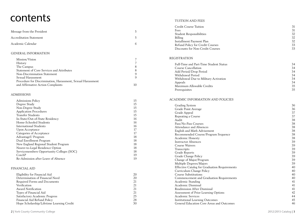# $\mathsf{contents}$

| 'UITION AND FEES |  |
|------------------|--|
|                  |  |

|                                                             |    | <b>Credit Course Tuition</b>                         | 31     |
|-------------------------------------------------------------|----|------------------------------------------------------|--------|
| Message from the President                                  | 5  | <b>Fees</b>                                          | 31     |
|                                                             |    | <b>Student Responsibilities</b>                      | 32     |
| <b>Accreditation Statement</b>                              | 5  | Billing                                              | 32     |
|                                                             |    | Installment Payment Plan                             | 32     |
| Academic Calendar                                           | 6  | Refund Policy for Credit Courses                     | 33     |
|                                                             |    | Discounts for Non-Credit Courses                     | 33     |
| <b>GENERAL INFORMATION</b>                                  |    |                                                      |        |
| Mission/Vision                                              |    | <b>REGISTRATION</b>                                  |        |
| History                                                     |    |                                                      |        |
| The Campus                                                  | 8  | Full-Time and Part-Time Student Status               | 34     |
| Statement of Core Services and Attributes                   | 8  | Course Cancellation                                  | 34     |
|                                                             | 9  | Add Period/Drop Period                               | 34     |
| Non-Discrimination Statement                                |    | Withdrawal Period                                    | 34     |
| Sexual Harassment                                           | 9  | Withdrawal Due to Military Activation                | 34     |
| Procedure for Discrimination, Harassment, Sexual Harassment |    | Appeals                                              | 34     |
| and Affirmative Action Complaints                           | 10 | Maximum Allowable Credits                            | 35     |
|                                                             |    | Prerequisites                                        | 35     |
| <b>ADMISSIONS</b>                                           |    |                                                      |        |
| Admissions Policy                                           | 15 | ACADEMIC INFORMATION AND POLICIES                    |        |
| Degree Study                                                | 15 |                                                      |        |
| Non-Degree Study                                            | 15 | <b>Grading System</b>                                | 36     |
| <b>Application Procedures</b>                               | 15 | Grade Point Average                                  | 36     |
| Transfer Students                                           | 15 | Grade Appeal                                         | 37     |
| In-State/Out-of-State Residency                             | 16 | Repeating a Course                                   | 37     |
|                                                             |    | Audit                                                | 38     |
| Home-Schooled Students                                      | 16 | Pass/No-Pass Courses                                 | 38     |
| <b>International Students</b>                               | 16 | Attendance and Absences                              | 38     |
| <b>Upon Acceptance</b>                                      | 17 | English and Math Advisement                          | $38\,$ |
| Categories of Acceptance                                    | 17 | Recommended Course/Program Sequence                  | 38     |
| AdvantageU Program                                          | 18 | Academic Honesty                                     | 38     |
| Dual Enrollment Program                                     | 18 | <b>Instructor Absences</b>                           | 39     |
| New England Regional Student Program                        | 18 | Course Waivers                                       | 39     |
| Nearer-to-Legal Residence Option                            | 18 | Transcripts                                          | 39     |
| Servicemembers Opportunity Colleges (SOC)                   | 18 | Grade Reports                                        | 39     |
| ConAP                                                       | 19 | Grade Change Policy                                  | 39     |
| Re-Admission after Leave of Absence                         | 19 | Change of Major/Program                              | 39     |
|                                                             |    | Multiple Degrees/Majors                              | 39     |
|                                                             |    | <b>Effective Catalog for Graduation Requirements</b> | 40     |
| <b>FINANCIAL AID</b>                                        |    |                                                      |        |
|                                                             |    | Curriculum Change Policy                             | 40     |
| Eligibility for Financial Aid                               | 20 | <b>Course Substitutions</b>                          | 40     |
| Determination of Financial Need                             | 20 | Commencement and Graduation Requirements             | 40     |
| Required Forms and Documents                                | 21 | Academic Standing                                    | 41     |
| Verification                                                | 21 | Academic Dismissal                                   | 41     |
| <b>Award Notification</b>                                   | 21 | Readmission After Dismissal                          | 41     |
| Types of Financial Aid                                      | 21 | Assessment of Prior Learning Options                 | 42     |
| <b>Satisfactory Academic Progress</b>                       | 25 | Academic Services                                    | 44     |
| Financial Aid Refund Policy                                 | 28 | <b>Institutional Learning Outcomes</b>               | 45     |
| Hope Scholarship/Lifetime Learning Credit                   | 30 | General Education Core Areas and Outcomes            | 46     |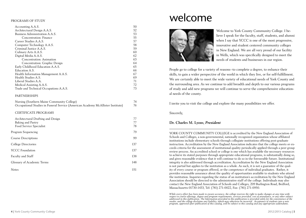#### Programs of Study

| Accounting A.A.S.                                                               | 50  |
|---------------------------------------------------------------------------------|-----|
| Architectural Design A.A.S.                                                     | 52  |
| Business Administration A.A.S.                                                  | 53  |
| Concentration: Finance                                                          | 55  |
| Career Studies A.A.S.                                                           | 57  |
| Computer Technology A.A.S.                                                      | 58  |
| Criminal Justice A.A.S.                                                         | 59  |
| Culinary Arts A.A.S.                                                            | 60  |
| Digital Media A.A.S.                                                            | 62  |
| Concentration: Animation                                                        | 63  |
| Concentration: Graphic Design                                                   | 64  |
| Early Childhood Education A.A.S.                                                | 65  |
| Education A.S.                                                                  | 66  |
| Health Information Management A.A.S.                                            | 67  |
| Health Studies A.S.                                                             | 69  |
| Liberal Studies A.A.                                                            | 71  |
| Medical Assisting A.A.S.                                                        | 72  |
| Trade and Technical Occupations A.A.S.                                          | 73  |
| <b>PARTNERSHIPS</b>                                                             |     |
| Nursing (Southern Maine Community College)                                      | 74  |
| Occupational Studies in Funeral Service (American Academy McAllister Institute) | 76  |
| CERTIFICATE PROGRAMS                                                            |     |
| Architectural Drafting and Design                                               | 77  |
| Baking and Pastry                                                               | 77  |
| Food Service Specialist                                                         | 78  |
| Program Sequencing                                                              | 79  |
| <b>Course Descriptions</b>                                                      | 99  |
| College Directories                                                             | 137 |
| <b>YCCC Foundation</b>                                                          | 137 |
| Faculty and Staff                                                               | 138 |
| Glossary of Academic Terms                                                      | 148 |
| Notes                                                                           | 151 |
|                                                                                 |     |

# welcome



Welcome to York County Community College. I believe I speak for the faculty, staff, students, and alumni when I say that YCCC is one of the most progressive, innovative and student centered community colleges in New England. We are all very proud of our facility in Wells, which was specifically designed to meet the needs of students and businesses in our region.

People go to college for a variety of reasons--to complete a degree, to enhance their skills, to gain a wider perspective of the world in which they live, or for self-fulfillment. We are certainly able to meet the wide variety of educational needs of York County and the surrounding area. As we continue to add breadth and depth to our various programs of study and add new programs we will continue to serve the comprehensive educational needs of the county.

I invite you to visit the college and explore the many possibilities we offer.

Sincerely,

#### **Dr. Charles M. Lyons**, *President*

YORK COUNTY COMMUNITY COLLEGE is accredited by the New England Association of Schools and Colleges, a non-governmental, nationally recognized organization whose affiliated institutions include elementary schools through collegiate institutions offering post-graduate instruction. Accreditation by the New England Association indicates that the college meets or exceeds criteria for the assessment of institutional quality periodically applied through a peer group review process. An accredited school or college is one which has available the necessary resources to achieve its stated purposes through appropriate educational programs, is substantially doing so, and gives reasonable evidence that it will continue to do so in the foreseeable future. Institutional integrity is also addressed through accreditation. Accreditation by the New England Association is not partial but applies to the institution as a whole. As such, it is not a guarantee of the quality of every course or program offered, or the competence of individual graduates. Rather, it provides reasonable assurance about the quality of opportunities available to students who attend the institution. Inquiries regarding the status of an institution's accreditation by the New England Association should be directed to the administrative staff of the college. Individuals may also contact the New England Association of Schools and Colleges, 209 Burlington Road, Bedford, Massachusetts 01730-1433, Tel: (781) 271-0022, Fax: (781) 271-0950.

*While every effort has been made to ensure accuracy, the college reserves the right to make changes at any time with*  respect to course offerings, degree and program requirements, services provided, cost of attendance, or any other subject<br>addressed in this publication. The Information provided in this publication is provided solely for t *reader, and the college disclaims any liability, which may otherwise be incurred. Acceptance of students into a new program, approved after publication of this catalog, will be subject to this catalog and any appropriate addendums.*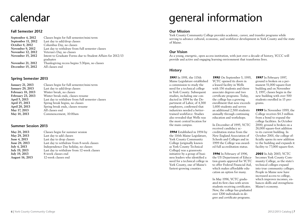# calendar

#### **Fall Semester 2012**

| September 4, 2012        | Classes begin for full semester/mini term                   |
|--------------------------|-------------------------------------------------------------|
| September 11, 2012       | Last day to add/drop classes                                |
| October 8, 2012          | Columbus Day, no classes                                    |
| <b>November 9, 2012</b>  | Last day to withdraw from full semester classes             |
| November 12, 2012        | Veteran's Day, no classes                                   |
| November 15, 2012        | Intent to Graduate Forms due to Student Affairs for 2012/13 |
|                          | graduates                                                   |
| <b>November 21, 2012</b> | Thanksgiving recess begins 5:30pm, no classes               |
| December 15, 2012        | All classes end                                             |

#### **Spring Semester 2013**

| <b>January 21, 2013</b> | Classes begin for full semester/mini term       |
|-------------------------|-------------------------------------------------|
| <b>January 29, 2013</b> | Last day to add/drop classes                    |
| February 18, 2013       | Winter break, no classes                        |
| February 23, 2013       | Winter break ends, classes resume               |
| April 5, 2013           | Last day to withdraw from full semester classes |
| April 15, 2013          | Spring break begins, no classes                 |
| April 20, 2013          | Spring break ends, classes resume               |
| May 17, 2013            | All classes end                                 |
| May 18, 2013            | Commencement, 10:00am                           |
|                         |                                                 |

#### **Summer Session 2013**

| May 28, 2013           | Classes begin for summer session          |
|------------------------|-------------------------------------------|
| May 29, 2013           | Last day to add classes                   |
| June 4, 2013           | Last day to drop classes                  |
| June 28, 2013          | Last day to withdraw from 8-week classes  |
| July 4, 2013           | Independence Day holiday, no classes      |
| July 19, 2013          | Last day to withdraw from 12-week classes |
| July 19, 2013          | 8-week classes end                        |
| <b>August 16, 2013</b> | 12-week classes end                       |

# general information

#### **Our Mission**

York County Community College provides academic, career, and transfer programs while serving to advance cultural, economic, and workforce development in York County and the state of Maine.

#### **Our Vision**

As a young, energetic, open access institution, with just over a decade of history, YCCC will provide and active and engaging learning environment that transforms lives.

#### **History**

*1991* In 1991, the 115th Maine Legislature established a commission to study the need for a technical college in York County. Subsequent studies, including one conducted in 1994 by the Department of Labor, of 4,300 employers, confirmed that industries needed a bettertrained workforce. Studies also revealed that Wells was the most central location for the main campus.

*1994* Established in 1994 by the 116th Maine Legislature, York County Community College (originally known as York County Technical College) was a grassroots initiative by a group of business leaders who identified a need for a technical college in York County, one of Maine's fastest-growing counties.

*1995* On September 5, 1995, YCTC opened its doors in a leased facility in Wells with 156 students and three associate degrees and two certificate programs. Today, the college has a growing enrollment that now exceeds 1,600 students and serves an additional 2,500 students annually through continuing education and workshops.

In December of 1995, YCTC received candidacy accreditation status from the New England Association of Schools and Colleges and in 1999 the College was awarded full accreditation status.

*1996* In February of 1996, the US Department of Education grants approval for YCTC to offer Federal Financial Aid, which makes affordable education an option for many.

In May 1996, YCTC graduated its first class with seven students receiving certificates. Now, the college has graduated over 1200 individuals in degree and certificate programs.

*1997* In February 1997, ground is broken on a permanent 51,000 square-foot building and on November 3, 1997, classes begin in the new building with over 500 students enrolled in 15 programs.

*1999* In November 1999, the College receives \$4.3 million from a bond to expand the college facilities. In October 2000, ground is broken on a 26,000 square-foot addition to its current building. In October 2001, the college officially opens its new addition to the building and expands it facility to 77,000 square-feet.

*2003* In July 2003, YCTC becomes York County Community College, as the state's technical colleges expand into true community colleges. People in Maine now have increased access to college, which improves incomes, enhances skills and strengthens Maine's economy.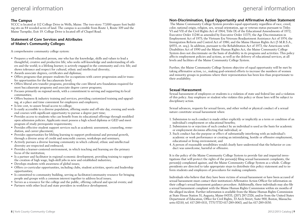## general information

## general information

### **The Campus**

YCCC is located at 112 College Drive in Wells, Maine. The two-story 77,000 square foot building sits on 84 wooded acres of land. The campus is accessible from Route 1, Route 109 and the Maine Turnpike, Exit 19. College Drive is located off of Chapel Road.

#### **Statement of Core Services and Attributes of Maine's Community Colleges**

A comprehensive community college system:

- Prepares a well-educated person, one who has the knowledge, skills and values to lead a thoughtful, creative and productive life; who seeks self-knowledge and understanding of others and the world; is a lifelong learner; is actively engaged in the community and civic life; and shows tolerance and respect for cultural, ethnic and intellectual diversity;
- Awards associate degrees, certificates and diplomas;
- Offers programs that prepare students for occupations with career progression and/or transfer opportunities for the baccalaureate level;
- Offers liberal arts transfer programs, providing the core liberal arts foundation required for most baccalaureate programs and associate degree career programs;
- Focuses primarily on regional needs, with a commitment to serving and supporting its local communities;
- Offers business & industry training and services, providing customized training and upgrading, at a place and time convenient for employees and employers;
- Is low cost, to assure broad access to college;
- Is easily accessible to a diverse population, offering onsite and off-site day, evening and weekend courses with significant opportunity to pursue a degree part time;
- Provides access to students who can benefit from its educational offerings through modified open admission policies. Applicants must possess a high school diploma or GED and meet program of study prerequisite requirements;
- Provides effective student support services such as academic assessment, counseling, remediation, and career placement;
- Provides opportunities for lifelong learning to support professional and personal growth, through a diverse array of credit and noncredit courses, workshops and seminars;
- Actively pursues a diverse learning community in which cultural, ethnic and intellectual diversity are respected and embraced;
- Provides a learner-centered environment, in which teaching and learning are the primary focus of the institution;
- Is a partner and facilitator in regional economic development, providing training to support the creation of high wage, high-skill jobs in new and established industries;
- Develops students with awareness of global issues;
- Offers co-curricular opportunities, including clubs, student activities, sports and leadership opportunities;
- Is committed to community building, serving as facilitator/community resource for bringing people and groups with a common interest together to address local issues;
- Serves as a resource for the college and the public, offering cultural and special events; and
- Partners with other local and state providers in workforce development.

## **Non-Discrimination, Equal Opportunity and Affirmative Action Statement**

 The Maine Community College System provides equal opportunity regardless of race, creed, color, national origin, religion, sex, sexual orientation, age or veteran status pursuant to Titles VI and VII of the Civil Rights Act of 1964; Title IX of the Educational Amendments of 1972; Executive Order 11246 as amended by Executive Order 11375; the Age Discrimination in Employment Act of 1975; the Vietnam Era Veterans Readjustment Assistance Act of 1974; the Immigration Reform and Control Act of 1986; and the Maine Human Rights Act (5 M.R.S.A., §4551, et. seq.). In addition, pursuant to the Rehabilitation Act of 1973, the Americans with Disabilities Act of 1990 and the Maine Human Rights Act, the Maine Community College System does not discriminate on the basis of disability in its programs and activities. This policy affects employment policies and actions, as well as the delivery of educational services, at all levels and facilities of the Maine Community College System.

Further, the Maine Community College System objective of equal opportunity will be met by taking affirmative action, i.e., making goal-oriented efforts to increase the numbers of women and minority groups in positions where their representation has been less than proportionate to their availability.

### **Sexual Harassment**

Sexual harassment of employees or students is a violation of state and federal law and a violation of this policy. Any employee or student who violates this policy or those laws will be subject to disciplinary action.

Sexual advances, requests for sexual favors, and other verbal or physical conduct of a sexual nature constitute sexual harassment when:

- 1. Submission to such conduct is made either explicitly or implicitly as a term or condition of an individual's employment or educational benefits;
- 2. Submission to or rejection of such conduct by an individual is used as the basis for academic or employment decisions affecting that individual; or
- 3. Such conduct has the purpose or effect of substantially interfering with an individual's academic or work performance or creating an intimidating, hostile or offensive employment, educational or living environment; and
- 4. A person of reasonable sensibilities would clearly have understood that the behavior or conduct was unwelcome, harmful or offensive.

It is the policy of the Maine Community College System to provide fair and impartial investigations that will protect the rights of the person(s) filing sexual harassment complaints, the person(s) complained against, and the Maine Community College System as a whole. College presidents are directed to take appropriate steps to distribute this policy statement and to inform students and employees of procedures for making complaints.

Individuals who believe that they have been victims of sexual harassment or have been accused of sexual harassment must contact their institution's Affirmative Action Officer for information on their college's sexual harassment guidance procedure. Additionally, these individuals may also file a sexual harassment complaint with the Maine Human Rights Commission within six months of the alleged incident. Further information is available from the Maine Human Rights Commission at State House Station 51, Augusta, Maine 04333, (207) 287-2326, and/or from the United States Department of Education, Office for Civil Rights, 33 Arch Street, Suite 900, Boston, Massachusetts 02110, tel. 617-289-0111, TTY/TTD 617-289-0063, and fax 617-289-0150.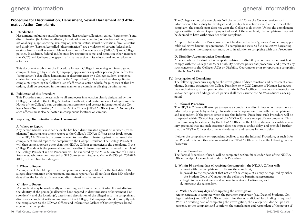## general information general information

### **Procedure for Discrimination, Harassment, Sexual Harassment and Affirmative Action Complaints**

#### **I. Introduction**

Harassment, including sexual harassment, (hereinafter collectively called "harassment") and discrimination (including retaliation, intimidation and coercion) on the basis of race, color, national origin, age, ancestry, sex, religion, veteran status, sexual orientation, familial status and disability (hereinafter called "discrimination") are a violation of certain federal and/ or state laws, as well as certain Maine Community College System ("MCCS") and College policies. In addition, federal and/or state law require in some, and permit in other, instances the MCCS and Colleges to engage in affirmative action in its educational and employment activities.

This document establishes the Procedure for each College in receiving and investigating complaints brought by a student, employee, applicant or any other person (hereinafter the "complainant") that allege harassment or discrimination by a College student, employee, contractor or other agent (hereinafter the "respondent"). This Procedure also applies to complaints regarding the College's use of affirmative action which, for purposes of this Procedure, shall be processed in the same manner as a complaint alleging discrimination.

#### **II. Publication of this Procedure**

This Procedure must be available to all employees in a location clearly designated by the College; included in the College's Student handbook; and posted on each College's Website. Notice of the College's non-discrimination statement and contact information of the College's Non-Discrimination/Affirmative Action Officer (ND/AA Officer) and ADA compliance officers must also be posted in conspicuous locations on campus.

#### **III. Reporting Discrimination and/or Harassment**

#### **A. Where to Report**

Any person who believes that he or she has been discriminated against or harassed ("complainant") must make a timely report to the College's ND/AA Officer as set forth herein. If the ND/AA Officer is the person alleged to have discriminated against or harassed, the complainant should report the complaint to the College President. The College President will then assign a person other than the ND/AA Officer to investigate the complaint. If the College President is the person alleged to have discriminated against or harassed, the role of the College President in this Procedure will be executed by the MCCS Director of Human Resources, who may be contacted at 323 State Street, Augusta, Maine, 04330; ph: 207-629- 4000, or that Director's designee.

#### B. **When to Report**

A complainant should report their complaint as soon as possible after the first date of the alleged discrimination or harassment, and must report, if at all, not later than 180 calendar days after the last date of the alleged discrimination or harassment.

#### **C. How to Report**

 A complaint may be made orally or in writing, and it must be particular. It must disclose the identity of the person(s) alleged to have engaged in discrimination or harassment ("respondent"), and the location(s), date(s) and description of the alleged acts. If a complainant discusses a complaint with an employee of the College, that employee should promptly refer the complainant to the ND/AA Officer and inform that Officer of that employee's knowledge of that complaint.

The College cannot take complaints "off the record." Once the College receives such information, it has a duty to investigate and possibly take action even if, at the time of the complaint, the complainant does not want the College to do either. Unless the complainant signs a written statement specifying withdrawal of the complaint, the complainant may not be deemed to have withdrawn her or his complaint.

A report filed under this Procedure will not be deemed to be a "grievance" under any applicable collective bargaining agreement. If a complainant seeks to file a collective bargainingbased grievance, the complainant must do so in addition to complying with this Procedure.

#### **D. Disability Accommodation Complaints**

A person whose discrimination complaint relates to a disability accommodation must first comply with the College's ADA or Disability Services policy and procedure, and present any such concerns to the College's ADA or Disability Coordinator prior to reporting a complaint to the ND/AA Officer.

#### **IV. Investigation of Complaints**

The following procedures apply to the investigation of discrimination and harassment complaints. In some instances, the College President or MCCS Director of Human Resources may authorize a qualified person other than the ND/AA Officer to conduct the investigation and/or act upon its findings, which person shall then assume the ND/AA's duties as designated.

#### A. **Informal Procedure**

The ND/AA Officer will attempt to resolve a complaint of discrimination or harassment as informally as possible by seeking information and cooperation from both the complainant and respondent. If the parties agree to use this Informal Procedure, such Procedure will be completed within 20 working days of the ND/AA Officer's receipt of the complaint. This timeframe may be extended by the ND/AA Officer as the Officer deems reasonably necessary, provided that any such extension does not impose undue delay, and provided further that the ND/AA Officer documents the dates of, and reasons for, each delay.

If either the complainant or respondent declines to use the Informal Procedure, or such Informal Procedure is not otherwise successful, the ND/AA Officer will use the following Formal Procedure.

#### B. **Formal Procedure**

The Formal Procedure, if used, will be completed within 60 calendar days of the ND/AA Officer receipt of a complaint under this Procedure.

#### **1. Within 10 working days of receiving the complaint, the ND/AA Officer will:**

- a. meet with the complainant to discuss the complaint;
- b. provide to the respondent that notice of the complaint as may be required by either the Student Code of Conduct or the collective bargaining agreement;
- c. begin to collect evidence and arrange interviews of witnesses; and
- d. interview the respondent.

#### **2. Within 5 working days of completing the investigation:**

An investigation is complete when the pertinent supervisor (e.g., Dean of Students, College President) and ND/AA Officer determine that no additional fact finding is required. Within 5 working days of completing the investigation, the College will decide upon its response to the complaint and so inform the complainant and respondent of the nature of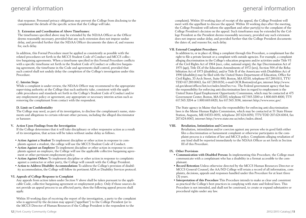that response. Personnel privacy obligations may prevent the College from disclosing to the complainant the details of the specific action that the College will take.

#### **3. Extension and Coordination of Above Timeframes:**

The timeframes specified above may be extended by the ND/AA Officer as the Officer deems reasonably necessary, provided that any such extension does not impose undue delay, and provided further that the ND/AA Officer documents the dates of, and reasons for, each delay.

In addition, this Formal Procedure must be applied as consistently as possible with the related procedures set forth in the MCCS Student Code of Conduct and MCCS collective bargaining agreements. When a timeframe specified in this Formal Procedure conflicts with a specific timeframe set forth in the Student Code of Conduct or collective bargaining agreement, the timeframe in the Code and agreements shall control, provided that such control shall not unduly delay the completion of the College's investigation under this Procedure.

#### **C. Interim Steps**

While a complaint is under review, the ND/AA Officer may recommend to the appropriate supervising authority at the College that such authority take, consistent with the applicable procedures and standards set forth in the College's Student Code of Conduct and/or any employment policy or agreement, any appropriate or necessary interim action such as removing the complainant from contact with the respondent.

#### **D. Limit on Confidentiality**

The College may need, as part of its investigation, to disclose the complainant's name, statements and allegations to certain relevant other persons, including the alleged discriminator or harasser.

#### **V. Action Upon Findings from the Investigation**

If the College determines that it will take disciplinary or other responsive action as a result of its investigation, that action will be taken without undue delay as follows.

- **Action Against a Student** To implement discipline or other action in response to complaints against a student, the college will use the MCCS Student Code of Conduct.
- **Action Against an Employee** To implement discipline or other action in response to complaints against an employee, the College will use the applicable collective bargaining agreement or other pertinent employment policy.
- **Action Against Others** To implement discipline or other action in response to complaints against a contractor or other party, the College will consult with the College President.
- **Action to Address Disability Accommodations** To address the College's provision of disability accommodation, the College will follow its pertinent ADA or Disability Services protocol.

#### **VI. Appeals of College Response to Complaint**

Any appeals from action taken under Section V above shall be taken pursuant to the applicable Code, collective bargaining agreement or employment policy. Only if those sources do not provide an appeal process to an affected party, then the following appeal process shall apply.

Within 10 working days of receiving the report of the investigation, a party to the complaint who is aggrieved by the decision may appeal ("appellant") to the College President (or to the MCCS Director of Human Resources if the College President is the respondent to the

complaint). Within 10 working days of receipt of the appeal, the College President will meet with the appellant to discuss the appeal. Within 10 working days after the meeting, the College President will inform the appellant and other party(s) to the complaint of the College President's decision on the appeal. Such timeframes may be extended by the College President as the President deems reasonably necessary, provided any such extension does not impose undue delay, and provided further that the College President documents the dates of, and reasons for, each delay.

#### **VII. External Complaint Procedures**

In addition to, or in place of, filing a complaint through this Procedure, a complainant has the right to file a private lawsuit or a complaint with outside agencies. For example, a complaint alleging discrimination in the College's education programs and/or activities under Title VI of the Civil Rights Act of 1964 (race, color, national origin), the Age Discrimination Act of 1975 (age), Title IX of the Education Amendments of 1972 (sex), Section 504 of the Rehabilitation Act of 1973 (disability), and/or Title II of the Americans with Disabilities Act of 1990 (disability) may be filed with the United States Department of Education, Office for Civil Rights, 33 Arch Street, Suite 900, Boston, MA 02110, telephone 617.289.0111, TTY/ TDD 617.289.0063, fax 617.289.0150, e-mail OCR.Boston@ed.gov, internet http://www. ed.gov/about/offices/list/ocr/index.html?src=oc. The Federal government agency that has the responsibility for enforcing anti-discrimination laws in regard to employment is the United States Equal Employment Opportunity Commission, which may be contacted at 475 Government Center, Boston, MA 02203, telephone 617.565.3200 or 1.800.669.4000, TTY 617.565.3204 or 1.800.669.6820, fax 617.565.3196, internet http://www.eeoc.gov/.

The State agency in Maine that has the responsibility for enforcing anti-discrimination laws is the Maine Human Rights Commission, which may be contacted at 51 State House Station, Augusta, ME 04333-0051, telephone 207.624.6050, TTY/TDD 207.624.6064, fax 207.624.6063, internet http://www.state.me.us/mhrc/index.shtml.

#### **VIII. Retaliation, Intimidation and Coercion**

Retaliation, intimidation and/or coercion against any person who in good faith either files a discrimination or harassment complaint or otherwise participates in the complaint process is a violation of law and MCCS policy. Complaints alleging retaliation of any kind shall be reported immediately to the ND/AA Officer as set forth in Section III of this Procedure.

#### **IX. Other Provisions**

- **Communication with Disabled Person**s In implementing this Procedure, the College must communicate with a complainant who has a disability in a format accessible to the complainant.
- **Record Retention** Unless otherwise directed by the MCCS Human Resources Director or MCCS General Counsel, the AA/ND College will retain a record of all information, complaints, decisions, appeals and responses handled under this Procedure for at least three (3) years.
- **Interpretation of this Procedure** This Procedure intends to make as clear and consistent as practical the College's best practices in complying with state and federal laws. This Procedure is not intended, and shall not be construed, to create or expand substantive or procedural rights under any law.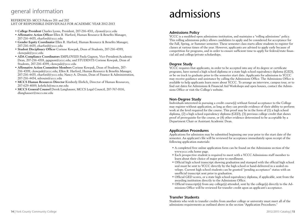## general information

REFERENCES: MCCS Policies 201 and 202 LIST OF RESPONSIBLE INDIVIDUALS FOR ACADEMIC YEAR 2012-2013

- **College President** Charles Lyons, President, 207-216-4311, clyons@yccc.edu
- **Affirmative Action Officer** Ellen R. Harford, Human Resource & Benefits Manager, 207-216-4435, eharford@yccc.edu
- **Gender Equity Coordinator** Ellen R. Harford, Human Resource & Benefits Manager, 207-216-4435, eharford@yccc.edu
- **Student Disciplinary Officer** Corinne Kowpak, Dean of Students, 207-216-4399, ckowpak@yccc.edu
- **ADA Compliance Coordinators** Employees Paula Gagnon, Vice-President/Academic Dean, 207-216-4318, pgagnon@yccc.edu; and STUDENTS Corinne Kowpak, Dean of Students, 207-216-4399, ckowpak@yccc.edu
- **Affirmative Action Committee Members** Corinne Kowpak, Dean of Students, 207- 216-4399, ckowpak@yccc.edu; Ellen R. Harford, Human Resource & Benefits Manager, 207-216-4435, eharford@yccc.edu; Nancy A. Drouin, Dean of Finance & Administration, 207-216-4434, ndrouin@yccc.edu
- **MCCS Human Resources Director** Kimberly Ehrlich, Director of Human Resources, 207-629-4009, kehrlich@mccs.me.edu
- **MCCS General Counsel** Derek Langhauser, MCCS Legal Council, 207-767-0116, dlanghauser@mccs.me.edu

# admissions

#### **Admissions Policy**

YCCC is a modified open admissions institution, and maintains a "rolling admissions" policy. This rolling admissions policy allows candidates to apply and be considered for acceptance for the Fall, Spring, or Summer semester. These semester class starts allow students to register for classes at various times of the year. However, applicants are advised to apply early because of competition for programs, and in order to ensure sufficient time to apply for federal/state financial aid and college/private scholarships.

#### **Degree Study**

YCCC requires that applicants, in order to be accepted into any of its degree or certificate programs, have earned a high school diploma or a state high school equivalency diploma (GED), or be on track to graduate prior to the semester start date. Applicants for admission to YCCC may receive guidance and assistance by calling the Admissions Office. The Admissions Office is available to help applicants learn more about YCCC. To arrange an interview, campus tour, or to find out dates for Admissions & Financial Aid Workshops and open houses, contact the Admissions Office or visit the College's website.

#### **Non-Degree Study**

Individuals interested in pursuing a credit course(s) without formal acceptance to the College may register without application, as long as they can provide evidence of their ability to perform work at the level required for the course. This proof may be in the form of (1) a high school diploma, (2) a high school equivalency diploma (GED), (3) previous college credit that shows proof of prerequisite for the course, or (4) other evidence determined to be acceptable by a Department Chair or Assistant Academic Dean.

#### **Application Procedures**

Applications for admission may be submitted beginning one year prior to the start date of the semester. An applicant's file will be reviewed for acceptance immediately upon receipt of the following application materials:

- A completed free online application form can be found on the Admissions section of the www.yccc.edu home page.
- Each prospective student is required to meet with a YCCC Admissions staff member to learn about their choice of major prior to enrollment.
- Official high school transcript showing graduation and stamped with the official high school seal must be sent to YCCC directly by the high school or hand-delivered in a sealed envelope. Current high school students can be granted "pending acceptance" status with an unofficial transcript sent prior to graduation.
- Official GED scores, or a state high school equivalency diploma, if applicable, sent from the awarding institution directly to the Admissions Office.
- Official transcript(s) from any college(s) attended, sent by the college(s) directly to the Admissions Office will be reviewed for transfer credit upon an applicant's acceptance.

#### **Transfer Students**

Students who wish to transfer credits from another college or university must meet all of the admissions requirements as outlined above in the section "Application Procedures."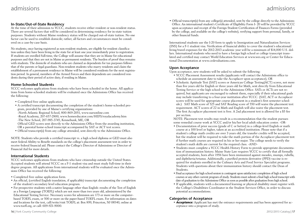#### **In-State/Out-of-State Residency**

At the time of their admission to YCCC, students receive either resident or non-resident status. There are several factors that will be considered in determining residency for in-state tuition purposes. Students without Maine residency status will be charged out-of-state tuition. No one factor can be used to establish domicile; rather, all factors and circumstances must be considered on a case-by-case basis.

No students, once having registered as non-resident students, are eligible for resident classification unless they have been living in the state for at least one year immediately prior to registration. If students are enrolled full-time, the College will assume that they are in Maine for educational purposes and that they are not in Maine as permanent residents. The burden of proof thus remains with students. The domicile of students who are claimed as dependents for tax purposes follows that of the parents or legal guardians. Non-resident students who marry residents and claim the establishment of a permanent residence in Maine will be considered residents for the next registration period. In general, members of the Armed Forces and their dependents are considered residents during their period of active duty, if residing in Maine.

#### **Home-Schooled Students**

YCCC welcomes applications from students who have been schooled in the home. All applications from home-schooled students will be evaluated once the Admissions Office has received the following:

- Completed free online application.
- A certified transcript documenting the completion of the student's home-schooled program, provided by one of Maine's certifying organizations:
- -North Atlantic Regional School, 800-869-2051, www.narsonline.com
- -Royal Academy, 207-657-2800, www.homeeducator.com/HEFS/royalacademy.htm -The New School, 207-985-3745, Kennebunk, ME, OR

Official GED scores sent directly to the Admissions Office from the awarding institution, OR a parental home-school transcript accompanied by SAT or ACT test scores.

• Official transcript(s) from any college attended, sent directly to the Admissions Office.

NOTE: Students who provide a certified transcript vs. a high school diploma or GED must also meet federal Ability to Benefit standards on the college's placement assessment test in order to receive federal financial aid. Please contact the College's Director of Admissions or Director of Financial Aid for more details.

#### **International Students**

YCCC welcomes applications from students who have citizenship outside the United States. Accepted students will attend YCCC on a F-1 student visa and must study full-time in their degree program. All applications from international students will be evaluated once the Admissions Office has received the following:

- Completed free online application form.
- An official, (certified English translation, if applicable) transcript documenting the completion of the student's secondary level education program.
- For prospective students with a native language other than English: results of the Test of English as a Foreign Language (TOEFL) which are not more than two years old, administered by the Educational Testing Service. Necessary scores for admission are 173 or more on the computerbased TOEFL exam, or 500 or more on the paper-based TOEFL exam. For information on dates and locations for the test, call/write/visit TOEFL at: Box 899, Princeton, NJ 08540, online at www.toefl.org, or call: 609-921-9000.

• Official transcript(s) from any college(s) attended, sent by the college directly to the Admissions Office. An international student's Certificate of Eligibility Form I- 20 will be provided by YCCC upon acceptance and receipt of the Foreign Student Certification of Finances Forms (provided by the college, and available on the college's website), verifying support from personal, family, or other financial funds.

International students use the I-20 form to apply to Immigration and Naturalization Services (INS) for a F-1 student visa. Verification of financial ability to cover the student's educational/ living/travel expenses for the 2012-2013 academic year will be a minimum of \$14,000 U.S. dollars. International students who need to have a foreign high school or college transcript translated and certified may contact World Education Services at www.wes.org or Center for Educational Documentation at www.cedevaluations.com.

#### **Upon Acceptance**

Upon acceptance, new students will be asked to submit the following:

- YCCC Placement Assessment results (applicants will contact the Admissions office to schedule an assessment date to take the Accuplacer upon acceptance), OR
- Scholastic Aptitude Test (SAT) scores or American College Testing(ACT) scores, not more than five years old for English or three years old for Math, sent directly from Educational Testing Service or the high school to the Admissions Office. SATs or ACTs are not required, but applicants are encouraged to submit them, especially if their educational goals may include transferring to a four-year institution after YCCC. (SAT, ACT or Accuplacer scores will be used for appropriate course placement in a student's first semester schedule.) SAT Math score of 525 and SAT Reading score of 550 will waive the placement test requirement. ACT scores of 22 in Math and English will also waive the placement test. The first Accuplacer placement test is free. A 2nd placement test is allowed for a \$5 fee per section.

NOTE: Placement test results may result in a recommendation that the student pursues some remedial course work at YCCC and/or his/her local adult education center. -OR-

- Documentation of prior success (grade of C or better) in a college-level English or math course at a 100 level or higher, taken at an accredited institution. Please note that if a student's college math credits are over 3 years old, the transfer credits will be accepted, but the student will be required to take the math portion of the Accuplacer placement test if further math courses are required in his or her major. The college needs to verify the student's math skills are current for the required class. -AND-
- Students must complete a YCCC Health History Form to provide appropriate documentation of immunization history. Maine State Law requires YCCC to certify that all formally accepted students, born after 1956 have been immunized against measles, mumps, rubella, and diphtheria/tetanus. Additionally, a purified protein derivative (PPD) vaccine is required for students enrolled in the Culinary Arts and Food Service Specialist programs. Students with questions about their immunization history should contact the Dean of Students.
- Final acceptance for high school seniors is contingent upon satisfactory completion of high school courses or any other current program of study. Students must submit a final high school transcript with date of graduation to the Admissions Office as soon as possible after graduation from high school.
- If applicable, students with a documented learning or physical disability must register with the College's Disabilities Coordinator in the Student Services Office, in order to discuss potential accommodations.

#### **Categories of Acceptance**

• *Acceptance:* Applicant has met the entrance requirements and has been approved for acceptance into a program of study.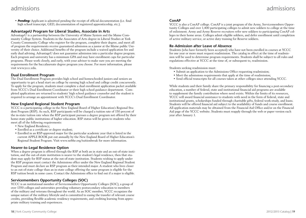## admissions

• *Pending:* Applicant is admitted pending the receipt of official documentation (i.e. final high school transcript, GED, documentation of registered apprenticeship, etc.).

### **AdvantageU Program for Liberal Studies, Associate in Arts**

AdvantageU is a partnership between the University of Maine System and the Maine Community College System. Students in the Associates of Arts degree in Liberal Studies at York County Community College who register for the program, complete their degree, and meet all of program the requirements receive guaranteed admission as a junior at the Maine public University of their choice. Additional benefits of the program include a waived application fee and early dual advising. AdvantageU does not guarantee admission into a particular degree program. Each program and university has a minimum GPA and may have enrollment caps for particular programs. Please work closely, and early, with your advisor to make sure you are meeting the requirements for the baccalaureate degree program you choose. For more information, please visit www.yccc.edu.

### **Dual Enrollment Program**

The Dual Enrollment Program provides high school and homeschooled juniors and seniors an opportunity to get a head start on college by earning high school and college credit concurrently. To apply for the program, students must complete a dual enrollment application packet available from YCCC's Dual Enrollment Coordinator or their high school guidance department. Completed applications are returned to students' high school guidance counselor and the student is required to arrange an appointment with YCCC's Dual Enrollment Coordinator.

#### **New England Regional Student Program**

YCCC is a participating college in the New England Board of Higher Education's Regional Student Program (RSP). As such, RSP participants will be charged a tuition rate of 150 percent of the in-state tuition rate when the RSP participant pursues a degree program not offered by their home-state public institutions of higher education. RSP status will be given to students who meet all of the following requirements:

- New England Residency;
- Enrolled as a certificate or degree student;
- Enrolled in an RSP-approved major for the particular academic year that is listed in the current APPLE BOOK put out annually by the New England Board of Higher Education's Regional Student Program. Visit www.nebhe.org/tuitionbreak for more information.

### **Nearer-to-Legal Residence Option**

When a degree program is offered through the RSP at both an in state and an out-of-state institution, and the out-of-state institution is nearer to the student's legal residence, then that student may apply for RSP status at the out-of-state institution. Students wishing to apply under the RSP program must contact the Admissions office under the New England Regional Student Program and must declare an RSP program as their intended major. A student who lives closer to an out-of-state college than an in-state college offering the same program is eligible for the RSP tuition break in some cases. Contact the Admissions office to find out if a major is eligible.

### **Servicemembers Opportunity Colleges (SOC)**

YCCC is an institutional member of Servicemembers Opportunity Colleges (SOC), a group of over 1350 colleges and universities providing voluntary postsecondary education to members of the military and veterans throughout the world. As an SOC member, YCCC recognizes the unique nature of the military lifestyle and is committed to easing the transfer of relevant course credits, providing flexible academic residency requirements, and crediting learning from appropriate military training and experiences.

#### **ConAP**

YCCC is also a ConAP college. ConAP is a joint program of the Army, Servicemembers Opportunity Colleges and over 1,400 participating colleges to admit new soldiers to college at the time of enlistment. Army and Army Reserve recruiters refer new soldiers to participating ConAP colleges in their home areas. Colleges admit eligible soldiers, and defer enrollment until completion of active military service, or active duty training for Reserve soldiers.

### **Re-Admission after Leave of Absence**

Students (who have formerly been accepted) who have not been enrolled in courses at YCCC for one year or more must request readmission. The catalog in effect at the time of readmission will be used to determine program requirements. Students shall be subject to all rules and regulations effective at YCCC at the time of, or subsequent to, readmission.

Students seeking readmission must:

- Submit an application to the Admissions Office requesting readmission;
- Meet the admissions requirements that apply at the time of readmission;
- Send official transcripts for all courses taken at other colleges since attending YCCC.

While students and their family share the primary responsibility for financing a post-secondary education, a number of federal, state and institutional financial aid programs are available to supplement the family contribution where need exists. Within the limits of its resources, YCCC will award financial assistance to students with need in the form of federal, state and institutional grants, scholarships funded through charitable gifts, federal work-study, and loans. Students will be offered financial aid subject to the availability of funds and course enrollment. All application materials may be obtained from the Financial Aid Office and/or on the Financial Aid page of the YCCC website. Students must reapply through the web or paper version each year after January 1.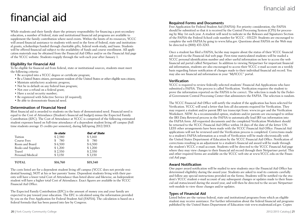# financial aid

While students and their family share the primary responsibility for financing a post-secondary education, a number of federal, state and institutional financial aid programs are available to supplement the family contribution where need exists. Within the limits of its resources, YCCC will award financial assistance to students with need in the form of federal, state and institutional grants, scholarships funded through charitable gifts, federal work-study, and loans. Students will be offered financial aid subject to the availability of funds and course enrollment. All application materials may be obtained from the Financial Aid Office and/or on the Financial Aid page of the YCCC website. Students reapply through the web each year after January 1.

#### **Eligibility for Financial Aid**

To be eligible for financial aid from federal, state or institutional sources, students must meet the following criteria:

- Be accepted into a YCCC degree or certificate program;
- Be a United States citizen, permanent resident of the United States or other eligible non-citizen;
- Maintain satisfactory academic progress;
- Not be in default on any federal loan program;
- Not owe a refund on a federal grant;
- Have a social security number;
- Be registered with Selective Service (if required);
- Be able to demonstrate financial need.

#### **Determination of Financial Need**

Most financial aid is awarded to students on the basis of demonstrated need. Financial need is equal to the Cost of Attendance (Student's financial aid budget) minus the Expected Family Contribution (EFC). The Cost of Attendance at YCCC is comprised of the following estimated student expenses based on full-time attendance of a dependent student living off campus (full time students average 15 credits per semester), during fall/spring 2012/2013:

|                    | In-state | <b>Out of State</b> |
|--------------------|----------|---------------------|
| Tuition            | \$2,580  | \$5,160             |
| Course Fees        | 780      | 780                 |
| Room and Board     | \$6,500  | \$6,500             |
| Books and Supplies | \$1,200  | \$1,200             |
| <b>Travel</b>      | \$2,550  | \$2,550             |
| Personal/Medical   | \$3,150  | \$3,150             |
| TOTAL              | \$16,760 | \$19,340            |

The costs listed are for a dependent student living off campus (YCCC does not provide residential housing), NOT at his or her parents' home. Dependent students living with their parents will have a lower total Cost of Attendance than listed above and likewise, an Independent student will have a higher total Cost of Attendance. Exact figures are available in the YCCC Financial Aid Office.

The Expected Family Contribution (EFC) is the amount of money you and your family are expected to pay toward your education. The EFC is calculated using the information provided by you on the Free Application for Federal Student Aid (FAFSA). The calculation is based on a federal formula that has been passed into law by Congress.

#### **Required Forms and Documents**

Free Application for Federal Student Aid (FAFSA): For priority consideration, the FAFSA should be submitted so that it is received by the Central Processing System (CPS) for processing by May 1st each year. A student will need to indicate in the Releases and Signatures Section of the FAFSA the Federal School code number for YCCC - 031229. Students are encouraged to complete the web FAFSA by going to www.fafsa.gov. Questions about FAFSA on the Web may be directed to (800) 433-3243.

Once a student has filed a FAFSA, he/she may inquire about the status of their YCCC financial aid record via the Financial Aid web page. First-time matriculated students will be mailed a YCCC personal identification number and other useful information on how to access the web financial aid portal called Netpartner. In addition to viewing Netpartner for important financial aid information, students are also encouraged to access their YCCC e-mail account on a weekly basis regarding future notification of changes made to their individual financial aid record. You may also see financial aid information in your "MyYCCC" portal.

#### **Verification**

YCCC is required to review federally selected students' Financial Aid Applications who have submitted a FAFSA. This process is called Verification. Verification requires the student to prove the information reported on the FAFSA to be correct. The selection is made by the Federal Government Central Processing Center that administers the FAFSA. The selection is random.

The YCCC Financial Aid Office will notify the student if the application has been selected for Verification. YCCC will send a letter that lists all documents required for Verification. They may request a student and/or parent IRS tax transcript from: www.irs.gov and the Verification Worksheet. NEW: As a recommended option, students and/or parents are encouraged to utilize the IRS Data Retrieval process in the FAFSA to automatically load IRS tax information into the FAFSA form. All requested documents and the completed Verification Worksheet should be returned to the YCCC Financial Aid Office within 14 days of the date of the letter UN-LESS other arrangements have been made with the YCCC Financial Aid Office. Financial Aid applications will not be reviewed until the Verification process is completed. Corrections made to a student's FAFSA information as a result of Verification will be made electronically with the United States Department of Education by the YCCC Financial Aid Office. Notification of corrections resulting in an adjustment to a student's financial aid award will be made through the student's YCCC e-mail account. Students will be directed to the YCCC Financial Aid page where they may view changes to their financial aid record through their Netpartner portal. This and other required forms are available on the YCCC web site at www.YCCC.edu on the Financial Aid page.

#### **Award Notification**

One paper award notification will be mailed to new students once the Financial Aid Office has determined eligibility during the award year. Students are asked to read its contents carefully and follow any special instructions provided on the forms. Students will be notified via the student's YCCC student e-mail account of any subsequent changes or updates made to their financial aid status/award during the award year, and will then be directed to the secure Netpartner web module to view those changes and/or updates.

#### **Types of Financial Aid**

Listed below are the various federal, state and institutional programs from which an eligible student may receive assistance. For further information about the federal financial aid programs published by the United States Department of Education visit www.studentaid.ed.gov. Copies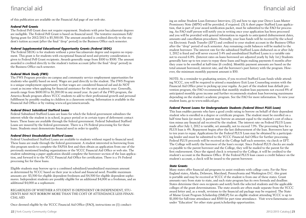## financial aid financial aid

of this publication are available on the Financial Aid page of our web site.

#### *Federal Pell Grants*

The Federal Pell Grant does not require repayment. Students with prior baccalaureate degrees are ineligible. The Federal Pell Grant is based on financial need. The tentative maximum Fall/ Spring grant for 2012/2013 is \$5,500.00. The amount awarded is credited directly to the student's tuition account (after the final "drop" period) in the Business Office each semester.

#### *Federal Supplemental Educational Opportunity Grants (Federal SEOG)*

The Federal SEOG is for students without a prior baccalaureate degree and requires no repayment. This grant is for students with exceptional financial need and priority consideration is given to Federal Pell Grant recipients. Awards generally range from \$100 to \$500. The amount awarded is credited directly to the student's tuition account (after the final "drop" period) in the Business Office each semester.

#### *Federal Work Study (FWS)*

The FWS Program provides on-campus and community service employment opportunities for students who qualify based on need. Wages are paid directly to the student. The FWS Program is a unique employment opportunity in that wages are considered financial aid and do NOT count as income when applying for financial assistance for the next academic year. Generally, awards range from \$600.00 to \$1,200.00 in any award year. As part of the FWS program, the America Reads program allows YCCC students to add to their professional growth and personal fulfillment by possibly reading to children in a classroom setting. Information is available in the Financial Aid Office or by visiting www.ed.gov/americareads.

#### *Federal Direct Subsidized Stafford Loans*

Federal Subsidized Stafford Loans are loans for which the federal government subsidizes the interest while the student is in school, in grace period or in certain types of deferment contact hours. These loans are available through the federal government. Federal Subsidized Stafford Loans are insured by the federal government. There is a 1% Federal processing fee for these loans. Students must demonstrate financial need in order to qualify.

#### *Federal Direct Unsubsidized Stafford Loans*

Federal Unsubsidized Stafford Loans are available to students without regard to financial need. These loans are made through the federal government. A student interested in borrowing from this program needs to complete the FAFSA first and then obtain an application from one of the previously mentioned lending organizations or the YCCC Financial Aid Office or web site. The student submitting a paper application should complete the borrower section of the loan application, and forward it to the YCCC Financial Aid Office for certification. There is a 1% Federal processing fee for these loans.

Eligible students may borrow up to a combined subsidized/unsubsidized maximum amount as determined by YCCC based on their year in school and financial need. Possible maximum amounts are: \$3,500 for eligible dependent freshmen and \$4,500 for eligible dependent sophomores. Independent students are possibly eligible for an additional \$4,000 as a freshman, and an additional \$4,000 as a sophomore.

#### REGARDLESS OF WHETHER A STUDENT IS DEPENDENT OR INDEPENDENT, STU-DENTS MAY NOT BORROW MORE THAN THE COST OF ATTENDANCE LESS FINAN-CIAL AID.

Once deemed eligible by the YCCC Financial Aid Office (FAO), instructions on (1) conduct-

ing an online Student Loan Entrance Interview, (2) and how to sign your Direct Loan Master Promissory Note (MPN) will be provided, if required. (3) A short paper Stafford Loan application, that is part of your award notification packet, must be submitted to the FAO for processing. An FAO staff person will notify you in writing once your application has been processed and you will be provided with general information in regards to anticipated disbursement dates, amounts and cancellation procedures. Normally, your loan funds will be received by the school via Electronic Funds Transfer (EFT) and credited to your student account in the Business Office after the "drop" period of each semester. Any remaining credit balances will be mailed to the student borrower. The interest rate for the subsidized Stafford Loans disbursed on or after July 1, 2012 is fixed and will never exceed 3.4% and unsubsidized Stafford Loans is a variable rate not to exceed 6.8%. (Interest rates on loans borrowed are adjusted yearly by July 1st.) Students generally have up to ten years to repay these loans and begin making payments 6 months after they cease to be enrolled at half-time (6 credits). Monthly payment amounts are based on the total amount borrowed, interest rate, and the borrower's past history with the program. However, the minimum monthly payment amount is \$50.

NOTE: As a reminder to graduating seniors, if you received Stafford Loan funds while attending YCCC, you will be required to attend a mandatory Exit Loan Counseling session with the Financial Aid Office prior to picking up your regalia. As part of the student loan default prevention program, the FAO recommends that monthly student loan payments not exceed 8% of anticipated monthly gross income and further recommends student loan borrowing maximums depending on the student's academic program. See the FAO for more information. To view your student loans, go to www.nslds.ed.gov.

#### *Federal Parent Loans for Undergraduate Students (Federal Direct PLUS Loan)*

This loan enables parents who have a good credit rating to borrow on behalf of their dependent student who is enrolled in a degree or certificate program. The student must be enrolled on a half time basis (or more). A parent may borrow an amount equal to the student's cost of education minus any financial aid received by the student. The interest rate on Federal PLUS Loans made after July 1, 2012 is variable, set annually, not to exceed 7.9%. The processing fees for a PLUS loan is 4%. Repayment begins after the last disbursement of the loan. Borrowers have up to ten years to repay. Applications for the Federal PLUS Loan may be obtained by a participating lender and must be submitted to the YCCC Financial Aid Office for further processing. Federal PLUS proceeds will be received at the College half each semester, via check or EFT. The College will notify the borrower of the loan's receipt. Since Federal PLUS checks are made co-payable to the parent borrower and the College, they will be mailed to the parent for the first endorsement. Once the signed check is returned to the College, it will be credited to the student's account in the Business Office. If the Federal PLUS loan causes a credit balance on the student's account, a check will be issued to the parent borrower.

#### *State Grants*

Many states offer financial aid programs to assist residents with college costs. For the New England states, Alaska, Delaware, Maryland, Pennsylvania and Washington D.C. this grant is portable and may be received at YCCC if the student is from one of these states. Grant amounts vary from state to state, and each state program has its own formula and deadline. States determine their own recipients and notify both the selected students and the applicable colleges of the grant determinations. The state awards are often made separate from the YCCC award letter and, as a result, revisions to the financial aid package may be required. The State of Maine Grant Program Scholarship (SMGP) for an eligible student attending YCCC is up to \$1,000 for full-time attendance and \$500 for part time attendance. Visit www.famemaine.com under "Education" for other state grant/scholarship opportunities.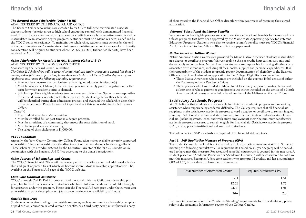## financial aid financial aid

#### *The Bernard Osher Scholarship (Osher I & III)*

#### ADMINISTERED BY THE FINANCIAL AID OFFICE

The Bernard Osher scholarships are awarded by YCCC to full-time matriculated associate degree students (priority given to high school graduating seniors) with demonstrated financial need. To qualify, a student must carry at least 12 credit hours each consecutive semester and be matriculated in an associate degree program. A student must be a Maine resident, as defined by the YCCC policy on residency. To maintain the scholarship, students must achieve by the end of the first semester and/or maintain a minimum cumulative grade point average of 2.5. Priority consideration will be given to students whose FAFSA results (Student Aid Reports) have been received by April 15th.

#### *Osher Scholarship for Associate in Arts Students (Osher II & V)*

ADMINISTERED BY THE ADMISSIONS OFFICE

Sponsored by the Bernard Osher Foundation

*The Osher II Scholarships will be targeted to matriculated students who have earned less than 24 credits, either full-time or part-time, in the Associate in Arts in Liberal Studies degree program. Applicants must meet the following eligibility requirements:*

- Must not be concurrently matriculated at any higher education institution(s).
- Must be residents of Maine, for at least one year immediately prior to registration for the term for which resident status is claimed.
- Scholarship offers eligible students two core courses tuition-free. Students are responsible for fees and books associated with these courses. Students eligible for this scholarship will be identified during their admissions process, and awarded the scholarship upon their formal acceptance. Please forward all inquiries about this scholarship to the Admissions Office.

#### *Osher V:*

- The Student must be a Maine resident.
- Must be enrolled full or part-time in a degree program.
- Must be a resident of a community that meets the state definition of rural.
- Must be in good academic standing.
- The value of this scholarship is \$1,000.00.

#### *YCCC Foundation*

Annually, the York County Community College Foundation makes available privately supported scholarships. These scholarships are the direct result of the Foundation's fundraising efforts. These scholarships are administered by the Executive Director of the YCCC Foundation in conjunction with the Financial Aid Office according to the donor's restrictions.

#### *Other Sources of Scholarships and Grants*

The YCCC Financial Aid Office will make every effort to notify students of additional scholarship and grant opportunities of which we become aware. Most scholarship applications will be available on the Financial Aid page of the YCCC web site.

#### *Child Care Financial Assistance*

YCCC, through Carl D. Perkins program, and the Rural Initiative Childcare scholarship program, has limited funds available to students who have childcare needs and would like to apply for assistance under this program. Please visit the Financial Aid web page under the current year scholarships to print the application. (Assistance contingent on availability of funds).

#### *Outside Resources*

Students who receive funding from outside resources, such as community scholarships, employer paid tuition, education-related veteran's benefits, or a third party payer, must forward a copy

of their award to the Financial Aid Office directly within two weeks of receiving their award notification.

#### *Veterans' Educational Assistance Benefits*

Veterans and other eligible persons are able to use their educational benefits for degree and certificate programs that have been approved by the Maine State Approving Agency for Veterans Education Programs. Students who plan to receive veteran's benefits must see YCCC's Financial Aid Office in the Student Affairs Office to initiate paper work.

#### *Native American Tuition Waiver*

Native American tuition waivers are provided for Maine Native American students matriculated in a degree or certificate program. Waivers apply to the per-credit-hour tuition cost only and do not apply to course fees. Native American students are responsible for paying all other costs associated with attendance, including all fees, books, supplies and personal expenditures. It is the responsibility of the student to provide proper documentation of eligibility to the Business Office at the time of admissions application to the College. Eligibility is extended to:

- Those Native Americans whose names are included on the current Tribal census of either the Passamaquoddy or Penobscot Tribes.
- Those persons who have resided in Maine for at least one year prior to matriculation and at least one of whose parents or grandparents was either included on the census of a North American tribal census or who held a band number of the Maliseet or Micmac Tribes.

#### **Satisfactory Academic Progress**

YCCC believes that students are responsible for their own academic progress and for seeking assistance when experiencing academic difficulty. The College requires that all financial aid recipients make satisfactory academic progress toward a degree, or certificate to remain in good standing. Additionally, federal and state laws require that recipients of federal or state financial aid (including grants, loans, and work study employment) meet the minimum satisfactory academic progress measures to remain eligible for financial aid. Satisfactory academic progress (SAP) also applies to institutional aid awarded to students.

The following two SAP standards are required of all financial aid recipients.

#### *Part 1. SAP Qualitative Measure of Progress (GPA)*

The student's cumulative GPA is not affected by full or part-time enrollment status. Students meeting the following cumulative GPA requirements (based on a 2 year degree) will be considered to have met this measure. Repeated and remedial coursework is counted in this measure. A student placed on "Academic Probation" or "Academic Dismissal" will be considered to not have met this measure. Example: A first-time student who attempts 12 credits, and has a cumulative GPA of 1.75, is considered to have met this measure.

| <b>Total Number of Attempted Credits</b> | Required cumulative GPA |
|------------------------------------------|-------------------------|
| $1 - 11$                                 |                         |
| $12 - 23$                                |                         |
| 24-35                                    |                         |
| $36+$                                    |                         |

For more information about the "Academic Standing" requirements for this calculation, please refer to the Academic Information section of the College Catalog.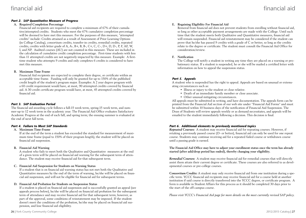#### *Part 2. SAP Quantitative Measure of Progress*

#### **A. Required Completion Percentage**

Financial aid recipients are required to complete a minimum of 67% of their cumulative/attempted credits. Students who meet the 67% cumulative completion percentage will be deemed to have met this measure. For the purposes of this measure, "attempted credits" include: Credits attained as a result of Assessment of Prior Learning Options (in College Catalog), consortium credits, transfer-in credits, remedial credits, repeated credits, credits with letter grade of A, A-, B+, B, B-, C+, C, C-, D+, D, D-, P, F, AF, W, I, and NP. Audited courses (AU) are not counted in this measure. These are included in the calculation of cumulative credit completion percentage. First-time students with less than 11 attempted credits are not negatively impacted by this measure. Example: A firsttime student who attempts 9 credits and only completes 6 credits is considered to have met this measure.

#### **B. Maximum Time Frame**

Financial Aid recipients are expected to complete their degree, or certificate within an acceptable time frame. Funding will only be granted for up to 150% of the published credit length of the student's program major. Examples: A 2 year degree program with a 60 credit requirement would have, at most, 90 attempted credits covered by financial aid. A 30 credit certificate program would have, at most, 45 attempted credits covered by financial aid.

#### *Part 3. SAP Evaluation Period*

The financial aid awarding cycle follows a fall-15 week term, spring-15 week term, and summer-up to 12 week term in the academic year. The Financial Aid Office evaluates Satisfactory Academic Progress at the end of each fall, and spring term; the ensuing summer is evaluated at the end of next fall term.

#### *Part 4. Failure to Meet SAP Standards*

#### **A. Maximum Time-Frame**

If at the end of the term a student has exceeded the standard for measurement of maximum time frame (equal to 150% of their program length), the student will be placed on financial aid suspension.

#### **B. Financial Aid Warning**

A student who fails to meet both the Qualitative and Quantitative measures at the end of a given term will be placed on financial aid warning for the subsequent term of attendance. The student may receive financial aid for that subsequent term.

#### **C. Financial Aid Suspension for Students on Warning Status**

If a student that is on financial aid warning status has not met both the Qualitative and Quantitative measures by the end of the term of warning, he/she will be placed on financial aid suspension, and will not be eligible for financial aid for subsequent terms.

#### **D. Financial Aid Probation for Students on Suspension Status**

If a student is placed on financial aid suspension and is successfully granted an appeal (see appeals process below), he/she will be placed on financial aid probation for the subsequent term of attendance and may receive financial aid for that subsequent term; however, as part of the approval, some conditions of reinstatement may be imposed. If the student doesn't meet the conditions of the probation, he/she may be placed on financial aid suspension, and lose financial aid eligibility.

#### **E. Regaining Eligibility For Financial Aid**

Removal from financial aid does not prevent students from enrolling without financial aid, so long as other acceptable payment arrangements are made with the College. Until such time that the student meets both Qualitative and Quantitative measures, financial aid will remain suspended. Financial aid reinstatement may be considered if the student can prove that he/she has passed 9 credits with a grade of C or better, so long as the credits relate to the degree or certificate. The student must consult the Financial Aid Office for consideration/review.

#### **F. Notification**

The College will notify a student in writing any time they are placed on a warning or probationary status. If a student is suspended, he or she will be mailed a certified letter with information on how to appeal the suspension status.

#### *Part 5. Appeals*

A student who is suspended has the right to appeal. Appeals are based on unusual or extenuating circumstances such as:

- Illness or injury to the student or close relative.
- Death of an immediate family member or close associate.
- Other unusual mitigating circumstances.

All appeals must be submitted in writing, and have documentation. The appeals form can be printed from the Financial Aid section of our web site under "Financial Aid Forms" and must be submitted within 10 business days of the notification of Financial Aid Suspension. The Dean of Students will review appeals weekly or as demand necessitates, and appeals will be emailed to the student immediately following a decision. This decision is final.

#### *Part 6. Additional elements to previously mentioned topics*

*Repeated Courses:* A student may receive financial aid for repeating courses. However, if retaking a previously passed course (D- or better), financial aid can only be used for one repeat course. Students may continue receiving aid for a repeated failed course or withdrawn course until a passing grade is earned.

**The Financial Aid Office may have to adjust your enrollment status once the term has already started (after add/drop period has ended), thereby changing your eligibility.**

*Remedial Courses:* A student may receive financial aid for remedial courses that will directly assist them attain their current degree or certificate. These courses are also referred to as developmental courses or pre-college courses.

*Consortium Credits:* A student may only receive financial aid from one institution during a specific term. YCCC financial aid recipients may receive financial aid for a course held at another institution if said course is directly transferred into the YCCC degree, or certificate program. A form is available in Student Affairs for this process as it should be completed 30 days prior to the start of the off-campus course.

*Please visit YCCC's Financial Aid page for more details on the most currently revised SAP policy.*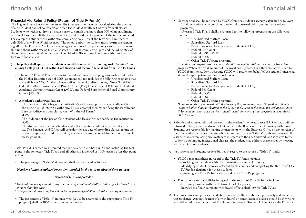## financial aid

## financial aid

### **Financial Aid Refund Policy (Return of Title IV Funds)**

The Higher Education Amendments of 1998 changed the formula for calculating the amount of aid a student and school can retain when the student totally withdraws from all classes. Students who withdraw from all classes prior to completing more than 60% of an enrollment term will have their eligibility for aid recalculated based on the percent of the term completed. For example, a student who withdraws completing only 30% of the term will have "earned" only 30% of any Title IV aid received. The school and/or the student must return the remaining 70%. The Financial Aid Office encourages you to read this policy very carefully. If you are thinking about withdrawing from all classes PRIOR to completing up to and including 60% of the semester, you should contact the Financial Aid Office to see how your withdrawal will affect your financial aid.

- **◊ The policy shall apply to all students who withdraw or stop attending York County Community College (YCCC) without notification and receive financial aid from Title IV funds:**
	- The term "Title IV Funds" refers to the federal financial aid programs authorized under the Higher Education Act of 1965 (as amended) and includes the following programs that are available at YCCC: Direct Unsubsidized Federal Stafford Loans, Direct Subsidized Federal Stafford Loans, Federal Parent Direct (Plus) Loans, Federal Pell Grants, Federal Academic Competitiveness Grant (ACG), and Federal Supplemental Equal Opportunity Grants (FSEOG).
	- **• A student's withdrawal date is:**

The date the student began the institution's withdrawal process or officially notifies the institution of intent to withdraw. This is accomplished by notifying the Enrollment Services Office and completing the "Withdrawal Form,"

#### *-OR-*

The midpoint of the period for a student who leaves without notifying the institution, *-OR-*

The student's last date of attendance at a documented academically related activity. The Financial Aid Office will consider the last date of attending classes, taking an exam, computer assisted instruction, academic counseling or advisement, or turning in an assignment.

- $\Diamond$  Title IV aid is earned in a prorated manner on a per diem basis up to and including the 60% point in the semester. Title IV aid and all other aid is viewed as 100% earned after that point in time.
	- The percentage of Title IV aid earned shall be calculated as follows:

*Number of days completed by student divided by the total number of days in term\**

#### *= Percent of term completed\*\**

*\*The total number of calendar days in a term of enrollment shall exclude any scheduled breaks of more than five days.*

*\*\*The percent of term completed shall be the percentage of Title IV aid earned by the student.*

• The percentage of Title IV aid unearned (i.e., to be returned to the appropriate Title IV program) shall be 100% minus the percent earned.

• Unearned aid shall be returned by YCCC from the student's account calculated as follows: -Total institutional charges times percent of unearned aid = amount returned to program(s)

-Unearned Title IV aid shall be returned to the following programs in the following order:

- Unsubsidized Stafford Loan
- Subsidized Stafford Loan
- Parent Loans to Undergraduate Students (PLUS)
- Federal Pell Grant
- Federal SSSG (TRIO)
- Federal SEOG
- Other Title IV grant programs

*Exception: no program can receive a refund if the student did not receive aid from that program* When the total amount of unearned aid is greater than the amount returned by YCCC from the student's account, YCCC will return (on behalf of the student) unearned aid to the appropriate program(s) as follows:

- Unsubsidized Stafford Loan
- Subsidized Stafford Loan
- Parent Loans to Undergraduate Students (PLUS)
- Federal Pell Grant
- Federal SEOG
- Federal SSSG
- Other Title IV grant programs

*\*Loan amounts are returned with the terms of the promissory note. No further action is required other than notification to the holder of the loan of the student's withdrawal date. \*\*Amounts to be returned on the student's behalf to federal grant programs will receive a 50% discount.*

Refunds and adjusted bills will be sent to the student's home address (PLUS refunds will be returned to the parent's address on file) on file in the Business Office following withdrawal. Students are responsible for making arrangements with the Business Office on any portion of their institutional charges that are left outstanding after the Title IV funds are returned. If a student has extenuating circumstances in regards to their withdrawal, and it relates to the student's outstanding institutional charges, the student may address those issues by meeting with the Dean of Students.

◊ Institutional and student responsibilities in regard to the return of Title IV funds:

- YCCC's responsibilities in regard to the Title IV funds include: -providing each student with the information given in this policy; -identifying students who are affected by this policy and completing the Return of Title IV Funds calculation for those students; -returning any Title IV funds that are due the Title IV programs.
- The student's responsibilities in regard to the return of Title IV funds include: -becoming familiar with the Return of Title IV policy; -knowledge of how complete withdrawal affects eligibility for Title IV aid.
- $\Diamond$  The procedures and policies listed above supercede those published previously and are subject to change. Any notification of a withdrawal or cancellation of classes should be in writing and addressed to the Director of Enrollment Services in Student Affairs. Once the Director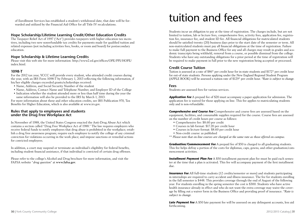of Enrollment Services has established a student's withdrawal date, that date will be forwarded and utilized by the Financial Aid Office for all Title IV recalculations.

#### **Hope Scholarship/Lifetime Learning Credit/Other Education Credits**

The Taxpayer Relief Act of 1997 ("Act") provides taxpayers with higher education tax incentives, including two new nonrefundable tax credits for payments made for qualified tuition and related expenses (not including activities fees, books, or room and board) for postsecondary education.

#### **Hope Scholarship & Lifetime Learning Credits**

Please visit this web site for more information: http://www2.ed.gov/offices/OPE/PPI/HOPE/ index.html.

#### **1098-T**

For the 2012 tax year, YCCC will provide every student, who attended credit courses during the year, with an IRS Form 1098-T by February 1, 2013 reflecting the following information, if his/her eligible charges exceeded grants/scholarships received:

- Name, Address, and Social Security Number of the student
- Name, Address, Contact Name and Telephone Number, and Employer ID of the College
- Indication whether the student attended more or less than half time during the year the same information will also be provided to the IRS by March 1, 2013.

For more information about these and other education credits, see IRS Publication 970, Tax Benefits for Higher Education, which is also available at www.irs.gov.

#### **Rules that apply to employees and students under the Drug Free Workplace Act**

In November of 1988, the United States Congress enacted the Anti-Drug Abuse Act which contains a section called "Drug Free Workplace Act of 1988." The law requires employers who receive federal funds to notify employees that drug abuse is prohibited in the workplace; establish a drug free awareness program; require each employee to notify the college of any criminal conviction for violations occurring in the work place; and impose sanctions or remedial actions for convicted employees.

In addition, a court may suspend or terminate an individual's eligibility for federal benefits, including student financial assistance, if that individual is convicted of certain drug offenses.

Please refer to the college's Alcohol and Drug brochure for more information, and visit the FAFSA website "*drug question*" at **www.fafsa.gov**.

# tuition and fees

Students incur an obligation to pay at the time of registration. The charges include, but are not limited to tuition, lab or lecture fees, comprehensive fees, activity fees, application fee, registration fee, insurance fee, and student ID fee. All financial obligations for matriculated students should be satisfied twenty (20) business days prior to the start date of the semester or term. All non-matriculated students must pay all financial obligations at the time of registration. Failure to make full payment to the Business Office for any and all charges may result in grades and academic transcripts being withheld, removal from a course, or possible dismissal from the college. Students who have any outstanding obligations for a prior period at the time of registration will be required to make payment in full prior to the new registration being accepted or processed.

#### **Credit Course Tuition**

Tuition is assessed at a rate of \$86\* per credit hour for in-state students and \$172\* per credit hour for out-of state students. Persons applying under the New England Regional Student Program (APPLE BOOK) will be assessed a tuition rate of \$129\* per credit hour. *\*Rate is subject to change.*

#### **Fees**

Students are assessed fees for various services.

*Application Fee* A prepaid fee of \$20 must accompany a paper application for admission. The application fee is waived for those applying on line. This fee applies to matriculating students only and is non-refundable.

*Comprehensive and Course Fee* Comprehensive and course fees are assessed based on the equipment, facilities, and consumable supplies required for the course. Course fees are assessed on the number of credit hours per course as follows:

- Comprehensive fee: \$8.60 per credit
- Courses in lab format: \$17.20 per credit hour
- Courses in lecture format: \$8.60 per credit hour
- Non-credit course: as published
- *\*\* Please note that on-line courses are charged at the same rate as those offered on campus.*

*Graduation/Commencement Fee A prepaid fee of \$50 is charged to all graduating students.* This fee helps defray a portion of the costs for diplomas, caps, gowns, and other graduation/commencement activities.

**Installment Payment Plan Fee** A \$50 installment payment plan fee must be paid each semester at the time that a plan is activated. This fee will accompany payment of the first installment due.

**Insurance Fee** All full-time students (12 credits/semester or more) and students participating in internships are required to carry accident and illness insurance. The fee for students enrolling in the fall semester is \$448. This provides coverage through the end of August of the following year. For students enrolling in the spring semester the cost is \$300. Students who have active health insurance already in effect and who do not want the extra coverage may waive the coverage by filling out a waiver form in the Business Office and providing proof of insurance. \**Rate is subject to change.*

**Late Payment Fee** A \$50 late payment fee will be assessed on any delinquent accounts, less aid forthcoming.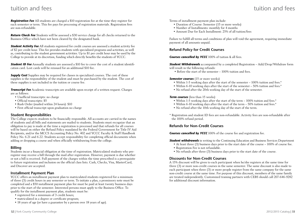## tuition and fees

*Registration Fee* All students are charged a \$10 registration fee at the time they register for each semester or term. This fee pays for processing of registration materials. Registration fees are non-refundable.

*Return Check Fee* Students will be assessed a \$30 service charge for all checks returned to the Business Office which have not been cleared by the designated bank.

*Student Activity Fee* All students registered for credit courses are assessed a student activity fee of \$2 per credit hour. This fee provides students with specialized programs and activities, as well as, contributing to the student government activities. Up to \$1 per credit hour may be used by the College to provide at its discretion, funding which directly benefits the students of YCCC.

**Student ID Fee** Annually students are assessed a \$10 fee to cover the cost of a student identification card. Lost cards will be reissued for an additional \$10 fee.

**Supply Cost** Supplies may be required for classes in specialized courses. The cost of these supplies is the responsibility of the student and must be purchased by the student. The cost of these supplies is not included in the tuition or course fee.

**Transcript Fee** Academic transcripts are available upon receipt of a written request. Charges are as follows:

- Unofficial transcripts: no charge
- Official transcripts: \$5
- Rush Order (mailed within 24 hours): \$10
- First official transcript upon graduation no charge

#### **Student Responsibilities**

The College expects students to be financially responsible. All accounts are carried in the names of students and all bills and statements are mailed to students. Students must recognize that an obligation to pay is made at the time a registration is processed and that refunds for all courses will be based on either the Refund Policy mandated by the Federal Government for Title IV Aid Recipients, and/or the MCCS Accounting Policy No. 402 and YCCC Faculty & Staff Handbook Policy No. 6.21 and 6.22. Students accept responsibility for completing official documents when adding or dropping a course and when officially withdrawing from the college.

#### **Billing**

Students incur a financial obligation at the time of registration. Matriculated students who preregister may receive a bill through the mail after registration. However, payment is due whether or not a bill is received. Full payment of the charges within the time prescribed is a prerequisite to future registration and inclusion on the official class lists. Cash, Checks, Visa, MasterCard, and Discover are accepted.

#### **Installment Payment Plan**

YCCC offers an installment payment plan to matriculated students registered for a minimum of three (3) credit hours in any semester or term. To initiate a plan, a promissory note must be completed and a \$50 installment payment plan fee must be paid at least twenty business days prior to the start of the semester. Interested persons must apply to the Business Office. To qualify for the installment payment plan, students must be:

- registered for a minimum of 3 credit hours;
- matriculated in a degree or certificate program;
- 18 years of age (or have a guarantee by a person over 18 years of age).

Terms of installment payment plan include:

- Duration of Course: Semester (15 or more weeks)
- Number of Installments: monthly for 4 months
- Amount Due for Each Installment: 25% of all tuition/fees

Failure to fulfill all terms and conditions of plan will void the agreement, requiring immediate payment of all amounts unpaid.

#### **Refund Policy for Credit Courses**

**Courses cancelled by YCCC** 100% of tuition & all fees.

*Student Withdrawals* accompanied by a completed Registration – Add/Drop/Withdraw form will result in the following refunds:

• Before the start of the semester – 100% tuition and fees.

#### **Semester courses** (15 or more weeks)

- Within 1-5 working days after the start of the semester 100% tuition and fees.\*
- Within 6-10 working days after the start of the semester 50% tuition and fees.\*
- No refund after the 20th working day of the start of the semester.

#### **Term courses** (less than 15 weeks)

- Within 1-5 working days after the start of the term 100% tuition and fees.\*
- Within 6-10 working days after the start of the term 50% tuition and fees.\*
- No refund after the 10th working day of the start of the term.
- \* Registration and student ID fees are non-refundable. Activity fees are non-refundable after the 100% refund period.

#### **Refunds for Non-Credit Courses**

**Courses cancelled by YCCC** 100% of the course fee and registration fee.

*Student withdrawals* in writing to the Continuing Education and Business Services Department

- At least three (3) business days prior to the start date of the course 100% of course fee.
- Registration Fee is not refundable.
- No refunds after three (3) business days prior to the start date of the course.

#### **Discounts for Non-Credit Courses**

A 15% discount will be given to each participant when he/she registers at the same time for three (3) or more non-credit courses in the same semester. The same discount is also made to each participant when three (3) or more people register from the same company for the same non-credit course at the same time. For purpose of this discount, members of the same family are treated independently. Customized training partners with CEBS should call 207-646-9282 for additional discount information.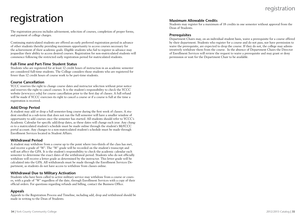# registration

The registration process includes advisement, selection of courses, completion of proper forms, and payment of college charges.

Continuing matriculated students are offered an early preferred registration period in advance of other students thereby providing maximum opportunity to access courses necessary for the achievement of their academic goals. Eligible students who fail to register in advance may jeopardize their ability to access desired courses. Registration for non-matriculated students will commence following the restricted early registration period for matriculated students.

#### **Full-Time and Part-Time Student Status**

Students who are registered for at least 12 credit hours of instruction in an academic semester are considered full-time students. The College considers those students who are registered for fewer than 12 credit hours of course work to be part-time students.

#### **Course Cancellation**

YCCC reserves the right to change course dates and instructor selection without prior notice and reserves the right to cancel courses. It is the student's responsibility to check the YCCC website (www.yccc.edu) for course cancellation prior to the first day of classes. A full refund will be made if YCCC exercises its right to cancel a course or if a course is full at the time a registration is received.

#### **Add/Drop Period**

A student may add or drop a full semester-long course during the first week of classes. A student enrolled in a sub-term that does not run the full semester will have a smaller window of opportunity to add courses once the semester has started. All students should refer to YCCC's Academic Calendar for specific add/drop dates, as these dates will change each year. Any changes to a matriculated student's schedule must be made online through the student's MyYCCC portal account. Any changes to a non-matriculated student's schedule must be made through Enrollment Services located in Student Affairs.

#### **Withdrawal Period**

A student may withdraw from a course up to the point where two-thirds of the class has met, and receive a grade of "W". The "W" grade will be recorded on the student's transcript and will not affect the GPA. It is the student's responsibility to check the academic calendar each semester to determine the exact dates of the withdrawal period. Students who do not officially withdraw will receive a letter grade as determined by the instructor. This letter grade will be calculated into the GPA. All withdrawals must be made through the Enrollment Services Department, as students do not have access to withdraw from classes online.

#### **Withdrawal Due to Military Activation**

Students who have been called to active military service may withdraw from a course or courses, with a grade of "W" regardless of the date, through Enrollment Services with a copy of their official orders. For questions regarding refunds and billing, contact the Business Office.

#### **Appeals**

Appeals to the Registration Process and Timeline, including add, drop and withdrawal should be made in writing to the Dean of Students.

#### **Maximum Allowable Credits**

Students may register for a maximum of 18 credits in one semester without approval from the Dean of Students.

#### **Prerequisites**

Department Chairs may, on an individual student basis, waive a prerequisite for a course offered by their department. Students who register for a course and do not pass, nor have permission to waive the prerequisite, are expected to drop the course. If they do not, the college may administratively withdraw them from the course. In the absence of Department Chairs the Director of Enrollment Services will review the request to waive a prerequisite and may grant or deny permission or wait for the Department Chair to be available.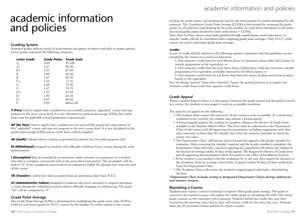# academic information and policies

#### **Grading System**

Semester grades indicate levels of achievement and appear as letters with plus or minus options. Letter grades represent the following categories.

| Letter Grade | <b>Grade Points Grade Scale</b> |          |
|--------------|---------------------------------|----------|
| A            | 4.00                            | 95-100   |
| $A-$         | 3.67                            | 90-94    |
| $B+$         | 3.33                            | 87-89    |
| B            | 3.00                            | 83-86    |
| $B -$        | 2.67                            | 80-82    |
| C+           | 2.33                            | 77-79    |
| C            | 2.00                            | 73-76    |
| $C-$         | 1.67                            | 70-72    |
| D+           | 1.33                            | 67-69    |
| D            | 1.00                            | 63-66    |
| $\vert$ )-   | 0.67                            | 60-62    |
| F            | 0.00                            | Below 60 |

**P (Pass)** Used to signify that a student has successfully passed an "ungraded" course and may progress to the next course level. It is not calculated in grade point average (GPA), but credit hours may be applicable toward graduation requirements.

*NP (No Pass)* Used to signify that a student has not successfully passed the expectations of this "ungraded" course and may not progress to the next course level. It is not calculated in the grade point average (GPA) and no credit hours will be assigned.

*AU (Audit)* Utilized when a student is permitted to attend class for audit purposes only.

*W (Withdrawal)* Assigned to students who officially withdraw from a course during the withdrawal period.

*I (Incomplete)* May be awarded by an instructor under extreme circumstances to a student who fails to complete coursework with in the prescribed time period. The incomplete will default to "F" if the completed coursework is not submitted within 30 calendar days from the end of the course.

*TR (Transfer)* Credits have been accepted from an institution other than YCCC.

*AF (Administrative Failure)* Assigned to students who never attended or stopped attending a course during the withdrawal period without officially dropping or withdrawing. The grade "AF" will be computed as "F".

#### **Grade Point Average**

The Grade Point Average (GPA) is determined by multiplying the grade point value (0.00 to 4.00) for each letter grade for YCCC courses by the number of credits earned in the course,

## academic information and policies

totaling the grade points, and dividing the sum by the total number of credits attempted for the semester. The Cumulative Grade Point Average (CGPA) is determined by summing the grade points for all semesters and dividing by the total number of credit hours attempted in all semesters (total grade points divided by total credit hours = CGPA).

*Note: Pass/No Pass courses and credits granted through examinations, work experiences, or transfer credits will not be considered when computing grade point averages. Only YCCC credit courses are used to determine grade point averages.*

#### *Credits*

A unit of credit shall be defined in the following manner consistent with the guidelines recommended by the American Council on Education:

1. One semester credit hour for each fifteen hours of classroom contact plus thirty hours of outside preparation or the equivalent; or

2. One semester credit hour for each thirty hours of laboratory work plus necessary outside preparation or its equivalent, normally expected to be fifteen hours; or

3. One semester credit hour for not fewer than forty-five hours of shop instruction (contact hours) or the equivalent.

For calculating "quarter" hours into "semester" hours, the general practice is to equate two semester credit hours with three quarter credit hours.

#### **Grade Appeal**

When a student believes there is a discrepancy between the grade earned and the grade received in a course, the student is encouraged to seek an acceptable resolution.

The steps for an appeal are the following:

- The student must contact the instructor of the course as soon as possible. If a satisfactory resolution is not reached, the student may initiate a formal appeal.
- A formal appeal requires the student to complete a Request for Review of Grade form, available in the Student Affairs Office. The form must be submitted to the Department Chair of the course with all supporting documentation, including assignments and other class materials, no later than 30 calendar days after the semester end date in which the course was taken.
- The Department Chair\* will discuss and/or forward the appeal to the faculty member for evaluation. After reviewing the student's material and the faculty member's evaluation, the Department Chair will make a decision regarding the appeal and will inform the student of the decision in writing within 30 days of the appeal. The Request for Review of Grade form and all supporting documentation will be forwarded to the office of Enrollment Services.
- If the student is not satisfied with the resolution, he or she may then appeal the decision to the Academic Dean by writing a short letter of appeal within 30 days of their notification from the Department Chair.
- The Academic Dean will review the student's original appeal and make a final binding decision.

#### *\*Department Chair includes Acting or designated Department Chairs during sabbaticals and summer sessions.*

#### **Repeating a Course**

Students may repeat a course to attempt to improve their grade point average. The grade received for the repeated course will replace the earlier grade in calculating the GPA. The initial grade remains on the transcript with a notation. Students forfeit any credit they may have received in the previous class; that is, they will receive credit for the class only once. Students must pay all associated tuition and fees to repeat a course.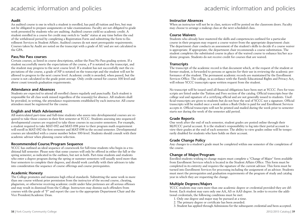#### **Audit**

An audited course is one in which a student is enrolled, has paid all tuition and fees, but may not be obligated to prepare assignments or take examinations. Faculty are not obligated to grade work presented by students who are auditing. Audited courses yield no academic credit. A student enrolled in a course for credit may switch to "audit" status at any time before the end of the withdrawal period by completing a Registration Form and submitting the form to Enrollment Services in Student Affairs. Audited courses do not meet prerequisite requirements. Courses taken by Audit are noted on the transcript with a grade of AU and are not calculated in the GPA.

#### **Pass/No Pass courses**

Certain courses, as listed in course descriptions, utilize the Pass/No Pass grading system. If a student successfully meets the expectations of the course, a P is notated on the transcript, and the student may progress to the next course level. If a student has not successfully met the expectations of the course, a grade of NP is notated on the transcript and the student will not be allowed to progress to the next course level. Academic credit is awarded, when passed, but the course is not calculated in the grade point average. Only credit earned for courses 100 level and above count towards graduation requirements.

#### **Attendance and Absences**

Students are expected to attend all enrolled classes regularly and punctually. Each student is responsible for all class work missed regardless of the reason(s) for absence. All students shall be provided, in writing, the attendance requirements established by each instructor. All course attendees must be registered for the course.

#### **English and Math Advisement**

All matriculated part-time and full-time students who assess into developmental courses are required to take those courses in their first semester at YCCC. Students assessing into sequenced developmental courses are required to take those courses in successive semesters. For example, a student required to take MAT-092 and MAT-098 prior to their program math requirement will enroll in MAT-092 the first semester and MAT-098 in the second semester. Developmental courses are identified with a course number below 100-level. Students should consult with their academic advisor when planning course selection.

#### **Recommended Course/Program Sequence**

YCCC has outlined an ideal sequence of coursework for full-time students who begin in a traditional fall semester. Please note that some courses will only be offered in either the fall or the spring semester, as indicated in the outlines, but not in both. Part-time students and students who enter a degree program during the spring or summer semesters will usually need more than four semesters to complete their degrees, and should work carefully with their advisors to take into consideration the sequence of course offerings and course prerequisites.

#### **Academic Honesty**

The College promotes and maintains high ethical standards. Submitting the same work in more than one course without prior permission from the instructor of the second course, cheating, plagiarism, or otherwise receiving academic credit under false pretenses are all serious offenses and may result in dismissal from the College. Instructors may dismiss such offenders from courses with the grade of "F" and report the case to the appropriate Department Chair and the Vice President/Academic Dean.

#### **Instructor Absences**

When an instructor will not be in class, notices will be posted on the classroom doors. Faculty may choose to arrange a makeup class at the next scheduled class.

#### **Course Waivers**

Students who already have mastered the skills and competencies outlined for a particular course in their program may request a course waiver from the appropriate department chair. The department chair conducts an assessment of the student's skills to decide if a course waiver is appropriate. If appropriate, the department chair recommends a course substitution. The student completes the substituted course in place of the waived course to enhance his/her academic program. Students do not receive credit for courses that are waived.

#### **Transcripts**

The transcript of the academic record is that document which, at the request of the student or former student, is forwarded to persons or agencies for their use in reviewing the academic performance of the student. The permanent academic records are maintained by the Enrollment Services Office. The college, in accordance with the Family Educational Rights and Privacy Act, will release YCCC transcripts upon written request from the student.

No transcript will be issued until all financial obligations have been met at YCCC. Fees for transcripts are listed under the Tuition and Fees section of the catalog. Official transcripts bear the college seal and signature of a certifying official and are not generally issued to students. Unofficial transcripts are given to students but do not bear the seal of YCCC nor a signature. Official transcripts will be mailed once a week unless a Rush Order is paid for and Enrollment Services accepts it. Official transcripts will not be printed and mailed during the week prior to semester starts nor during the week of the semester add period.

#### **Grade Reports**

One week after the end of each semester, student grades are posted online through their MyYCCC portal account. It is the student's responsibility to log into their portal account to view their grades at the end of each semester. The ability to view grades online will be temporarily disabled for students who have holds on their account.

#### **Grade Change Policy**

Any changes to a student's grade must be completed within one semester of the completion of the course.

### **Change of Major/Program**

Enrolled students wishing to change majors must complete a "Change of Major" form available from Enrollment Services which is located in the Student Affairs Office. This form must be completed in its entirety and requires the signature of the current advisor. This form must be turned into Enrollment Services for processing including the assignment of an advisor. Students must meet the prerequisites and graduation requirements of the program of study and catalog year in which they are requesting the change.

#### **Multiple Degrees/Majors**

YCCC students may earn more than one academic degree or credential provided they are different. Each student may earn only one AA, AS or AAS degree. In order to receive the additional credentials, the following conditions must be met:

- 1. Only one degree and major may be pursued at a time.
- 2. The primary degree or certificate has been awarded.
- 3. Student has applied through Admissions for the subsequent credential and been accepted.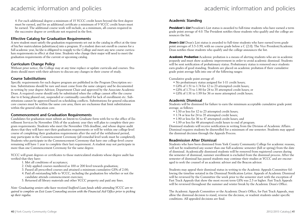## academic information and policies academic information and policies

4. For each additional degree a minimum of 15 YCCC credit hours beyond the first degree must be earned, and for an additional certificate a minimum of 9 YCCC credit hours must be earned. The additional course work will include, as a minimum, all courses required in the successive degree or certificate not required in the first.

#### **Effective Catalog for Graduation Requirements**

A new student must satisfy the graduation requirements set out in the catalog in effect at the time of his/her matriculation (admittance) into a program. If a student does not enroll in courses for a full academic year, he/she is obligated to reapply to the College and meet any new course curriculum requirements in effect at that time. Students who change their major will need to meet the graduation requirements of the current or upcoming catalog.

#### **Curriculum Change Policy**

Without prior notice, the College may at any time replace or update curricula and courses. Students should meet with their advisors to discuss any changes in their course of study.

#### **Course Substitutions**

Specific requirements for each degree program are published in the Program Description section. Substitutions should be rare and must come from the same category and be documented in writing by your degree Advisor, Department Chair and approved by the Associate Academic Dean. A required course should only be substituted when the college cannot offer the course due to it being phased out, suspended or continually cancelled for lack of enrollment etc. Substitutions cannot be approved based on scheduling conflicts. Substitutions for general education core courses must be within the same core area; there are exclusions that limit substitutions within the general education core.

#### **Commencement and Graduation Requirements**

Candidates for graduation must submit an Intent-to-Graduate form with fee to the office of Enrollment Services by November 15th of the academic year they will plan to complete their program requirements. Students who meet the November 15th deadline, and whose degree audit shows that they will have met their graduation requirements or will be within one college-level course of completing their graduation requirements after the end of the withdrawal period, may participate in the Commencement Ceremony (all remedial level work must be completed). Students who participate in the Commencement Ceremony that have one college-level course remaining will have 1 year to complete their last requirement. A student may not participate in more than one Commencement Ceremony for the same degree.

YCCC will grant degrees or certificates to those matriculated students whose degree audit has verified that they have:

- 1. Met all conditions of acceptance;
- 2. Only applied courses numbered as 100 or 200 level towards graduation;
- 3. Passed all prescribed courses and attained a minimum cumulative GPA of 2.00;
- 4. Paid all outstanding bills to YCCC, including the graduation fee whether or not the candidate attends commencement exercises;
- 5. Returned all library materials and other YCCC property and paid any fines.

*Note: Graduating seniors who have received Stafford Loan funds while attending YCCC are required to complete an Exit Loan Counseling session with the Financial Aid Office prior to picking up their regalia.*

#### **Academic Standing**

*President's List* President's List status is awarded to full-time students who have earned a term grade point average of 4.0. The President notifies those students who qualify and the college announces the list.

*Dean's List* Dean's List status is awarded to full-time students who have earned term grade point averages of 3.5-3.99, with no course grade below a C (2.0). The Vice President/Academic Dean notifies those students who qualify and the college announces the list.

*Academic Probation* Academic probation is a means of alerting students who are in academic jeopardy and must show academic improvement in order to avoid academic dismissal. Students will be sent notification of probationary status. Probationary status is removed once students earn grades of good standing. Students are placed on academic probation if their cumulative grade point average falls into one of the following ranges:

Cumulative grade point average of:

- No probationary status assigned for 1-11 credit hours;
- GPA of 1.51 to 1.74 for 12 to 23 attempted credit hours;
- GPA of 1.75 to 1.90 for 24 to 35 attempted credit hours; or
- GPA of 1.91 to 1.99 for 36 or more attempted credit hours.

#### **Academic Dismissal**

Students will be dismissed for failure to earn the minimum acceptable cumulative grade point average, as follows:

- 1.50 or less for 12 to 23 attempted credit hours;
- 1.74 or less for 24 to 35 attempted credit hours;
- 1.90 or less for 36 to 47 attempted credit hours; and
- 1.99 or less for 48 attempted credit hours to end of program.

Dismissed students will receive notification in writing from the Division of Academic Affairs. Dismissal requires students be disenrolled for a minimum of one semester. Students may appeal the dismissal decision through the Appeals Process.

#### **Readmission After Dismissal**

Students who have been dismissed from York County Community College for academic reasons, will not be readmitted any sooner than one full academic semester (fall or spring) from the date of dismissal. Academically dismissed students will be removed from registered courses during the semester of dismissal, summer enrollment is excluded from the dismissal process. After the semester of dismissal has passed students may continue their studies at YCCC and are encouraged to seek the counsel of an academic advisor and the Beacon advisor.

Students may appeal their dismissal status in writing to the Academic Appeals Committee following the timeline notated in the Dismissal Notification Letter. Appeals of Academic Dismissal will be reviewed by the Committee the week prior to the semester start with the exception of Fast Track Appeals that show the most recent term GPA was 2.5 or higher. Fast Track Appeals will be reviewed throughout the summer and winter break by the Academic Dean's Office.

The Academic Appeals Committee or the Academic Dean's Office, for Fast Track Appeals, may allow the dismissal decision to stand, reverse the decision, or readmit students under specific conditions. All appealed decisions are final.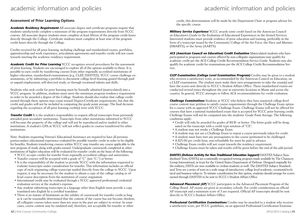### **Assessment of Prior Learning Options**

*Academic Residency Requirement* All associate degree and certificate programs require that students satisfactorily complete a minimum of the program requirements directly from YCCC courses. All associate degree students must complete at least fifteen of the program credit hours directly through the College. Certificate students must complete at least nine of the program credit hours directly through the College.

Credits received for all prior learning, including challenge and standardized exams, portfolios, apprenticeship and work experience, articulation agreements and transfer credit will not count towards meeting the academic residency requirement.

*Academic Credit for Prior Learning* YCCC recognizes several procedures for the assessment of prior learning. Students are encouraged to explore all of the options available to them. It is possible to earn credit by transferring courses from other regionally accredited institutions of higher education, standardized examinations (e.g. CLEP, DANTES), YCCC course challenge examinations, or by submitting a portfolio to document college-level learning gained through paid or unpaid employment, self-directed study, or through vocational talents and skills.

Students who seek credit for prior learning must be formally admitted (matriculated) into a YCCC program. In addition, students must meet the minimum program residency requirement in order to be awarded a degree of the College. Students should also realize that college credit earned through these options may count toward Degree/Certificate requirements, but that the credit and grades will not be included in computing the grade point average. The final decision regarding the acceptance of all prior learning credit(s) rests with YCCC.

*Transfer Credit* It is the student's responsibility to request official transcripts from previously attended post-secondary institutions. Transcripts from other institutions submitted to YCCC will become the property of the college and will not be reproduced and/or mailed to other institutions. A student's GPA at YCCC will not reflect grades in courses transferred for other institutions.

Note: Students requesting Veteran's Educational Assistance are required to have all previous postsecondary educational experience evaluated for possible transfer credit in order to be eligible for benefits. Students transferring courses within YCCC may transfer any course applicable to the new program of study along with grades earned. Undergraduate coursework completed at other institutions of higher education will be evaluated for transfer credit on the basis of the following:

- YCCC accepts credits for transfer from regionally accredited colleges and universities.
- Transfer courses will be accepted with a grade of "C" (not "C-") or better.
- It is the responsibility of the student to provide YCCC with the information requested to evaluate transcripts under consideration for transfer. This information includes an official copy of each originating college transcript mailed directly from the college to YCCC. Upon request, it may be necessary for the student to obtain a copy of the college catalog or official course description from the institution of course origination.
- International credit may be evaluated through a YCCC approved professional credential evaluation service at the student's expense.
- Any student submitting transcripts in a language other than English must provide a copy translated into English by a certified translator.
- There is no statute of limitations on the validity of coursework for transfer credit as long as it can be reasonably determined that the content of the course has not become obsolete; all collegiate courses taken more than ten years in the past are subject to review. In some cases, course content may be outdated and, therefore, not acceptable for transfer or other

credit, this determination will be made by the Department Chair or program advisor for the specific course.

*Military Service Experience* YCCC awards some credit based on the American Council on Education's Guide to the Evaluation of Educational Experiences in the Armed Services. Interested students must provide evidence of prior education and training, preferably in the form of a transcript issued by the Community College of the Air Force, the Navy and Marines (SMARTS), or the Army (AARTS).

ACE (American Council on Education) Credit Evaluation Matriculated students who have participated in programs and courses offered by non-collegiate organizations may qualify for academic credit per the ACE College Credit Recommendation Service Guide. Students may also qualify for academic credit for examinations per the ACE College Credit Recommendation Service.

*CLEP Examination (College Level Examination Program)* Credits may be given to a student who receives a satisfactory score, as recommended by the American Council on Education, on a CLEP examination. The student must make their own arrangements to take the exam(s) and have the scores sent directly to YCCC's Student Affairs Office. These standardized exams are conducted several times throughout the year at university locations in Maine and across the country. In general, YCCC attempts to follow ACE recommendations for credit evaluation.

*Challenge Examinations* Students at YCCC who believe they have mastered college-level course content may petition to satisfy course requirements through the Challenge Exam option for a course with an approved YCCC Challenge Exam. Challenge Exams will not be offered for courses that have a national standardized exam that is accepted for YCCC prior learning credit. Challenge Exams will not be computed into the students' Grade Point Average. The following conditions apply:

- Credit will only be awarded for grades of 80/B- or better. The letter grade will be designated on the transcript with a credit type notation of "CE".
- A student may not retake a Challenge Exam.
- A student may not use a Challenge Exam to repeat a course previously taken for credit.
- A student must have met any prerequisites to the course petitioned to be challenged.
- A \$25.00 per credit hour, non-refundable fee must be paid in advance.
- Challenge Exam credits will not count towards the residency requirement.
- Challenge Exams must be taken and results will be given before the end of the add period.

*DANTES (Defense Activity for Non-Traditional Education Support)* DANTES Subject Standardized Tests (DSSTs) are a nationally recognized testing program made available by The Chauncey Group International, in trust for the United States Department of Defense. Designed originally for the military, DSSTs are now available to civilian students as well. The DANTES Subject Standardized Tests are a series of tests in a wide range of introductory college level academic, vocational/technical and business subjects. To initiate consideration for this option, students should arrange for scores earned through DANTES to be sent to YCCC's Student Affairs Office.

*Advanced Placement (AP)* YCCC participates in the Advanced Placement Program of the College Board. AP exams are given in secondary schools. For credit consideration an official AP transcript and a minimum score of 3 are required. Official AP transcripts should be sent directly to YCCC's Student Affairs Office.

*Professional Certification Examinations* Credits may be awarded to a student who receives a satisfactory score, per YCCC guidelines, on an approved Professional Certification Examina-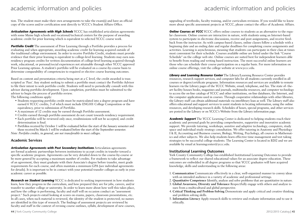## academic information and policies academic information and policies

tion. The student must make their own arrangements to take the exam(s) and have an official copy of the scores and/or certification sent directly to YCCC's Student Affairs Office.

*Articulation Agreements with High Schools* YCCC has established articulation agreements with some Maine high schools and vocational/technical centers for the purpose of awarding academic credit for prior learning which is equivalent to selected YCCC course work.

**Portfolio Credit** The assessment of Prior Learning through a Portfolio provides a process for evaluating and when appropriate, awarding academic credit for learning acquired outside of the traditional college environment. In order to receive Portfolio Credit, students must provide evidence that their prior learning is equivalent to college-level learning. Students may earn nonresidency program credits for written documentation of college-level learning acquired through work, educational, or personal/social experiences not attainable through other YCCC approved Prior Learning options. A student's portfolio will be evaluated on a course-by-course basis to determine comparability of competencies to required or elective course learning outcomes.

Based on content and presentation criteria being met at a C level, the credit awarded is transcripted as 'Pass'. Any student seeking to submit a portfolio must contact the Portfolio Advisor to file their intent to seek portfolio credit. Students will need to periodically consult with this advisor during portfolio development. Upon completion, portfolios must be submitted to the advisor to begin the process of portfolio review.

The following conditions apply:

- Students requesting portfolio credit must be matriculated into a degree program and have earned 6 YCCC credits, 3 of which must include ENG101 College Composition or the equivalency, prior to submission of Portfolio.
- A maximum of 12 credits may be earned through Portfolio assessment.
- Credits earned through portfolio assessment do not count towards residency requirement.
- Each portfolio will be reviewed only once, resubmissions will not be accepted, and credit determination is final.
- Portfolios received by October 1 will be evaluated before the start of the January semester and those received by March 1 will be evaluated before the start of the September semester.

*Note: Portfolio credits, in general, are not transferable to most colleges.*

#### **Academic Services**

*Articulation Agreements with Post Secondary Institutions* Articulation agreements are formal academic partnerships between institutions to accept credits in transfer toward a specific academic program. Agreements can be very detailed down to the course-by-course or be more general by accepting a maximum number of credits. For students to take advantage of an agreement, they must graduate with their Associate's degree before transfer, meet grade requirements for each course, and often maintain a minimum GPA (see individual agreements for details). It is important to be in contact with your potential transfer colleges as early in your academic career as possible.

*Research on Student Learning* YCCC is dedicated to seeking improvement in how students learn, how they progress in the curriculum, and how prepared they are for jobs, careers, and/or transfer to another college or university. In order to learn more about how well this takes place, and how the college is performing, faculty and staff will on occasion conduct an "assessment project." Such projects entail looking at scores on exams, papers, classroom presentations, etc. In all cases, when such material is reviewed, the identity of the student is protected; no names are identified in this type of research. The findings of assessment projects are reviewed by faculty and staff in the context of revising course outlines, syllabi, development of new courses, upgrading of textbooks, faculty training, and/or curriculum revisions. If you would like to know more about specific assessment projects at YCCC, please contact the office of Academic Affairs.

**Online Courses at YCCC** YCCC offers online courses to students as an alternative to the regular classroom. Online courses are interactive in nature, with students using an Internet-based system to participate in electronic discussions, receive and post assignments, and receive feedback from the instructor. As with campus-based classes, online classes follow a schedule with a beginning date and an ending date and regular deadlines for completing course assignments and activities. Learning is asynchronous, meaning that students can participate in their class at times most convenient for their schedule. Courses available online are listed under the link "Course Schedule" on the college web site. Online courses are suited best for independent learners able to benefit from reading and writing based instruction. The most successful online learners are those who can schedule their course participation on a regular basis. For more information on online course offerings, visit the college website at www.yccc.edu.

*Library and Learning Resource Center* The Library/Learning Resource Center provides resources, research support services, and computer labs for all students currently enrolled in all courses or degree/certificate programs. Information resources and services are available to remote learners via the Library pages of the YCCC Website, email, telephone, and fax. The state of- theart facility houses books, magazines and journals, multimedia resources, and computer technology to access the on-line catalogs of YCCC and other institutions, on-line databases, the Internet, and the computer applications used in courses. Through cooperative relationships with other libraries, the Library staff can obtain additional materials via interlibrary loan as well. The Library staff also offers educational and support services to assist students in locating information, using the online resources, and developing research skills. Schedules of hours, special programs, and other services are posted in the Library or on YCCC's Website from the Library information page.

*Academic Support* The YCCC Learning Center is dedicated to helping students reach their academic and personal goals by providing comprehensive, supportive and innovative academic support. We provide tutoring, workshops, assistive and adaptive technology, computers, study space and individual study strategy consultation. We offer tutoring in Anatomy and Physiology I & II, Accounting and Business courses, Biology, Writing, Psychology, all courses in Mathematics and other subjects. We also help students learn effective time management and test taking strategies to be successful college students. The Learning Center is located in B202 and we are available by email at learningcenter@yccc.edu.

#### **Institutional Learning Outcomes**

York County Community College has established Institutional Learning Outcomes to provide a framework to reflect our shared educational values for an associate degree education. These outcomes are embedded in all degree programs so that YCCC graduates will have acquired knowledge, skills and understanding in the following areas:

- 1. **Communication** Communicate effectively in a clear, well-organized manner to convey ideas with an intended audience in a variety of academic and professional settings.
- 2. **Quantitative Competence** Identify, analyze and solve problems that are quantitative in nature.
- 3. **Global Awareness, Diversity and Tolerance** Respectfully engage with others and analyze issues from a multicultural and global perspective.
- 4. **Critical Thinking and Problem-Solving** Demonstrate and apply critical and creative thinking and problem solving skills.
- 5. **Information Literacy** Apply research skills to retrieve and evaluate information and to use it ethically.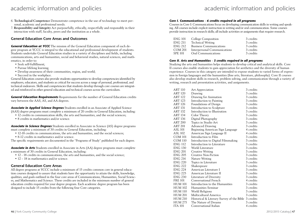- academic information and policies academic information and policies
- 6. **Technological Competence** Demonstrate competence in the use of technology to meet personal, academic and professional needs.
- 7. **Responsibility and Integrity** Act purposefully, ethically, respectfully and responsibly in their interaction with staff, faculty, peers and the institution as a whole.

#### **General Education Core Areas and Outcomes**

*General Education at YCCC* The mission of the General Education component of each degree program at YCCC is integral to the educational and professional development of students. Students undertake General Education studies in a variety of disciplines and fields, including communications, arts and humanities, social and behavioral studies, natural sciences, and mathematics, in order to:

- Seek self-fulfillment;
- Pursue lifelong learning;
- Develop awareness of their communities, region, and world;
- Succeed in the workplace.

General Education courses also provide students opportunities to develop competencies identified by employers, educators, and students as critical for success across a range of personal, professional, and technical endeavors. Skills and competencies that students develop through core courses are integrated and reinforced in other general education and technical courses across the curriculum.

*General Education Requirements* Requirements for the number of General Education credits vary between the AAS, AS, and AA degrees.

*Associate in Applied Science Degrees* Students enrolled in an Associate of Applied Science (AAS) degree programs must complete a minimum of 20 credits in General Education, including:

- 12 credits in communication skills, the arts and humanities, and the social sciences;
- 8 credits in mathematics and/or science.

*Associate in Science Degrees* Students enrolled in Associate in Science (AS) degree programs must complete a minimum of 30 credits in General Education, including:

- 12-18 credits in communications, the arts and humanities, and the social sciences;
- 8-12 credits in mathematics and/or science.

The specific requirements are documented in the "Programs of Study" published for each degree.

*Associate in Arts* Students enrolled in Associate in Arts (AA) degree programs must complete a minimum of 30 credits in General Education, including:

- 12 18 credits in communications, the arts and humanities, and the social science;
- 12 18 in mathematics and/or science.

#### **General Education Core Areas**

All degree programs at YCCC include a minimum of 15 credits common core in general education courses designed to assure that students have the opportunity to attain the skills, knowledge, qualities, and goals outlined in the four core areas of Communications, Humanities, Social Sciences, and Mathematics and Science. These credits are included in the minimum number of general education credits required for your degree program. Each academic degree program has been designed to include 15 credits from the following four Core categories.

#### *Core I. Communications - 6 credits required in all programs*

Courses in Core I: Communications focus on developing communication skills in writing and speaking. All courses include explicit instruction in writing and/or oral communication. Some courses provide instruction in research skills; all include activities or assignments that require research.

| ENG 101 | College Composition            | 3 credits |
|---------|--------------------------------|-----------|
| ENG 211 | <b>Technical Writing</b>       | 3 credits |
| ENG 212 | <b>Business Communications</b> | 3 credits |
| COM 201 | Interpersonal Communications   | 3 credits |
| SPE 101 | Oral Communications            | 3 credits |

#### *Core II. Arts and Humanities - 3 credits required in all programs*

Studying the arts and humanities helps students to develop critical and analytical skills. Core II courses also enable students to gain appreciation for aesthetics and the diversity of human experience. Courses in this category are intended to expose students to varied forms of expression in foreign languages and the humanities (fine arts, literature, philosophy). Core II courses also develop student skills in research, problem solving, and communication through a variety of writing, research and presentation activities, and assignments.

| <b>ART 110</b> | Art Appreciation                                    | 3 credits |
|----------------|-----------------------------------------------------|-----------|
| <b>ART 120</b> | Drawing                                             | 3 credits |
| <b>ART 122</b> | Drawing for Animation                               | 3 credits |
| <b>ART 123</b> | Introduction to Painting                            | 3 credits |
| <b>ART 126</b> | Foundations of Design                               | 3 credits |
| <b>ART 131</b> | Introduction to Sculpture                           | 3 credits |
| <b>ART 132</b> | Introduction to Illustration                        | 3 credits |
| <b>ART 134</b> | Color Theory                                        | 3 credits |
| ART 136        | Digital Photography                                 | 3 credits |
| <b>ART 200</b> | Topics in Studio Art                                | 3 credits |
| <b>ART 201</b> | <b>Advanced Drawing</b>                             | 3 credits |
| <b>ASL 101</b> | Beginning American Sign Language                    | 4 credits |
| <b>ASL 102</b> | American Sign Language II                           | 4 credits |
| <b>COM 101</b> | Introduction to Film                                | 3 credits |
| COM 110        | Introduction to Digital Filmmaking                  | 3 credits |
| <b>ENG 112</b> | Introduction to Literature                          | 3 credits |
| <b>ENG 130</b> | World Literature                                    | 3 credits |
| ENG 201        | <b>Creative Writing</b>                             | 3 credits |
| <b>ENG 205</b> | Creative Non-Fiction                                | 3 credits |
| <b>ENG 216</b> | Nature Writing                                      | 3 credits |
| <b>ENG 220</b> | Topics in Literature                                | 3 credits |
| <b>ENG 222</b> | Shakespeare                                         | 3 credits |
| <b>ENG 224</b> | American Literature I                               | 3 credits |
| <b>ENG 225</b> | American Literature II                              | 3 credits |
| <b>ENG 230</b> | Literature of Diversity                             | 3 credits |
| <b>FRE 101</b> | Conversational French                               | 4 credits |
| <b>HUM 101</b> | Introduction to the Humanities                      | 3 credits |
| <b>HUM 102</b> | Humanities Seminar                                  | 3 credits |
| <b>HUM 110</b> | World Religions                                     | 3 credits |
| <b>HUM 201</b> | Multicultural America                               | 3 credits |
| <b>HUM 210</b> | Historical & Literary Survey of the Bible 3 credits |           |
| <b>HUM 275</b> | The Nature of Dreams                                | 3 credits |
| <b>ITA 101</b> | Conversational Italian                              | 4 credits |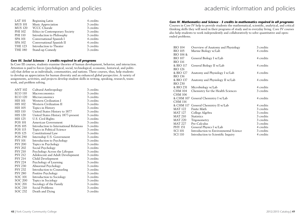| <b>LAT 101</b> | Beginning Latin                | 4 credits |
|----------------|--------------------------------|-----------|
| <b>MUS 101</b> | Music Appreciation             | 3 credits |
| <b>MUS 120</b> | <b>YCCC Chorale</b>            | 3 credits |
| PHI 102        | Ethics in Contemporary Society | 3 credits |
| <b>PHI 110</b> | Introduction to Philosophy     | 3 credits |
| <b>SPA 101</b> | Conversational Spanish I       | 4 credits |
| <b>SPA 102</b> | Conversational Spanish II      | 4 credits |
| <b>THE 123</b> | Introduction to Theater        | 3 credits |
| <b>THE 180</b> | Stand-up Comedy                | 3 credits |

#### *Core III. Social Sciences - 3 credits required in all programs*

In Core III courses, students examine theories of human development, behavior, and interaction. Attention is paid to forces (psychological, social, technological, economic, historical, and political) that define us as individuals, communities, and nations. These courses, thus, help students to develop an appreciation for human diversity and an enhanced global perspective. A variety of assignments, activities, and projects develop student skills in writing, speaking, research, teamwork, and problem solving.

| <b>ANT 102</b> | Cultural Anthropology                   | 3 credits |
|----------------|-----------------------------------------|-----------|
| <b>ECO 110</b> | Macroeconomics                          | 3 credits |
| <b>ECO 120</b> | Microeconomics                          | 3 credits |
| <b>HIS 101</b> | Western Civilization I                  | 3 credits |
| <b>HIS 102</b> | Western Civilization II                 | 3 credits |
| <b>HIS 105</b> | Topics in History                       | 3 credits |
| <b>HIS 110</b> | United States History to 1877           | 3 credits |
| <b>HIS 120</b> | United States History 1877-present      | 3 credits |
| <b>HIS 125</b> | U.S. Civil Rights                       | 3 credits |
| <b>POS 101</b> | American Government                     | 3 credits |
| <b>POS 105</b> | Introduction to International Relations | 3 credits |
| POS 115        | Topics in Political Science             | 3 credits |
| <b>POS 125</b> | Constitutional Law                      | 3 credits |
| <b>POS 290</b> | Internship U.S. Government              | 3 credits |
| <b>PSY 101</b> | Introduction to Psychology              | 3 credits |
| <b>PSY 200</b> | Topics in Psychology                    | 3 credits |
| <b>PSY 202</b> | Social Psychology                       | 3 credits |
| <b>PSY 210</b> | Psychology Across the Lifespan          | 3 credits |
| <b>PSY 212</b> | Adolescent and Adult Development        | 3 credits |
| <b>PSY 214</b> | Child Development                       | 3 credits |
| <b>PSY 224</b> | Psychology of Learning                  | 3 credits |
| <b>PSY 230</b> | Abnormal Psychology                     | 3 credits |
| <b>PSY 232</b> | Introduction to Counseling              | 3 credits |
| <b>PSY 280</b> | Positive Psychology                     | 3 credits |
| SOC 101        | Introduction to Sociology               | 3 credits |
| <b>SOC 200</b> | Topics in Sociology                     | 3 credits |
| <b>SOC 201</b> | Sociology of the Family                 | 3 credits |
| <b>SOC 210</b> | Social Problems                         | 3 credits |
| SOC 232        | Death and Dying                         | 3 credits |
|                |                                         |           |

## academic information and policies academic information and policies

### *Core IV. Mathematics and Science - 3 credits in mathematics required in all programs*

Courses in Core IV help to provide students the mathematical, scientific, analytical, and critical thinking skills they will need in their programs of study and in everyday living. Core IV courses also help students to work independently and collaboratively to solve quantitative and openended problems.

| <b>BIO 104</b> | Overview of Anatomy and Physiology    | 3 credits |
|----------------|---------------------------------------|-----------|
| <b>BIO 105</b> | Marine Biology w/Lab                  | 4 credits |
| BIO 106 &      |                                       |           |
| <b>BIO 107</b> | General Biology I w/Lab               | 4 credits |
| <b>BIO 116</b> |                                       |           |
| & BIO 117      | General Biology II w/Lab              | 4 credits |
| <b>BIO 126</b> |                                       |           |
| & BIO 127      | Anatomy and Physiology I w/Lab        | 4 credits |
| <b>BIO 136</b> |                                       |           |
| & BIO 137      | Anatomy and Physiology II w/Lab       | 4 credits |
| <b>BIO 230</b> |                                       |           |
| & BIO 231      | Microbiology w/Lab                    | 4 credits |
| <b>CHM 104</b> | Chemistry for the Health Sciences     | 3 credits |
| <b>CHM 106</b> |                                       |           |
| & CHM 107      | General Chemistry I w/Lab             | 4 credits |
| <b>CHM 116</b> |                                       |           |
| & CHM 117      | General Chemistry II w/Lab            | 4 credits |
| <b>MAT 122</b> | Finite Math                           | 3 credits |
| <b>MAT 127</b> | College Algebra                       | 3 credits |
| <b>MAT 210</b> | <b>Statistics</b>                     | 3 credits |
| <b>MAT 220</b> | Trigonometry                          | 3 credits |
| <b>MAT 227</b> | Pre-Calculus                          | 3 credits |
| <b>PHY 151</b> | General Physics I w/Lab               | 4 credits |
| <b>SCI 101</b> | Introduction to Environmental Science | 3 credits |
| SCI 110        | Introduction to Scientific Inquiry    | 4 credits |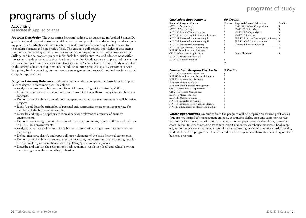## programs of study

# programs of study

#### **Accounting**

**Associate in Applied Science**

*Program Description* The Accounting Program leading to an Associate in Applied Science Degree is designed to provide students with a realistic and practical foundation in general accounting practices. Graduates will have mastered a wide variety of accounting functions essential to modern business and non-profit offices. The graduate will possess knowledge of accounting functions, automated systems, as well as an understanding of overall business processes. The skills gained in the program prepare individuals for initial entry into, and advancement within, the accounting departments of organizations of any size. Graduates are also prepared for transfer to 4-year colleges or universities should they seek a CPA career track. Areas of study in addition to the general education requirements include accounting practices, quality customer service, budgeting, fund accounting, human resource management and supervision, business finance, and computer applications.

*Program Learning Outcomes* Students who successfully complete the Associates in Applied Science degree in Accounting will be able to:

- Analyze contemporary business and financial issues, using critical thinking skills.
- Effectively demonstrate oral and written communication skills to convey essential business concepts.
- Demonstrate the ability to work both independently and as a team member in collaborative projects.
- Identify and describe principles of personal and community engagement appropriate for members of the business community.
- Describe and explain appropriate ethical behavior relevant to a variety of business environments.
- Demonstrate a recognition of the value of diversity in opinions, values, abilities and cultures in all business environments.
- Analyze, articulate and communicate business information using appropriate information technology.
- Define, measure, classify and report all major elements of the basic financial statements.
- Demonstrate the ability to record, analyze, interpret, and communicate accounting data for decision making and compliance with regulatory/governmental agencies.
- Describe and explain the relevant political, economic, regulatory, legal and ethical environment that governs the accounting profession.

#### *Curriculum Requirements 60 Credits*

| <b>Required Program Courses</b>          | <b>Credits</b> | <b>Required General Education</b>       | Сı |
|------------------------------------------|----------------|-----------------------------------------|----|
| ACC 111 Accounting I                     |                | <b>ENG 101 College Composition</b>      |    |
| ACC 112 Accounting II                    |                | MAT 122 Finite Math                     |    |
| ACC 150 Income Tax Accounting            |                | MAT 127 College Algebra                 |    |
| ACC 151 Accounting Software Applications |                | <b>MAT 210 Statistics</b>               |    |
| ACC 201 Intermediate Accounting I        |                | PHI 102 Ethics & Contemporary Society 3 |    |
| ACC 202 Intermediate Accounting II       |                | SPE 101 Oral Communication              |    |
| ACC 204 Managerial Accounting            |                | General Education Core III              |    |
| ACC 205 Governmental Accounting          |                |                                         | 21 |
| BUS 110 Introduction to Business         |                |                                         |    |
| CIS 115 Computer Applications            |                | <b>Open Electives:</b>                  |    |
| ECO 110 Macroeconomics or                |                |                                         |    |
| ECO 120 Microeconomics                   | 3              |                                         |    |
|                                          | 33             |                                         |    |
|                                          |                |                                         |    |

| <b>Required Program Courses</b>          | <b>Credits</b> | <b>Required General Education</b>       | Credits |
|------------------------------------------|----------------|-----------------------------------------|---------|
| ACC 111 Accounting I                     |                | <b>ENG 101 College Composition</b>      |         |
| ACC 112 Accounting II                    |                | MAT 122 Finite Math                     |         |
| ACC 150 Income Tax Accounting            |                | MAT 127 College Algebra                 |         |
| ACC 151 Accounting Software Applications |                | <b>MAT 210 Statistics</b>               |         |
| ACC 201 Intermediate Accounting I        |                | PHI 102 Ethics & Contemporary Society 3 |         |
| ACC 202 Intermediate Accounting II       |                | SPE 101 Oral Communication              |         |
| ACC 204 Managerial Accounting            |                | General Education Core III              |         |
| ACC 205 Governmental Accounting          |                |                                         | 21      |
| BUS 110 Introduction to Business         |                |                                         |         |
| CIS 115 Computer Applications            |                | <b>Open Electives:</b>                  |         |
| $ECO 110$ Macroscopomics or              |                |                                         |         |

#### *Choose from Program Elective List 3 Credits*

| ACC 290 Accounting Internship             |   |
|-------------------------------------------|---|
| BUS 113 Introduction to Personal Finance  | 3 |
| BUS 205 International Business            | 3 |
| BUS 250 Principles of Sales               | 3 |
| BUS 260 Small Business Management         | 3 |
| CIS 214 Spreadsheet Applications          | 3 |
| CIS 217 Database Management               | 3 |
| ECO 110 Macroeconomics                    | 3 |
| ECO 120 Microeconomics                    | 3 |
| FIN 110 Principles of Finance             | 3 |
| FIN 115 Introduction to Financial Markets | 3 |
| FIN 120 Introduction to Money and Banking | 3 |
|                                           |   |

**Career Opportunities** Graduates from the program will be prepared to assume positions as (but are not limited to) management trainees, accounting clerks, assistant customer service representatives, documentation control clerks, accounts payable/receivable clerks, personnel coordinators, tellers, purchasing assistants, credit managers, warehouse managers, bookkeepers, and other positions requiring strong skills in accounting practices operations. Additionally, students from this program can transfer credits into a 4-year baccalaureate accounting or other business program.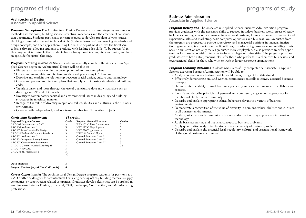## programs of study

#### **Architectural Design**

**Associate in Applied Science**

**Program Description** The Architectural Design Degree curriculum integrates construction methods and materials, building science, structural mechanics and the creation of construction documents. Students participate in team projects to develop problem solving, critical thinking, communication and technical skills. Students learn basic engineering standards and design concepts, and then apply them using CAD. The department utilizes the latest Autodesk software, allowing students to graduate with leading edge skills. To be successful in this program it is desirable that students have a background in computers and math, and have an aptitude for spatial thinking.

**Program Learning Outcomes** Students who successfully complete the Associates in Applied Science degree in Architectural Design will be able to:

- Illustrate a creative vision in the development of architectural plans.
- Create and manipulate architectural models and plans using CAD software.
- Describe and explain the relationship between spatial design, culture and technology.
- Create and present architectural plans that comply with industry standards and building codes.
- Translate vision and ideas through the use of quantitative data and visual aids such as drawings and 2D and 3D models.
- Investigate contemporary societal and environmental issues in designing and building structures in an ethical manner.
- Recognize the value of diversity in opinions, values, abilities and cultures in the business environment.
- Operate both independently and as a team member in collaborative projects.

| <b>Curriculum Requirements</b>       | 61 credits |                                    |                |  |
|--------------------------------------|------------|------------------------------------|----------------|--|
| <b>Required Program Courses</b>      | Credits    | <b>Required General Education</b>  | <b>Credits</b> |  |
| CAD 102 Introduction to CAD          | 3          | <b>ENG 101 College Composition</b> |                |  |
| ARC 106 Architecture I               | 3          | MAT 127 College Algebra            |                |  |
| ARC 107 Intro Sustainable Design     | 3          | MAT 220 Trigonometry               |                |  |
| CAD 110 Technical Graphics Standards | 3          | PHY 151 General Physics            |                |  |
| ARC 202 Architecture II              | 3          | General Education Core I           |                |  |
| ARC 204 Integrated Energy Design     | 3          | General Education Core II          |                |  |
| ARC 207 Construction Documents       |            | General Education Core III         | 3              |  |
| CAD 210 Computer Aided Drafting II   |            |                                    | 22             |  |
| CAD 217 3D CAD                       |            |                                    |                |  |
| CAD 251 3D Presentation              | 3          |                                    |                |  |
|                                      | 30         |                                    |                |  |
|                                      |            |                                    |                |  |

| Open Electives:                            |  |
|--------------------------------------------|--|
| Program Electives (any ARC or CAD prefix): |  |

**Career Opportunities** The Architectural Design Degree prepares students for positions as a CAD drafter or designer for architectural firms, engineering offices, building materials supply companies, or construction related companies. Graduates develop skills that can be applied in Architecture, Interior Design, Structural, Civil, Landscape, Construction, and Manufacturing professions.

## programs of study

#### **Business Administration**

**Associate in Applied Science**

*Program Description* The Associate in Applied Science Business Administration program provides graduates with the necessary skills to succeed in today's business world. Areas of study include accounting, economics, finance, international business, human resource management and supervision, sales and marketing, basic computer operations and business law. Graduates from the program are prepared to pursue supervisory and managerial positions in financial institutions, government, transportation, public utilities, manufacturing, insurance and retailing. Business Administration not only makes graduates more employable, it also provides transfer opportunities for those who wish to transfer to 4-year colleges or universities. The program provides graduates with both entrepreneurial skills for those who prefer to run their own businesses, and organizational skills for those who wish to work in larger corporate organizations.

*Program Learning Outcomes* Students who successfully complete the Associate in Applied Science degree in Business Administration will be able to:

- Analyze contemporary business and financial issues, using critical thinking skills.
- Effectively demonstrate oral and written communication skills to convey essential business concepts.
- Demonstrate the ability to work both independently and as a team member in collaborative projects.
- Identify and describe principles of personal and community engagement appropriate for members of the business community.
- Describe and explain appropriate ethical behavior relevant to a variety of business environments.
- Demonstrate a recognition of the value of diversity in opinions, values, abilities and cultures in all business environments.
- Analyze, articulate and communicate business information using appropriate information technology.
- Apply basic accounting and financial concepts to business problems.
- Apply quantitative analysis to the study of a wide variety of business problems.
- Describe and explain the essential legal, regulatory, cultural and organizational framework of the global business environment.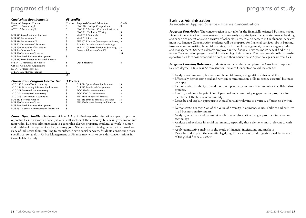| <b>Curriculum Requirements</b> |  |
|--------------------------------|--|
|--------------------------------|--|

| <b>Required Program Courses</b>          | <b>Credits</b> | <b>Required General Education</b>       | <b>Credits</b> |
|------------------------------------------|----------------|-----------------------------------------|----------------|
| ACC 111 Accounting I                     | 3              | <b>ENG 101 College Composition</b>      | 3              |
| ACC 112 Accounting II                    | 3              | ENG 212 Business Communications or      |                |
|                                          |                | ENG 211 Technical Writing               |                |
| BUS 110 Introduction to Business         | 3              | MAT 122 Finite Math                     |                |
| BUS 115 Management I                     | 3              | <b>MAT 210 Statistics</b>               |                |
| BUS 116 Management II                    | 3              | PHI 102 Ethics & Contemporary Society 3 |                |
| BUS 205 International Business           | 3              | PSY 101 Introduction to Psychology      |                |
| BUS 230 Principles of Marketing          | 3              | or SOC 101 Introduction to Sociology    | 3              |
| BUS 244 Business Law                     | 3              | General Education Core IV               | 3              |
| BUS 250 Principles of Sales or           |                |                                         | 21             |
| BUS 260 Small Business Management        | 3              |                                         |                |
| BUS 113 Introduction to Personal Finance |                |                                         |                |
| or FIN110 Principles of Finance          | 3              | <b>Open Elective:</b>                   | 3              |
| CIS 115 Computer Applications            | 3              |                                         |                |
| ECO 110 Macroeconomics                   |                |                                         |                |
| or ECO 120 Microeconomics                | 3              |                                         |                |
|                                          | 36             |                                         |                |

**63 credits** 

#### *Choose from Program Elective List 3 Credits*

| ACC 150 Income Tax Accounting              |   | CIS 214 Spreadsheet Applications   | 3 |
|--------------------------------------------|---|------------------------------------|---|
| ACC 151 Accounting Software Applications   |   | CIS 217 Database Management        | 3 |
| ACC 201 Intermediate Accounting            |   | ECO 110 Macroeconomics             | 3 |
| ACC 204 Managerial Accounting              |   | ECO 120 Microeconomics             | 3 |
| <b>ACC 205 Government Accounting</b>       | 3 | FIN 110 Principles of Finance      | 3 |
| BUS 113 Personal Finance                   |   | FIN 115 Intro to Financial Markets | 3 |
| BUS 250 Principles of Sales                |   | FIN 120 Intro to Money and Banking | 3 |
| BUS 260 Small Business Management          |   |                                    |   |
| BUS 293 Business Administration Internship |   |                                    |   |

*Career Opportunities* Graduates with an A.A.S. in Business Administration expect to pursue opportunities in a variety of occupations in all sectors of the economy, business, government and nonprofits. Business administration is a generalist degree-preparing students to work in junior and mid-level management and supervisory jobs. Students with this degree work in a broad variety of industries from retailing to manufacturing to social services. Students considering more specific career goals in Office Management or Finance may wish to consider concentrations in those fields of study.

#### **Business Administration**

**Associate in Applied Science - Finance Concentration**

**Program Description** The concentration is suitable for the financially oriented Business major. Finance Concentration majors master cash-flow analysis, principles of corporate finance, banking and securities operations and a variety of other skills essential to careers in the financial services industry. Finance Concentration students will be prepared for financial-services jobs in banking, insurance and securities, financial planning, bank branch management, insurance agency sales and management. Students already employed in the financial services industry will find the Finance Concentration program useful in advancing their careers. The program also offers transfer opportunities for those who wish to continue their education at 4-year colleges or universities.

*Program Learning Outcomes* Students who successfully complete the Associate in Applied Science degree in Business Administration, Finance Concentration will be able to:

- Analyze contemporary business and financial issues, using critical thinking skills.
- Effectively demonstrate oral and written communication skills to convey essential business concepts.
- Demonstrate the ability to work both independently and as a team member in collaborative projects.
- Identify and describe principles of personal and community engagement appropriate for members of the business community.
- Describe and explain appropriate ethical behavior relevant to a variety of business environments.
- Demonstrate a recognition of the value of diversity in opinions, values, abilities and cultures in all business environments.
- Analyze, articulate and communicate business information using appropriate information technology.
- Analyze and evaluate financial statements, especially those elements most relevant to cash flows.
- Apply quantitative analysis to the study of financial institutions and markets.
- Describe and explain the essential legal, regulatory, cultural and organizational framework of the global financial system.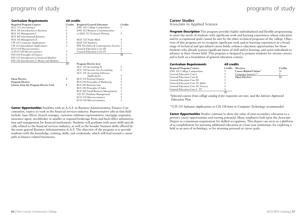| <b>Curriculum Requirements</b>            | 60 credits |                                         |                |  |
|-------------------------------------------|------------|-----------------------------------------|----------------|--|
| <b>Required Program Courses</b>           | Credits    | <b>Required General Education</b>       | <b>Credits</b> |  |
| ACC 111 Accounting I                      | 3          | <b>ENG 101 College Composition</b>      | 3              |  |
| BUS 110 Introduction to Business          | 3          | <b>ENG 212 Business Communication</b>   |                |  |
| BUS 115 Management I                      | 3          | or ENG 211 Technical Writing            | 3              |  |
| BUS 205 International Business            | 3          |                                         |                |  |
| BUS 116 Management II                     | 3          | MAT 122 Finite Math                     | 3              |  |
| CIS 115 Computer Applications             | 3          | <b>MAT 210 Statistics</b>               | 3              |  |
| CIS 214 Spreadsheet Applications          | 3          | PHI 102 Ethics & Contemporary Society 3 |                |  |
| ECO 110 Macroeconomics                    |            | General Education Core III              | 3              |  |
| or ECO 120 Microeconomics                 | 3          | General Education Core IV               | 3              |  |
| FIN 110 Principles of Finance             | 3          |                                         | 21             |  |
| FIN 115 Introduction to Financial Markets | 3          |                                         |                |  |
| FIN 120 Introduction to Money and Markets | 3          |                                         |                |  |
|                                           | 33         | Program Elective List:                  |                |  |
|                                           |            | ACC 112 Accounting II                   | 3              |  |
|                                           |            | ACC 150 Income Tax Accounting           | 3              |  |
|                                           |            | ACC 151 Accounting Software             |                |  |
|                                           |            | Applications                            | 3              |  |
| <b>Open Elective</b>                      | 3          | BUS 113 Personal Finance                | 3              |  |
| <b>Program Elective</b>                   |            | BUS 230 Principles of Marketing         | 3              |  |
| (choose from the Program Elective List)   | 3          | BUS 244 Business Law                    | 3              |  |
|                                           |            | BUS 250 Principles of Sales             | 3              |  |
|                                           |            | BUS 260 Small Business Management       | 3              |  |
|                                           |            | CIS 217 Database Management             | 3              |  |
|                                           |            | ECO 110 Macroeconomics                  | 3              |  |
|                                           |            | ECO 120 Microeconomics                  | 3              |  |

*Career Opportunities* Students with an A.A.S. in Business Administration; Finance Concentration, expect to work in the financial services industry. Representative jobs in that field include: loan officer, branch manager, customer relations representative, mortgage originator, insurance agent, stockbroker in smaller or regional brokerage firms and back-office administration and management for financial institutions. Students will graduate with more skills specifically related to the financial services industry, as well as the broader business skills offered by the more general Business Administration A.A.S. The objective of the program is to provide students with the knowledge, training, skills, and credentials, which will lead toward a career path in finance-related businesses.

#### **Career Studies**

**Associate in Applied Science**

*Program Description* This program provides highly individualized and flexible programming to meet the needs of students with significant work and learning experiences whose education and/or occupational goals cannot be met by the other technical programs of the college. Objectives of this program are to recognize significant work and/or learning experiences in a broad range of technical and specialized career fields; enhance education opportunities for those students who already possess significant bases of skill and/or learning; and assist individuals to advance in their chosen field. This program is designed to prepare students for various careers and is built on a foundation of general education courses.

| <b>Curriculum Requirements</b>     | 60 credits     |                                |                |
|------------------------------------|----------------|--------------------------------|----------------|
| <b>Required Program Courses</b>    | <b>Credits</b> | Electives:                     | <b>Credits</b> |
| <b>ENG 101 College Composition</b> | 3              | <b>Career Related Cluster*</b> | 24             |
| General Education Core I           | 3              | Computer Literacy**            |                |
| General Education Core II          | 3              | <b>Open Electives</b>          | 12             |
| General Education Core III         | 3              |                                |                |
| General Education Core IV, Math    |                |                                |                |
| General Education Core IV, Science |                |                                |                |
| General Education Core I - IV      |                |                                |                |
|                                    | 21             |                                |                |

*\*Selected courses from college catalog if pre-requisites are met, and the Advisor Approved Education Plan*

*\*\*CIS 115 Software Applications or CIS 118 Intro to Computer Technology recommended*

**Career Opportunities** Studies continue to show the value of post-secondary education to a person's career opportunities and earning potential. Many employers look upon the Associate Degree as a minimum requirement for skilled occupations. This degree can serve as a platform of accomplishment for pursuing additional education at a four-year institution; for exploring a field in an area of technology; or for attaining personal or career goals.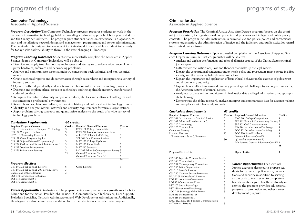#### **Computer Technology**

**Associate in Applied Science** 

**Program Description** The Computer Technology program prepares students to work in the corporate information technology field by providing a balanced approach of both practical skills and the theory behind them. The program gives students hands-on experience in diagnostic, repair, and installation; network design and management; programming and server administration. The curriculum is designed to develop critical thinking skills and enable a student to be ready for today's jobs and the ability to thrive in the ever-changing IT landscape.

**Program Learning Outcomes** Students who successfully complete the Associate in Applied Science degree in Computer Technology will be able to:

- Describe and apply trouble-shooting techniques and strategies to solve a wide range of computer hardware, software and networking problems.
- Analyze and communicate essential industry concepts in both technical and non-technical terms.
- Create technical reports and documentation through researching and interpreting a variety of industry sources.
- Operate both independently and as a team member on information technology projects.
- Describe and explain ethical issues in technology and the applicable industry standards and codes of conduct.
- Recognize the value of diversity in opinions, values, abilities and cultures of colleagues and customers in a professional environment.
- Research and explain how culture, economics, history and politics affect technology trends.
- Identify and analyze system, network and security requirements for various organizations.
- Apply problem-solving concepts and quantitative analysis to the study of a wide variety of technology problems.

| <b>Curriculum Requirements</b>              | 60 credits     |                                         |                |
|---------------------------------------------|----------------|-----------------------------------------|----------------|
| <b>Required Program Courses</b>             | <b>Credits</b> | <b>Required General Education</b>       | <b>Credits</b> |
| CIS 118 Introduction to Computer Technology | 3              | <b>ENG 101 College Composition</b>      | 3              |
| CIS 152 Computer Hardware                   | 3              | <b>ENG 212 Business Communications</b>  |                |
| NET 110 Networking Essentials I             | 3              | or ENG 211 Technical Writing            | 3              |
| CIS 131 Visual Programming I or             |                | SPE 101 Oral Communications             | 3              |
| CIS 141 Object-Oriented Programming I       | 3              | MAT 127 College Algebra or              |                |
| CIS 230 Desktop and Server Administration I | 3              | MAT 122 Finite Math                     | 3              |
| CIS 217 Database Management                 | 3              | <b>MAT 210 Statistics</b>               |                |
| CIS 220 Information Security                | 3              | PHI 102 Ethics & Contemporary Society 3 |                |
|                                             | 21             | General Education Core III              | 3              |
|                                             |                | <b>General Education Core IV</b>        | 3              |
|                                             |                |                                         | 24             |
| <b>Program Electives</b>                    |                |                                         |                |
| CIS, MUL, NET or WEB Elective               | 6              | <b>Open Elective:</b>                   | 3              |
| CIS, MUL, NET or WEB 200 Level Elective     | 3              |                                         |                |
| Choose one of the following:                | 3              |                                         |                |
| BUS 110 Introduction to Business            |                |                                         |                |

*Career Opportunities* Graduates will be prepared entry level positions in a growth area for both Maine and for the nation. Possible jobs include: PC Computer Repair Technicians, User Support/ Helpdesk Specialist, Network Administrator, and Web Developer or Administrator. Additionally, this degree can also be used as a foundation for further studies in a baccalaureate program.

### **Criminal Justice**

**Associate in Applied Science**

*Program Description* The Criminal Justice Associate Degree program focuses on the criminal justice system, its organizational components and processes and its legal and public policy contexts. The program includes instruction in criminal law and policy, police and correctional systems organization, the administration of justice and the judiciary, and public attitudes regarding criminal justice issues.

*Program Learning Outcomes* Upon successful completion of the Associate of Applied Science Degree in Criminal Justice, graduates will be able to:

- Analyze and explain the functions and roles of all major aspects of the United States criminal justice system.
- Differentiate the institutions, laws and theories that make up the legal system.
- Explain the constitutional constraints under which police and prosecutors must operate in a free society, and the reasoning behind these limitations.
- Explain the importance and application of basic ethical behavior in the exercise of public trust and discretionary authority.
- Explain how multiculturalism and diversity present special challenges to, and opportunities for, the American system of criminal justice.
- Analyze, articulate and communicate criminal justice data and legal information using appropriate technology.
- Demonstrate the ability to record, analyze, interpret and communicate data for decision making and compliance with laws and protocols.

|  | <b>Curriculum Requirements</b> |  | 61 credits |
|--|--------------------------------|--|------------|
|--|--------------------------------|--|------------|

| <b>Required Program Courses</b>          | <b>Credits</b> | <b>Required General Education</b>        | Credits |
|------------------------------------------|----------------|------------------------------------------|---------|
| CJS 101 Introduction to Criminal Justice |                | <b>ENG 101 College Composition</b>       |         |
| CJS 102 Ethics and Leadership in CJ      |                | PHI 102 Ethics & Contemporary Society 3  |         |
| CJS 120 Criminology                      |                | SPE 101 Oral Communication               |         |
| CJS 125 Criminal Law                     |                | PSY 101 Introduction to Psychology       |         |
| Computer Literacy                        |                | SOC 101 Introduction to Sociology        | 3       |
| Program Electives                        | 15             | SOC 210 Social Problems                  |         |
| (9 credits must be in CJS courses)       |                | General Education Core IV                | 6       |
|                                          | 30             | (3 credits must be in math)              |         |
|                                          |                | Lab Science, General Education Core IV 4 |         |

**28**

#### **Program Elective List Open Elective 3**

| CJS 105 Topics in Criminal Justice     | 3 |
|----------------------------------------|---|
| CJS 140 Criminalistics                 | 3 |
| CJS 201 Contemporary Corrections       | 3 |
| CJS 205 Police Organizations           | 3 |
| CJS 210 Juvenile Justices              | 3 |
| CJS 290 Criminal Justice Internship    | 3 |
| HUM 201 Multicultural America          | 3 |
| POS 101 American Government            | 3 |
| POS 125 Constitutional Law             | 3 |
| PSY 202 Social Psychology              | 3 |
| PSY 230 Abnormal Psychology            | 3 |
| SOC 201 Sociology of the Family        | 3 |
| BUS 115 Management I or                |   |
| BUS 116 Management II                  | 3 |
| ENG 212/ENG 211 Business Communication |   |
| or Technical Writing                   | 3 |

*Career Opportunities* The Criminal

Justice degree is designed to prepare students for careers in police work, corrections and security in addition to serving as the basis to transfer on to complete a baccalaureate degree. For those already in service the program provides educational progress for promotion and other career development purposes.

BUS 115 Management I BUS 116 Management II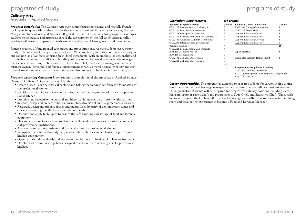#### **Culinary Arts Associate in Applied Science**

**Program Description** The Culinary Arts curriculum focuses on classical and nouvelle French cooking techniques with hands-on classes that encompass knife-skills, stocks and sauces, Garde-Manger, and International and American Regional Cuisine. The Culinary Arts program encourages students to be creative and artistic as part of the development of the full set of classical skills. Students will learn to prepare food with attention to balance of flavors, aroma and presentation.

Routine practice of fundamental techniques and procedures ensures our students every opportunity to be successful in any culinary endeavor. We cook, taste, and talk about food everyday in our cooking labs. We focus on using fresh, local ingredients, with an emphasis on seasonality and sustainable resources. In addition to building culinary expertise, we also focus on the management concepts necessary to be a successful Executive Chef, food service manager or culinary business owner. Personnel and financial management as well as menu design, inventory and cost control are all important parts of the training required to be a professional in the culinary arts.

**Program Learning Outcomes** Upon successful completion of the Associate of Applied Science Degree in Culinary Arts, graduates will be able to:

- Create dishes using the classical cooking and baking techniques that form the foundation of the professional kitchen.
- Identify the techniques, science and artistry behind the preparation of dishes in a professional kitchen.
- Describe and recognize the cultural and historical influences on different world cuisines.
- Research, design and prepare dishes and menus for a diversity of cultural preferences and needs.
- Research, design and prepare dishes and menus for a diversity of contemporary issues and concerns including specific health and dietary needs.
- Describe and apply techniques to ensure the safe handling and storage of food and kitchen equipment.
- Plan and create recipes and menus that match the scale and finances of various commercial/professional institutions.
- Analyze contemporary business and financial issues of a professional kitchen.
- Recognize the value of diversity in opinions, values, abilities and cultures in a professional kitchen environment.
- Operate both independently and as a team member in a professional kitchen environment.
- Develop and communicate policies designed to achieve the financial goals of a professional kitchen.

#### *Curriculum Requirements 64 credits*

| Required Program Courses                 | Сr |
|------------------------------------------|----|
| CUL 102 Introduction to Culinary Arts    |    |
| CUL 104 Food Service Sanitation          | 3  |
| CUL 108 Principles of Nutrition          | 3  |
| CUL 106 Foundational Culinary Techniques |    |
| CUL 156 Advanced Culinary Techniques     |    |
| CUL 256 International and American       |    |
| Regional Cuisine                         |    |
| CUL 221 Baking, Pastry, and Desserts     |    |
| BUS 115 Management I or                  |    |
| BUS 116 Management II                    | 3  |
| CUL 131 Culinary Operations I            |    |
| CUL 231 Culinary Operations II           | 3  |
|                                          | 34 |

| Credits | <b>Required General Education</b>    | Credits |
|---------|--------------------------------------|---------|
| 3       | <b>ENG 101 College Composition</b>   |         |
|         | MAT 122 Finite Math                  |         |
|         | General Education Core I             |         |
| 4       | General Education Core II            |         |
|         | General Education Core III           |         |
|         | <b>General Education Core IV</b>     | 6       |
|         |                                      | 21      |
|         |                                      |         |
|         | <b>Open Elective</b>                 |         |
|         |                                      |         |
|         | <b>Computer Literacy Requirement</b> | 3       |
|         |                                      |         |
|         |                                      |         |

**Program Elective (choose 3 credits)** CUL 290 Culinary Internship BUS 115 Management I or BUS 116 Management II Any CUL course

**Career Opportunities** This program is designed to prepare students for careers in fine dining restaurants, in food and beverage management and as restaurant or culinary business owners. Upon graduation students will be prepared for progressive culinary positions including Garde-Mangers, sauté or pastry chefs and progressing to Sous-Chefs and Executive Chefs. Those wishing to look beyond the kitchen will have the knowledge and skills to pursue careers in the dining room and develop the experience to become a Food and Beverage Manager.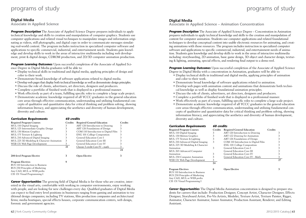#### **Digital Media**

**Associate in Applied Science**

**Program Description** The Associate of Applied Science Degree prepares individuals to apply technical knowledge and skills to creation and manipulation of computer graphics. Students use computer applications and related visual techniques to manipulate images and information originating as videos, still photographs, and digital copy in order to communicate messages simulating real-world content. The program includes instruction in specialized computer software and applications to specific commercial, industrial, and entertainment needs. Students gain knowledge and develop skills to work in the areas of interactive multimedia including web development, print & digital design, CDROM production, and 2D/3D computer animation production.

**Program Learning Outcomes** Upon successful completion of the Associate of Applied Science Degree in Digital Media graduates will be able to:

- Display technical skills in traditional and digital media, applying principles of design and color to their work.
- Demonstrate broad knowledge of software applications related to digital media.
- Develop web pages that display both technical knowledge as well as demonstrate design principles.
- Discuss the role of clients, advertisers, art directors, designers and producers.
- Complete a portfolio of finished work that is displayed in a professional manner.
- Work effectively as part of a team, fulfilling specific roles to complete a large scale project.
- Demonstrate academic knowledge required of all YCCC graduates in the general education core areas through effective communication, understanding and utilizing fundamental concepts of qualitative and quantitative data for critical thinking and problem solving, showing information literacy, and appreciating the aesthetics and diversity of human development, diversity and culture.

| <b>Curriculum Requirements</b>            | 60 credits     |                                      |                |
|-------------------------------------------|----------------|--------------------------------------|----------------|
| <b>Required Program Courses</b>           | <b>Credits</b> | <b>Required General Education</b>    | <b>Credits</b> |
| MUL 110 Digital Imaging                   | 3              | ART 120 Introduction to Drawing      | 3              |
| MUL 125 Intermediate Graphic Design       | 3              | ART 126 Foundations of Design        | 3              |
| MUL 130 Motion Graphics                   | 3              | COM 110 Introduction to Digital Film | 3              |
| MUL 175 Texture & Lighting                | 3              | <b>ENG 101 College Composition</b>   | 3              |
| MUL 210 Advanced Digital Imaging          | 3              | General Education Core I             | 3              |
| MUL 225 3D Modeling & Character Animation | 3              | General Education Core III           | 3              |
| WEB 131 Web Page Development              | 3              | General Education Core IV            | 3              |
|                                           | 21             | Choose 3 credit Core IV – math       | 3              |
|                                           |                |                                      | 24             |
| 200-level Program Elective                | 3              | <b>Open Elective</b>                 | 3              |
| <b>Program Electives</b>                  | 9              |                                      |                |
| BUS 110 Introduction to Business          |                |                                      |                |
| BUS 230 Principles of Marketing           |                |                                      |                |
| Any CAD, MUL or WEB prefix                |                |                                      |                |
| CIS 131 Visual Programming I              |                |                                      |                |

**Career Opportunities** The growing field of Digital Media is for those who are creative, interested in the visual arts, comfortable with working in computer environments, enjoy working with people, and are looking for new challenges every day. Qualified graduates of Digital Media can expect to find entry level positions in businesses ranging from gaming and animation to traditional design companies; including TV stations, film production companies and architectural firms; media boutiques, special effects houses, corporate communication centers, web design, forensic and government agencies.

CIS 131 Visual Programming I

**Associate in Applied Science – Animation Concentration**

*Program Description* The Associate of Applied Science Degree – Concentration in Animation prepares individuals to apply technical knowledge and skills to the creation and manipulation of content for computer animation. Students use computer applications and related foundational techniques to develop conceptual content into usable electronic resources for animating, and creating animations with those resources. The program includes instruction in specialized computer software and applications to specific commercial, industrial, and entertainment needs of animation. Students gain knowledge and develop skills to work in the areas of interactive multimedia including: storyboarding, 2D animation, basic game design, 3D object and character design, texturing & lighting, animating, special effects, and rendering final output to a demo reel.

*Program Learning Outcomes* Upon successful completion of the Associate of Applied Science Degree in Digital Media with a concentration in Animation, graduates will be able to:

- Display technical skills in traditional and digital media, applying principles of animation and color to their work.
- Demonstrate broad knowledge of software applications related to animation.
- Develop web pages with animation content and animations that demonstrate both technical knowledge as well as display foundational animation principles.
- Discuss the role of clients, advertisers, art directors, designers and producers.
- Complete a portfolio of finished work that is displayed in a professional manner.
- Work effectively as part of a team, fulfilling specific roles to complete a large scale project.
- Demonstrate academic knowledge required of all YCCC graduates in the general education core areas through effective communication, understanding and utilizing fundamental concepts of qualitative and quantitative data for critical thinking and problem solving, showing information literacy, and appreciating the aesthetics and diversity of human development, diversity and culture.

| <b>Curriculum Requirements</b>   | 60 credits |                                      |         |    |
|----------------------------------|------------|--------------------------------------|---------|----|
| <b>Required Program Courses</b>  | Credits    | <b>Required General Education</b>    | Credits |    |
| MUL 110 Digital Imaging          | 3          | ART 120 Introduction to Drawing      |         |    |
| MUL 130 Motion Graphics          | 3          | ART 122 Drawing for Animation        |         |    |
| MUL 175 Texture & Lighting       | 3          | ART 126 Foundations of Design        |         |    |
| MUL 210 Advanced Digital Imaging | 3          | COM 110 Introduction to Digital Film |         |    |
| MUL 225 3D Modeling & Character  |            | <b>ENG 101 College Composition</b>   |         |    |
| Animation                        | 3          | General Education Core I             |         |    |
| MUL 265 Advanced Computer        |            | General Education Core III           |         |    |
| Animation                        | 3          | General Education Core IV            |         |    |
| MUL 230 Computer Animation       | 3          | General Education Core IV - Math     |         | 3  |
| WEB 131 Web Page Development     | 3          |                                      |         | 27 |
|                                  | 24         |                                      |         |    |
| <b>Program Electives</b>         | 6          | <b>Open Elective</b>                 |         | 3  |
| BUS 110 Introduction to Business |            |                                      |         |    |
| BUS 230 Principles of Marketing  |            |                                      |         |    |
| Any CAD, MUL or WEB prefix       |            |                                      |         |    |

*Career Opportunities* The Digital Media Animation concentration is designed to prepare students for careers that include: Production Designer, Concept Artist, Character Designer, Effects Designer, Storyboard Artist, Pre-Vis Artists, Modeler, Texture Artist, Texture Painter, Rigger, Animator, Character Animator, Junior Animator, Production Assistant, Renderer, and Editing Assistant.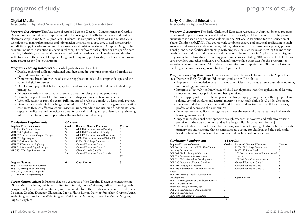#### **Digital Media**

**Associate in Applied Science - Graphic Design Concentration**

*Program Description* The Associate of Applied Science Degree – Concentration in Graphic Design prepares individuals to apply technical knowledge and skills to the layout and design of electronic graphic and textual products. Students use computer applications and related visual techniques to manipulate images and information originating as artwork, digital photography, and digital copy in order to communicate messages simulating real-world Graphic Design. The program includes instruction in specialized computer software and applications to specific commercial, industrial, and entertainment needs of design. Students gain knowledge and develop skills to work in the areas of Graphic Design including web, print media, illustration, and managing resources for final outsourcing.

**Program Learning Outcomes** Successful graduates will be able to:

- Display technical skills in traditional and digital media, applying principles of graphic design and color to their work.
- Demonstrate broad knowledge of software applications related to graphic design, and creation of digital resources.
- Develop web pages that both display technical knowledge as well as demonstrate design principles.
- Discuss the role of clients, advertisers, art directors, designers and producers.
- Complete a portfolio of finished work that is displayed in a professional manner.
- Work effectively as part of a team, fulfilling specific roles to complete a large scale project.
- Demonstrate academic knowledge required of all YCCC graduates in the general education core areas through effective communication, understanding and utilizing fundamental concepts of qualitative and quantitative data for critical thinking and problem solving, showing information literacy, and appreciating the aesthetics and diversity.

| <b>Curriculum Requirements</b>      | 60 credits     |                                      |                |
|-------------------------------------|----------------|--------------------------------------|----------------|
| <b>Required Program Courses</b>     | <b>Credits</b> | <b>Required General Education</b>    | <b>Credits</b> |
| CAD 251 3D Presentations            | 3              | ART 120 Introduction to Drawing      | 3              |
| MUL 110 Digital Imaging             | 3              | ART 126 Foundations of Design        | 3              |
| MUL 125 Intermediate Graphic Design | 3              | ART 132 Introduction to Illustration | 3              |
| MUL 126 Typography                  | 3              | COM 110 Introduction to Digital Film | 3              |
| MUL 130 Motion Graphics             | 3              | <b>ENG 101 College Composition</b>   |                |
| MUL 175 Texture and Lighting        | 3              | General Education Core I             |                |
| MUL 210 Advanced Digital Imaging    | 3              | General Education Core III           |                |
| WEB 131 Web Page Development        | 3              | Choose 3 credit Core IV              | 3              |
|                                     | 24             | General Education Core IV - Math     | 3              |
|                                     |                |                                      | 27             |
| <b>Program Electives:</b>           | 6              | <b>Open Elective</b>                 | 3              |
| BUS 110 Introduction to Business    |                |                                      |                |
| BUS 230 Principles of Marketing     |                |                                      |                |
| Any CAD, MUL or WEB prefix          |                |                                      |                |

*Career Opportunities* Industries that hire graduates of the Graphic Design concentration in Digital Media includes, but is not limited to: Internet, mobile/wireless, online marketing, web design/development, and traditional print. Potential jobs in those industries include: Production Designer, Graphic Designer, Illustrator, Digital Photo Editor, Desktop Publisher, Graphic Artist, Web Designer, Production Web Designer, Multimedia Designer, Interactive Media Designer, Digital Graphics.

### **Early Childhood Education**

**Associate in Applied Science** 

**Program Description** The Early Childhood Education Associate in Applied Science program is designed to prepare students as skilled and creative early childhood educators. The program curriculum is based upon the standards set by the National Association for the Education of Young Children (NAEYC). The coursework combines theory and practical application in such areas as child growth and development, child guidance and curriculum development, professional growth, and facility directorship with emphasis on such issues as meeting the individual needs of the child, cultural diversity, and inclusion. The Associate in Applied Science Degree program includes two student teaching practicum courses totaling 300 hours in the field. Home care providers and other childcare professionals may utilize their sites for the program's observation course component. All students are required to complete their 300 hours of student teaching at licensed sites approved by the Department.

**Program Learning Outcomes** Upon successful completion of the Associate in Applied Science Degree in Early Childhood Education, graduates will be able to:

- Express a firm knowledge base of concepts and ideas that include curriculum development, methodology, and assessment.
- Integrate effectively the knowledge of child development with the application of learning theories, appropriate principles and best practices.
- Create appropriate instructional plans to actively engage young learners through problem solving, critical thinking and natural inquiry to meet each child's level of development.
- Use clear and effective communication skills (oral and written) with children, parents, professional peers and the community.
- Demonstrate the ability to recognize and meet the needs of diverse learners in the early learning environment.
- Engage in professional development through research, innovative and reflective writing practices in the education field and as life-long skills. [Information Literacy]
- Demonstrate a true enthusiasm for learning, working with young children birth through primary-age and teaching that encompasses advocating for children and the early childhood profession through service to others and professional collaboration.

#### *Curriculum Requirements 64 credits*

| <b>Required Program Courses</b>          | Credits | <b>Required General Education</b>     | <b>Credits</b> |
|------------------------------------------|---------|---------------------------------------|----------------|
| ECE 101 Introduction to ECE: The Child's |         | ENG 101 College Composition           | 3              |
| Learning Environment                     | 3       | MAT 122 Finite Math                   | 3              |
| ECE 108 Health Safety & Nutrition        |         | SCI 101 Introduction to Environmental |                |
| ECE 170 Observation & Assessment         |         | Science                               | 3              |
| ECE 111 Child Growth & Development       | 3       | SPE 101 Oral Communications           | 3              |
| ECE 190 Guidance of Young Children       | 3       | General Education Core II             | 3              |
| ECE 202 Language & Literacy              | 3       | General Education Core III            | 3              |
| ECE 206 Education of Children w/ Special |         | General Education Core IV             | 3              |
| Needs                                    | 3       |                                       | 21             |
| ECE 207 Infant & Toddler Curriculum      |         |                                       |                |
| Development                              | 3       | <b>Open Elective</b>                  | 3              |
| ECE 210 Management of Child Care Centers | 3       |                                       |                |
| ECE 219 Curriculum –                     |         |                                       |                |
| Preschool through Primary-age            |         |                                       |                |
| ECE 255 Practicum I 3 Open Electives:    |         |                                       |                |
| ECE 265 Practicum II                     |         |                                       |                |
| EDU 160 Technology in Education          | 3       |                                       |                |
|                                          | 40      |                                       |                |

CIS 131 Visual Programming I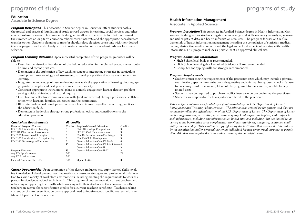#### **Education**

**Associate in Science Degree**

*Program Description* This Associate in Science degree in Education offers students both a theoretical and practical foundation of study toward careers in teaching, social services and other education-based careers. This program is designed to allow students to tailor their coursework to their immediate or long-term education related career interests and the appropriate baccalaureate transfer option. Students planning to transfer should select electives consistent with their desired transfer program and work closely with a transfer counselor and an academic advisor for course selection.

**Program Learning Outcomes** Upon successful completion of this program, graduates will be able to:

- Describe the historical foundation of the field of education in the United States, current public laws and recent practices.
- Demonstrate the application of key teaching concepts, integrating strategies in curriculum development, methodology and assessment, to develop a positive effective environment for learning.
- Integrate the knowledge of human development with the application of learning theories, appropriate principles and best practices in a diverse society.
- Construct appropriate instructional plans to actively engage each learner through problem solving, critical thinking and natural inquiry.
- Use clear and effective communication skills (oral and written) through professional collaboration with learners, families, colleagues and the community.
- Illustrate professional development in research and innovative/reflective writing practices in the education field.
- Demonstrate leadership through strong professional ethics and contributions to the education profession.

| <b>Curriculum Requirements</b>         | 61 credits |                                          |                |
|----------------------------------------|------------|------------------------------------------|----------------|
| <b>Required Program Courses</b>        | Credits    | <b>Required General Education</b>        | <b>Credits</b> |
| EDU 102 Introduction to Teaching       | 3          | <b>ENG 101 College Composition</b>       | 3              |
| ECE 170 Observation & Assessment       | 3          | SPE 101 Oral Communications              |                |
| EDU 206 Instructional Strategies       | 3          | PSY 101 Introduction to Psychology       | 3              |
| EDU 105 Introduction to Exceptionality | 3          | PSY 214 Child Development                |                |
| EDU 160 Technology in Education        | 3          | General Education Core IV, Math          | h              |
|                                        | 15         | General Education Core IV, Lab Science 4 |                |
|                                        |            | General Education Core II                |                |
| <b>Program Electives</b>               | 15         | General Education Core II-III            | 3              |
| Any EDU prefix course                  | $3-15$     |                                          | 28             |
| Any ECE prefix course                  | $3-15$     |                                          |                |
| General Education Core I-IV            | $3-15$     | <b>Open Elective</b>                     | 3              |

*Career Opportunities* Upon completion of this degree graduates may apply learned skills involving knowledge of development, teaching methods, classroom strategies and professional collaboration to a wide variety of workplace environments including meeting the requirements to work as a paraprofessional/educational technician II. This program of courses may aid current teachers with refreshing or upgrading their skills while working with their students in the classroom or offer teachers an avenue for recertification credits for a current teaching certificate. Teachers seeking current certificate recertification course approval need to inquire about specific courses with the Maine Department of Education.

#### **Health Information Management**

**Associate in Applied Science** 

*Program Description* This Associate in Applied Science degree in Health Information Management is designed for students to gain the knowledge and skills necessary to analyze, manage and utilize patient data and health information resources. The program focuses on the fundamentals of health information management including the compilation of statistics, medical coding, abstracting medical records and the legal and ethical aspects of working with health information. This program includes a practicum at an approved clinical site.

#### *Program Admissions Information*

- High School level biology is recommended.
- High School level Algebra I required & Algebra II are recommended.
- Computer and typing skills are strongly recommended.

#### *Program Requirements*

- Students must meet the requirements of the practicum sites which may include a physical examination, specific immunizations, drug testing and criminal background checks. Failure to do so may result in non-completion of the program. Students are responsible for any related costs.
- Students may be required to purchase liability insurance before beginning the practicum.
- Students are responsible for transportation related to the practicum.

*This workforce solution was funded by a grant awarded by the U.S. Department of Labor's Employment and Training Administration. The solution was created by the grantee and does not necessarily reflect the official position of the U.S. Department of Labor. The Department of Labor makes no guarantees, warranties, or assurances of any kind, express or implied, with respect to such information, including any information on linked sites and including, but not limited to, accuracy of the information or its completeness, timeliness, usefulness, adequacy, continued availability, or ownership. This solution is copyrighted by the institution that created it. Internal use, by an organization and/or personal use by an individual for non-commercial purposes, is permissible. All other uses require the prior authorization of the copyright owner.*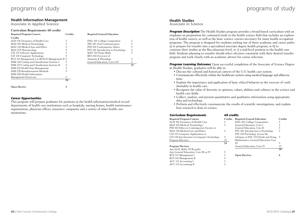#### **Health Information Management**

**Associate in Applied Science**

#### **Curriculum Requirements: 60 credits**

| <b>Required Program Courses</b>                | Credits | <b>Required General Education</b>  |    |
|------------------------------------------------|---------|------------------------------------|----|
| <b>Credits</b>                                 |         |                                    |    |
| ALH 101 Dynamics of Health Care                | 3       | <b>ENG 101 College Composition</b> | 3  |
| MAS 105 Medical Terminology                    | 3       | SPE 101 Oral Communication         | 3  |
| MAS 120 Medical Law and Ethics                 | 3       | PHI 102 Contemporary Ethics        | 3  |
| MAS 225 Pharmacology                           |         | PSY 101 Introduction to Psychology | 3  |
| CIS 115 Software Applications                  | 3       | MAT 122 Finite Math                | 3  |
| CIS 118 Computer Technology                    | 3       | BIO 104 Overview of                |    |
| BUS 115 Management I or BUS116 Management II 3 |         | Anatomy & Physiology               | 3  |
| HIM 120 Coding and Classification Systems I    | 3       | General Education, Core I-IV       | 3  |
| HIM 125 Coding and Classification Systems II   | 3       |                                    | 21 |
| HIM 210 Health Data Management                 | 3       |                                    |    |
| HIM 220 Reimbursement Methods                  | 3       |                                    |    |
| HIM 290 Health Information                     |         |                                    |    |
| Management Practicum                           | 3       |                                    |    |
|                                                | 36      |                                    |    |
| <b>Open Elective</b>                           | 3       |                                    |    |

#### *Career Opportunities*

This program will prepare graduates for positions in the health information/medical record departments of health care institutions such as hospitals, nursing homes, health maintenance organizations, physician offices, insurance companies and a variety of other health care institutions.

## programs of study brograms of study

#### **Health Studies**

**Associate in Science**

**Program Description** The Health Studies program provides a broad-based curriculum with an emphasis on preparation for continued study in the health science field that includes an exploration of health careers, as well as the basic science courses necessary for many health occupation programs. The program is designed for students seeking one of three academic and career paths: a) to prepare for transfer into a specialized associate degree health program; or b) to continue their studies at the Baccalaureate level; or c) a mid-level position in the health-care field. Students planning to transfer should select electives consistent with their desired transfer program and work closely with an academic advisor for course selection.

**Program Learning Outcomes** Upon successful completion of the Associate of Science Degree in Health Studies, graduates will be able to:

- Discuss the cultural and historical context of the U.S. health care system.
- Communicate effectively within the healthcare system using medical language and abbreviations.
- Explain the importance and application of basic ethical behavior in the exercise of confidentiality in health care.
- Recognize the value of diversity in opinions, values, abilities and cultures in the science and health care fields.
- Collect, analyze, and present quantitative and qualitative information using appropriate data and technology.
- Perform and effectively communicate the results of scientific investigations, and explain how research is done in science.

| <b>Curriculum Requirements</b>              | 60 credits |                                       |                |
|---------------------------------------------|------------|---------------------------------------|----------------|
| <b>Required Program Courses</b>             | Credits    | <b>Required General Education</b>     | <b>Credits</b> |
| ALH 101 Dynamics of Health Care             | 3          | <b>ENG 101 College Composition</b>    | 3              |
| MAS 105 Medical Terminology                 | 3          | General Education, Core I             |                |
| PHI 102 Ethics in Contemporary Society or   |            | General Education, Core II            |                |
| MAS 120 Medical Law and Ethics              | 3          | PSY 101 Introduction to Psychology    | 3              |
| CIS 115 Computer Applications or            |            | PSY 210 Psychology Across the         |                |
| CIS 118 Introduction to Computer Technology | 3          | Lifespan or SOC 232 Death and Dying 3 |                |
| Program Electives                           | 12         | Mathematics, General Education Core   |                |
|                                             | 24         | IV                                    | 3              |
| <b>Program Electives</b>                    |            | General Education, Core IV            | 12             |
| Any ALH, MAS, NUR prefix                    |            |                                       | 30             |
| Any General Education, Core III or IV       | 3          |                                       |                |
| BUS 115 Management I                        | 3          | <b>Open Electives</b>                 | 6              |
| BUS 116 Management II                       |            |                                       |                |
| ACC 111 Accounting I                        |            |                                       |                |
| ACC 112 Accounting II                       |            |                                       |                |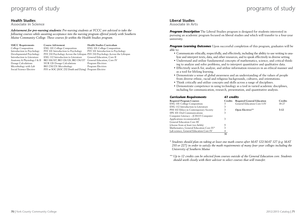#### **Health Studies**

**Associate in Science**

*Advisement for pre-nursing students: Pre-nursing students at YCCC are advised to take the following courses while awaiting acceptance into the nursing program offered jointly with Southern Maine Community College. These courses fit within the Health Studies program.*

SMCC Requirements **Course Advisement Health Studies Curriculum** 

College Composition ENG 101 College Composition ENG 101 College Composition Introduction to Psychology PSY 101 Introduction to Psychology PSY 101 Introduction to Psychology Developmental Psychology PSY 210 Psychology Across the Lifespan PSY 210 Psychology Across the Lifespan Introduction to Literature ENG 112 Introduction to Literature General Education, Core II Anatomy & Physiology I & II BIO 106/107, BIO 126/126, BIO 136/137 General Education, Core IV Dosage Calculations NUR 126 Dosage Calculations Program Electives BIO 230/231 Microbiology Program Electives Social Science Elective PSY or SOC (SOC 232 Death and Dying) Program Elective

#### **Liberal Studies**

**Associate in Arts**

**Program Description** The Liberal Studies program is designed for students interested in pursuing an academic program focused on liberal studies and which will transfer to a four-year university.

**Program Learning Outcomes** Upon successful completion of this program, graduates will be able to:

- Communicate ethically, respectfully, and effectively, including the ability to use writing to analyze and interpret texts, data, and other resources, and to speak effectively in diverse setting.
- Understand and utilize fundamental concepts of mathematics, science, and critical thinking to analyze and solve problems, and to interpret quantitative and qualitative data.
- Effectively search for, analyze, and utilize information resources in an ethical manner and as a tool for lifelong learning.
- Demonstrate a sense of global awareness and an understanding of the values of people from diverse ethnic, racial and religious backgrounds, cultures, and orientations.
- Think critically and utilize concepts and skills across a range of disciplines.
- Demonstrate competence in using technology as a tool in varied academic disciplines, including for communication, research, presentation, and quantitative analysis.

#### *Curriculum Requirements 61 credits*

| <b>Required Program Courses</b>         | <b>Credits</b> | <b>Required General Education</b> | <b>Credits</b> |
|-----------------------------------------|----------------|-----------------------------------|----------------|
| <b>ENG 101 College Composition</b>      | 3              | General Education Core I-IV       | 18-27          |
| ENG 112 Introduction to Literature      | 3              |                                   |                |
| PHI 102 Ethics in Contemporary Society  | 3              | <b>Open Electives**</b>           | $3-12$         |
| SPE 101 Oral Communications             | 3              |                                   |                |
| Computer Literacy – (CIS115 Computer    |                |                                   |                |
| Applications recommended)               | 3              |                                   |                |
| General Education Core III              |                |                                   |                |
| (choose from at least two fields)       | 9              |                                   |                |
| Mathematics, General Education Core IV* | 3              |                                   |                |
| Lab science, General Education Core IV  | 4              |                                   |                |
|                                         | 31             |                                   |                |

*\* Students should plan on taking at least one math course after MAT 122/MAT 127 (e.g. MAT 210 or 227) in order to satisfy the math requirements of many four-year colleges including the University of Southern Maine*

*\*\* Up to 12 credits can be selected from courses outside of the General Education core. Students should work closely with their advisor to select courses that will transfer.*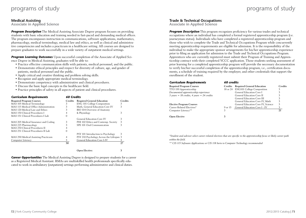#### **Medical Assisting**

**Associate in Applied Science**

**Program Description** The Medical Assisting Associate Degree program focuses on providing students with basic education and training needed in fast-paced and demanding medical offices. The program encompasses instruction in communications, software applications, mathematics, pharmacology, medical terminology, medical law and ethics, as well as clinical and administrative competencies and includes a practicum in a healthcare setting. All courses are designed to prepare graduates to work successfully in a wide variety of outpatient medical settings.

*Program Learning Outcomes* Upon successful completion of the Associate of Applied Science Degree in Medical Assisting, graduates will be able to:

- Practice effective communication skills with patients, medical personnel, and the public.
- Demonstrate ethical principles and respect for diversity of culture, age, and gender of patients, medical personnel and the public.
- Apply critical and creative thinking and problem solving skills.
- Recognize and apply appropriate medical terminology.
- Demonstrate competency with administrative and clinical procedures.
- Discuss the basic legal concepts in the healthcare field.
- Practice principles of safety in all aspects of patient and clinical procedures.

| <b>60 Credits</b><br><b>Curriculum Requirements</b> |                                          |                |  |
|-----------------------------------------------------|------------------------------------------|----------------|--|
| <b>Credits</b>                                      | <b>Required General Education</b>        | <b>Credits</b> |  |
| 3                                                   | <b>ENG 101 College Composition</b>       | 3              |  |
| 3                                                   | Math, General Education Core IV          | 3              |  |
| 3                                                   | BIO 104 Overview of Anatomy              |                |  |
|                                                     | & Physiology                             | 3              |  |
| 0                                                   |                                          |                |  |
|                                                     | General Education Core IV                | 3              |  |
| 3                                                   | PHI 102 Ethics and Contemp. Society      | 3              |  |
| 3                                                   | SPE 101 Oral Communication               | 3              |  |
|                                                     |                                          |                |  |
| 0                                                   |                                          |                |  |
|                                                     | PSY 101 Introduction to Psychology       | 3              |  |
| 4                                                   | PSY 210 Psychology Across the Lifespan 3 |                |  |
| 3                                                   | General Education Core I-IV              | 3              |  |
| 30                                                  |                                          | 27             |  |
|                                                     |                                          |                |  |
|                                                     |                                          |                |  |

**Open Elective: 3**

*Career Opportunities* The Medical Assisting Degree is designed to prepare students for a career as a Registered Medical Assistant. RMAs are multiskilled health professionals specifically educated to work in ambulatory (outpatient) settings performing administrative and clinical duties.

#### **Trade & Technical Occupations**

**Associate in Applied Science**

**Program Description** This program recognizes proficiency for various trades and technical occupations where an individual has completed a formal registered apprenticeship program (i.e. journeyman status). Individuals who have completed a registered apprenticeship program and those who wish to complete the Trade and Technical Occupations Program while concurrently meeting apprenticeship requirements are eligible for admission. It is the responsibility of the individual to make the appropriate sponsor arrangements for his/her apprenticeship experience prior to filing an application for admission to the Trade and Technical Occupations Program. Apprentices who are currently registered must submit their Program of Training and Apprenticeship contract with their completed YCCC application. Those students seeking assessment of prior learning for a completed apprenticeship program will provide the necessary documentation to verify his/her successful completion of the apprenticeship program, i.e., certification documents, a schedule of training required by the employer, and other credentials that support the enrollment of the student.

| <b>Curriculum Requirements</b>                                                  |         | 60 credits                          |         |  |  |  |  |
|---------------------------------------------------------------------------------|---------|-------------------------------------|---------|--|--|--|--|
| <b>Required Program Courses</b>                                                 |         | Credits Required General Education  | Credits |  |  |  |  |
| TTO 199 Apprenticeship                                                          |         | 18 or 24 ENG101 College Composition | 3       |  |  |  |  |
| Documented apprenticeship experience                                            |         | General Education Core I            |         |  |  |  |  |
| $3 \text{ years} = 18 \text{ credits}$ , $4 \text{ years} = 24 \text{ credits}$ |         | General Education Core II           |         |  |  |  |  |
|                                                                                 |         | General Education Core III          |         |  |  |  |  |
|                                                                                 |         | General Education Core IV, Math     | 3       |  |  |  |  |
| <b>Elective Program Courses</b>                                                 |         | General Education Core IV, Science  | 3       |  |  |  |  |
| Career Related Electives*                                                       | 9 or 15 | General Education Core I - IV       | 3       |  |  |  |  |
| Computer Literacy**                                                             | 3       |                                     | 21      |  |  |  |  |
| Open Elective                                                                   |         |                                     |         |  |  |  |  |

*\*Student and advisor select career-related electives that are specific to the apprenticeship focus or likely career path within the field.*

*\*\* CIS 115 Software Applications or CIS 118 Inrto to Computer Technology recommended*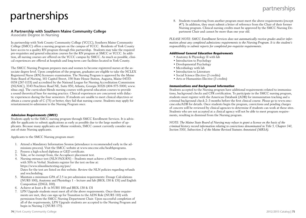# partnerships  $\frac{1}{2}$

#### **A Partnership with Southern Maine Community College**

**Associate Degree in Nursing**

In partnership with York County Community College (YCCC), Southern Maine Community College (SMCC) offers a nursing program on the campus of YCCC. Residents of York County have access to a quality RN program through this partnership. Students may take the required pre-requisites and general education courses for the RN program at SMCC or YCCC. In addition, all nursing courses are offered on the YCCC campus by SMCC. As much as possible, clinical experiences are offered at hospitals and long-term care facilities located in York County.

The SMCC Nursing Program prepares men and women to become registered nurses at the associate degree level. Upon completion of the program, graduates are eligible to take the NCLEX Registered Nurse (RN) licensure examination. The Nursing Program is approved by the Maine State Board of Nursing, 161 Capitol Street, 158 State House Station, Augusta, Maine 04333- 0158 (287-1133) and accredited by the National League for Nursing Accreditation Commission (NLNAC), 3343 Peachtree Road NE, Suite 850, Atlanta, Georgia 30326 (404-975-5000, www. nlnac.org). The curriculum blends nursing courses with general education courses to provide a sound theoretical base for nursing practice. Clinical experiences are concurrent with didactic experiences during the four semesters. If students are unable to meet clinical objectives or obtain a course grade of C (75) or better, they fail that nursing course. Students may apply for reinstatement/re-admission to the Nursing Program once.

#### *Admission Requirements (SMCC)*

Students apply to the SMCC nursing program through SMCC Enrollment Services. It is advisable for applicants to submit applications as early as possible due to the large number of applicants. Because many applicants are Maine residents, SMCC cannot currently consider any out-of-state Nursing applicants.

Applicants to the SMCC Nursing program must:

- 1. Attend a Mandatory Information Session (attendance is recommended early in the admissions process). Visit the SMCC website at www.smccme.edu/healthprograms.
- 2. Possess a high-school diploma or GED certificate.
- 3. Take, or be exempt from, the Accuplacer placement test.
- 4. Nursing entrance test (NLN PAX-RN) Students must achieve a 60% Composite score, with 50% in Verbal. Students register for the test on-line at: https://www.nlnonlinetesting.org/pax/ Dates for the test are listed on this website. Review the NLN policies regarding refunds and rescheduling.
- 5. Maintain a minimum GPA of 2.5 in pre-admission requirements: Dosage Calculations (NURS 100), Anatomy and Physiology 1 – lecture and lab (BIOL 130 & 131) and English Composition (ENGL 100).
- 6. Achieve at least a B- in NURS 100 and BIOL 130 & 131
- 7. LPN Upgrade students must meet all of the above requirements. Once these requirements are met, they can sign up for Transition to the ADN Role (NURS 110) with permission from the SMCC Nursing Department Chair. Upon successful completion of all of the requirements, LPN Upgrade students are accepted to the Nursing Program and begin in Nursing 2 (NURS 175).

#7). In addition, they must submit a letter of reference from the Chair of their former Nursing program. Clinical nursing credits must be approved by the SMCC Nursing Department Chair and cannot be more than one year old.

*PLEASE NOTE: SMCC Enrollment Services does not automatically receive grades and/or information about any completed admissions requirements to the Nursing Program. It is the student's responsibility to submit reports for completed pre-requisite requirements.*

#### *Additional General Education Requirements*

- Anatomy & Physiology II with lab
- Introduction to Psychology
- Developmental Psychology
- Microbiology with lab
- Introduction to Literature
- Social Science Elective (3 credits)
- Arts or Humanities Elective (3 credits)

#### *Immunizations and Background Information*

Students accepted to the Nursing program have additional requirements related to immunizations, background checks and CPR certification. To participate in the SMCC nursing program, students must register with the American Databank (ADB) for immunization tracking and a criminal background check 2–3 months before the first clinical course. Please go to www.smccme.edu/ADB for details. Once students begin the program, convictions and pending charges of concern will be reviewed by clinical agencies to determine if students can work at these sites. Students who are not accepted at a clinical agency will not be able to meet program requirements, resulting in dismissal from the Nursing program.

*NOTE: The Maine State Board of Nursing may refuse to grant a license on the basis of the criminal history record information relating to convictions denominated in Title 5, Chapter 341, Section 5301, Subsection 2 of the Maine Revised Statutes Annotated (MRSA).*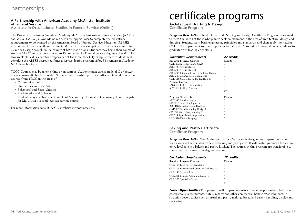### partnerships

#### **A Partnership with American Academy McAllister Institute of Funeral Service**

**Associate in Occupational Studies in Funeral Service (Online)**

The Partnership between American Academy McAllister Institute of Funeral Service (AAMI) and YCCC (YCCC) allows Maine residents the opportunity to complete the educational requirements to be licensed by the American Board of Funeral Service Education (ABFSE) as a Funeral Director while remaining in Maine (with the exception of a two-week clinical in New York City) through online courses at both institutions. Students may begin their course of study at YCCC and then transfer up to 15 credits to the Funeral Service degree at AAMI. The two-week clinical is a capstone experience at the New York City campus where students will complete the ABFSE accredited funeral service degree program offered by American Academy McAllister Institute.

YCCC Courses may be taken online or on campus. Students must earn a grade of C or better in the courses eligible for transfer. Students may transfer up to 12 credits of General Education courses from YCCC in the areas of:

- Communications
- Humanities and Fine Arts
- Behavioral and Social Studies
- Mathematics and Science
- Students may also transfer 3 credits of Accounting I from YCCC allowing them to register for McAllister's second level accounting course.

For more information consult YCCC's website at www.yccc.edu.

# certificate programs

**Architectural Drafting & Design Certificate Program**

*Program Description* The Architectural Drafting and Design Certificate Program is designed to meet the needs of those who plan to seek employment in the area of architectural design and drafting. Students learn basic engineering principles and standards, and then apply them using CAD. The department routinely upgrades to the latest Autodesk software, allowing students to graduate with leading edge skills.

| <b>Curriculum Requirements</b>            | 27 credits     |
|-------------------------------------------|----------------|
| <b>Required Program Courses</b>           | <b>Credits</b> |
| CAD 102 Introduction to CAD               | 3              |
| ARC 106 Architecture I                    | 3              |
| ARC 202 Architecture II                   | 3              |
| ARC 204 Integrated Energy Building Design | 3              |
| <b>ARC 207 Construction Documents</b>     | 3              |
| CAD 210 Computer-Aided Drafting II        | 3              |
| Program Elective                          | 3              |
| ENG 101 College Composition               | 3              |
| MAT 127 College Algebra                   | 3              |
|                                           | 27             |
|                                           |                |
| <b>Program Elective List</b>              | <b>Credits</b> |
| ARC 105 Interior Design I                 | 3              |
| ARC 215 Land Development                  | 3              |
| BUS 110 Introduction to Business          | 3              |
| CAD 107 Solid Modeling Design I           | 3              |
| CIS 131 Visual Programming I              | 3              |
| CIS 214 Spreadsheet Applications          | 3              |
| MUL 110 Digital Imaging                   | 3              |

#### **Baking and Pastry Certificate**

**Certificate Program**

**Program Description** The Baking and Pastry Certificate is designed to prepare the student for a career in the specialized field of baking and pastry arts. It will enable graduates to take an entry level role in a baking and pastry kitchen. The courses in this program are transferable to the culinary arts associates degree program.

| <b>Curriculum Requirements</b>           | 17 credits     |
|------------------------------------------|----------------|
| <b>Required Program Courses</b>          | <b>Credits</b> |
| CUL 104 Food Service Sanitation          | 3              |
| CUL 106 Foundational Culinary Techniques | 4              |
| CUL 143 Artisan Breads                   | 3              |
| CUL 221 Baking, Pastry and Desserts      | 4              |
| CUL 223 Specialty Cakes                  | 3              |
|                                          |                |

**Career Opportunities** This program will prepare graduates to serve as professional bakers and pastry cooks in restaurants, hotels, resorts and other commercial baking establishments. Instruction covers topics such as bread and pastry making, bread and pastry handling, display and packaging.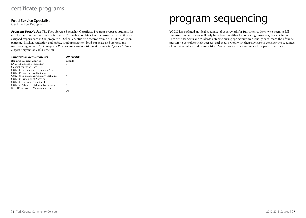### certificate programs

#### **Food Service Specialist**

**Certificate Program**

*Program Description* The Food Service Specialist Certificate Program prepares students for employment in the food service industry. Through a combination of classroom instruction and assigned experiences in the program's kitchen lab, students receive training in nutrition, menu planning, kitchen sanitation and safety, food preparation, food purchase and storage, and meal serving. *Note: This Certificate Program articulates with the Associate in Applied Science Degree Program in Culinary Arts.*

| <b>Curriculum Requirements</b>           | 29 credits     |
|------------------------------------------|----------------|
| <b>Required Program Courses</b>          | <b>Credits</b> |
| <b>ENG 101 College Composition</b>       | 3              |
| General Education Core I-IV              | 3              |
| CUL 102 Introduction to Culinary Arts    | 3              |
| CUL 104 Food Service Sanitation          | 3              |
| CUL 106 Foundational Culinary Techniques |                |
| CUL 108 Principles of Nutrition          | 3              |
| CUL 131 Culinary Operations I            | З              |
| CUL 156 Advanced Culinary Techniques     |                |
| BUS 115 or Bus 116 Management I or II    | 3              |
|                                          | 79             |

# program sequencing

YCCC has outlined an ideal sequence of coursework for full-time students who begin in fall semester. Some courses will only be offered in either fall or spring semesters, but not in both. Part-time students and students entering during spring/summer usually need more than four semesters to complete their degrees, and should work with their advisors to consider the sequence of course offerings and prerequisites. Some programs are sequenced for part-time study.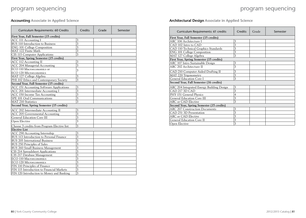## program sequencing

## program sequencing

### **Accounting Associate in Applied Science**

| Curriculum Requirements: 60 Credits             | <b>Credits</b> | Grade | Semester |
|-------------------------------------------------|----------------|-------|----------|
| <b>First Year, Fall Semester (15 credits)</b>   |                |       |          |
| ACC 111 Accounting I                            | 3              |       |          |
| BUS 110 Introduction to Business                | 3              |       |          |
| <b>ENG 101 College Composition</b>              | 3              |       |          |
| MAT 122 Finite Math                             | 3              |       |          |
| CIS 115 Computer Applications                   | 3              |       |          |
| First Year, Spring Semester (15 credits)        |                |       |          |
| ACC 112 Accounting II                           | 3              |       |          |
| ACC 204 Managerial Accounting                   | 3              |       |          |
| ECO 110 Macroeconomics or                       | 3              |       |          |
| ECO 120 Microeconomics                          |                |       |          |
| MAT 127 College Algebra                         | 3              |       |          |
| PHI 102 Ethics and Contemporary Society         | 3              |       |          |
| Second Year, Fall Semester (15 credits)         |                |       |          |
| <b>ACC 151 Accounting Software Applications</b> | 3              |       |          |
| ACC 201 Intermediate Accounting I               | 3              |       |          |
| ACC 150 Income Tax Accounting                   | 3              |       |          |
| SPE 101 Oral Communications                     | 3              |       |          |
| <b>MAT 210 Statistics</b>                       | 3              |       |          |
| Second Year, Spring Semester (15 credits)       |                |       |          |
| ACC 202 Intermediate Accounting II              | 3              |       |          |
| ACC 205 Governmental Accounting                 | 3              |       |          |
| <b>General Education Core III</b>               | 3              |       |          |
| Open Elective                                   | 3              |       |          |
| Choose 3 credits from Program Elective list     | 3              |       |          |
| <b>Elective List</b>                            |                |       |          |
| ACC 290 Accounting Internship                   | 3              |       |          |
| BUS 113 Introduction to Personal Finance        | 3              |       |          |
| <b>BUS 205 International Business</b>           | 3              |       |          |
| BUS 250 Principles of Sales                     | 3              |       |          |
| BUS 260 Small Business Management               | 3              |       |          |
| CIS 214 Spreadsheet Applications                | 3              |       |          |
| CIS 217 Database Management                     | 3              |       |          |
| ECO 110 Macroeconomics                          | 3              |       |          |
| ECO 120 Microeconomics                          | 3              |       |          |
| FIN 110 Principles of Finance                   | 3              |       |          |
| FIN 115 Introduction to Financial Markets       | 3              |       |          |
| FIN 120 Introduction to Money and Banking       | 3              |       |          |

### **Architectural Design Associate in Applied Science**

| Curriculum Requirements: 61 credits       | Credits        | Grade | Semester |
|-------------------------------------------|----------------|-------|----------|
| First Year, Fall Semester (15 credits)    |                |       |          |
| ARC 106 Architecture I                    | 3              |       |          |
| CAD 102 Intro to CAD                      | 3              |       |          |
| CAD 110 Technical Graphics Standards      | 3              |       |          |
| <b>ENG 101 College Composition</b>        | 3              |       |          |
| MAT 127 College Algebra                   | 3              |       |          |
| First Year, Spring Semester (15 credits)  |                |       |          |
| ARC 107 Intro Sustainable Design          | 3              |       |          |
| ARC 202 Architecture II                   | 3              |       |          |
| CAD 210 Computer Aided Drafting II        | 3              |       |          |
| MAT 220 Trigonometry                      | 3              |       |          |
| General Education Core I                  | 3              |       |          |
| Second Year, Fall Semester (16 credits)   |                |       |          |
| ARC 204 Integrated Energy Building Design | 3              |       |          |
| CAD 217 3D CAD                            | 3              |       |          |
| PHY 151 General Physics                   | $\overline{4}$ |       |          |
| <b>General Education Core III</b>         | 3              |       |          |
| ARC or CAD Elective                       | 3              |       |          |
| Second Year, Spring Semester (15 credits) |                |       |          |
| <b>ARC 207 Construction Documents</b>     | 3              |       |          |
| CAD 251 3D Presentation                   | 3              |       |          |
| ARC or CAD Elective                       | 3              |       |          |
| <b>General Education Core II</b>          | 3              |       |          |
| Open Elective                             | 3              |       |          |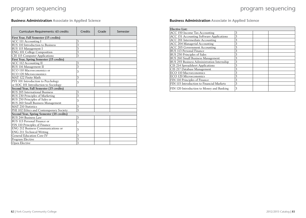### **Business Administration Associate in Applied Science**

| Curriculum Requirements: 63 credits       | Credits | Grade | Semester |
|-------------------------------------------|---------|-------|----------|
| First Year, Fall Semester (15 credits)    |         |       |          |
| <b>ACC 111 Accounting I</b>               | 3       |       |          |
| <b>BUS 110 Introduction to Business</b>   | 3       |       |          |
| BUS 115 Management I                      | 3       |       |          |
| <b>ENG 101 College Composition</b>        | 3       |       |          |
| CIS 115 Computer Applications             | 3       |       |          |
| First Year, Spring Semester (15 credits)  |         |       |          |
| <b>ACC 112 Accounting II</b>              | 3       |       |          |
| BUS 116 Management II                     | 3       |       |          |
| ECO 110 Macroeconomics or                 | 3       |       |          |
| <b>ECO 120 Microeconomics</b>             |         |       |          |
| MAT 122 Finite Math                       | 3       |       |          |
| PSY 101 Introduction to Psychology        | 3       |       |          |
| or SOC 101 Introduction to Sociology      |         |       |          |
| Second Year, Fall Semester (15 credits)   |         |       |          |
| <b>BUS 205 International Business</b>     | 3       |       |          |
| BUS 230 Principles of Marketing           | 3       |       |          |
| BUS 250 Principles of Sales or            | 3       |       |          |
| BUS 260 Small Business Management         |         |       |          |
| <b>MAT 210 Statistics</b>                 | 3       |       |          |
| PHI 102 Ethics and Contemporary Society   | 3       |       |          |
| Second Year, Spring Semester (18 credits) |         |       |          |
| <b>BUS 244 Business Law</b>               | 3       |       |          |
| BUS 113 Personal Finance or               | 3       |       |          |
| FIN 110 Principles of Finance             |         |       |          |
| ENG 212 Business Communications or        | 3       |       |          |
| ENG 211 Technical Writing                 |         |       |          |
| <b>General Education Core IV</b>          | 3       |       |          |
| Program Elective                          | 3       |       |          |
| Open Elective                             | 3       |       |          |

#### **Business Administration Associate in Applied Science**

| <b>Elective List:</b>                      |   |
|--------------------------------------------|---|
| ACC 150 Income Tax Accounting              | 3 |
| ACC 151 Accounting Software Applications   | 3 |
| ACC 201 Intermediate Accounting            | 3 |
| ACC 204 Managerial Accounting              | 3 |
| <b>ACC 205 Government Accounting</b>       | 3 |
| BUS 113 Personal Finance                   | 3 |
| BUS 250 Principles of Sales                | 3 |
| BUS 260 Small Business Management          | 3 |
| BUS 293 Business Administration Internship | 3 |
| CIS 214 Spreadsheet Applications           | 3 |
| CIS 217 Database Management                | 3 |
| ECO 110 Macroeconomics                     | 3 |
| ECO 120 Microeconomics                     | 3 |
| FIN 110 Principles of Finance              | 3 |
| FIN 115 Introduction to Financial Markets  | 3 |
| FIN 120 Introduction to Money and Banking  | 3 |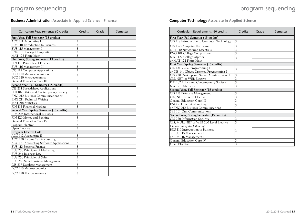**Business Administration Associate in Applied Science - Finance** 

| Curriculum Requirements: 60 credits       | Credits | Grade | Semester |
|-------------------------------------------|---------|-------|----------|
| First Year, Fall Semester (15 credits)    |         |       |          |
| ACC 111 Accounting I                      | 3       |       |          |
| BUS 110 Introduction to Business          | 3       |       |          |
| BUS 115 Management I                      | 3       |       |          |
| <b>ENG 101 College Composition</b>        | 3       |       |          |
| MAT 122 Finite Math                       | 3       |       |          |
| First Year, Spring Semester (15 credits)  |         |       |          |
| FIN 110 Principles of Finance             | 3       |       |          |
| BUS 116 Management II                     | 3       |       |          |
| CIS 115 Computer Applications             | 3       |       |          |
| ECO 110 Macroeconomics or                 | 3       |       |          |
| ECO 120 Microeconomics                    |         |       |          |
| <b>General Education Core III</b>         | 3       |       |          |
| Second Year, Fall Semester (15 credits)   |         |       |          |
| CIS 214 Spreadsheet Applications          | 3       |       |          |
| PHI 102 Ethics and Contemporary Society   | 3       |       |          |
| ENG 212 Business Communications or        | 3       |       |          |
| ENG 211 Technical Writing                 |         |       |          |
| <b>MAT 210 Statistics</b>                 | 3       |       |          |
| FIN 115 Financial Markets                 | 3       |       |          |
| Second Year, Spring Semester (15 credits) |         |       |          |
| <b>BUS 205 International Business</b>     | 3       |       |          |
| FIN 120 Money and Banking                 | 3       |       |          |
| <b>General Education Core IV</b>          | 3       |       |          |
| Program Elective                          | 3       |       |          |
| Open Elective                             | 3       |       |          |
| <b>Program Elective List:</b>             |         |       |          |
| <b>ACC 112 Accounting II</b>              | 3       |       |          |
| ACC 150 Income Tax Accounting             | 3       |       |          |
| ACC 151 Accounting Software Applications  | 3       |       |          |
| <b>BUS 113 Personal Finance</b>           | 3       |       |          |
| BUS 230 Principles of Marketing           | 3       |       |          |
| <b>BUS 244 Business Law</b>               | 3       |       |          |
| BUS 250 Principles of Sales               | 3       |       |          |
| BUS 260 Small Business Management         | 3       |       |          |
| CIS 217 Database Management               | 3       |       |          |
| ECO 110 Macroeconomics                    | 3       |       |          |
| ECO 120 Microeconomics                    | 3       |       |          |

### **Computer Technology Associate in Applied Science**

| Curriculum Requirements: 60 credits         | Credits                 | Grade | Semester |
|---------------------------------------------|-------------------------|-------|----------|
| First Year, Fall Semester (15 credits)      |                         |       |          |
| CIS 118 Introduction to Computer Technology | 3                       |       |          |
| CIS 152 Computer Hardware                   | 3                       |       |          |
| NET 110 Networking Essentials I             | 3                       |       |          |
| <b>ENG 101 College Composition</b>          | 3                       |       |          |
| MAT 127 College Algebra                     | 3                       |       |          |
| or MAT 122 Finite Math                      |                         |       |          |
| First Year, Spring Semester (15 credits)    |                         |       |          |
| CIS 131 Visual Programming I                | 3                       |       |          |
| or CIS 141 Object Oriented Programming I    |                         |       |          |
| CIS 230 Desktop and Server Administration I | 3                       |       |          |
| CIS, NET, or WEB Elective                   | 3                       |       |          |
| PHI 102 Ethics and Contemporary Society     | $\overline{3}$          |       |          |
| <b>MAT 210 Statistics</b>                   | 3                       |       |          |
| Second Year, Fall Semester (15 credits)     |                         |       |          |
| CIS 217 Database Management                 | 3                       |       |          |
| CIS, NET or WEB Elective                    | $\overline{3}$          |       |          |
| <b>General Education Core III</b>           | 3                       |       |          |
| ENG 211 Technical Writing                   | 3                       |       |          |
| or ENG 212 Business Communications          |                         |       |          |
| SPE 101 Oral Communications                 | 3                       |       |          |
| Second Year, Spring Semester (15 credits)   |                         |       |          |
| CIS 220 Information Security                | 3                       |       |          |
| CIS, MUL, NET or WEB 200 Level Elective     | $\overline{3}$          |       |          |
| Choose one of the following:                |                         |       |          |
| BUS 110 Introduction to Business            | 3                       |       |          |
| or BUS 115 Management I                     |                         |       |          |
| or BUS 116 Management II                    |                         |       |          |
| <b>General Education Core IV</b>            | 3                       |       |          |
| Open Elective                               | $\overline{\mathbf{3}}$ |       |          |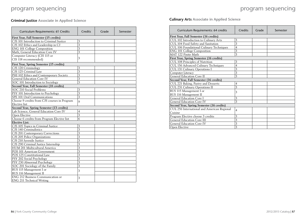### **Criminal Justice Associate in Applied Science**

| Curriculum Requirements: 61 Credits          | Credits        | Grade | Semester |
|----------------------------------------------|----------------|-------|----------|
| First Year, Fall Semester (15 credits)       |                |       |          |
| CJS 101 Introduction to Criminal Justice     | 3              |       |          |
| CJS 102 Ethics and Leadership in CJ          | $\overline{3}$ |       |          |
| <b>ENG 101 College Composition</b>           | 3              |       |          |
| Math, General Education Core IV              | 3              |       |          |
| Computer Literacy (CIS 115 or                |                |       |          |
| CIS 118 recommended)                         | 3              |       |          |
| First Year, Spring Semester (15 credits)     |                |       |          |
| CJS 120 Criminology                          | 3              |       |          |
| CJS 125 Criminal Law                         | 3              |       |          |
| PHI 102 Ethics and Contemporary Society      | 3              |       |          |
| <b>General Education Core IV</b>             | 3              |       |          |
| SOC 101 Introduction to Sociology            | 3              |       |          |
| Second Year, Fall Semester (18 credits)      |                |       |          |
| SOC 210 Social Problems                      | 3              |       |          |
| PSY 101 Introduction to Psychology           | 3              |       |          |
| SPE 101 Oral Communications                  | $\overline{3}$ |       |          |
| Choose 9 credits from CJS courses in Program | 9              |       |          |
| Elective list                                |                |       |          |
| Second Year, Spring Semester (13 credits)    |                |       |          |
| Lab Science, General Education Core IV       | $\overline{4}$ |       |          |
| Open Elective                                | 3              |       |          |
| Choose 6 credits from Program Elective list  | 6              |       |          |
| <b>Elective List:</b>                        |                |       |          |
| CJS 105 Topics in Criminal Justice           | 3              |       |          |
| CJS 140 Criminalistics                       | 3              |       |          |
| CJS 201 Contemporary Corrections             | 3              |       |          |
| CJS 205 Police Organizations                 | 3              |       |          |
| CJS 210 Juvenile Justice                     | 3              |       |          |
| CJS 290 Criminal Justice Internship          | 3              |       |          |
| <b>HUM 201 Multicultural America</b>         | 3              |       |          |
| POS 101 American Government                  | $\overline{3}$ |       |          |
| POS 125 Constitutional Law                   | 3              |       |          |
| PSY 202 Social Psychology                    | 3              |       |          |
| PSY 230 Abnormal Psychology                  | 3              |       |          |
| SOC 201 Sociology of the Family              | $\overline{3}$ |       |          |
| BUS 115 Management I or                      | $\overline{3}$ |       |          |
| BUS 116 Management II                        |                |       |          |
| ENG 212 Business Communication or            | 3              |       |          |
| ENG 211 Technical Writing                    |                |       |          |

### **Culinary Arts Associate in Applied Science**

| Curriculum Requirements: 64 credits              | Credits        | Grade | Semester |  |
|--------------------------------------------------|----------------|-------|----------|--|
| First Year, Fall Semester (16 credits)           |                |       |          |  |
| CUL 102 Introduction to Culinary Arts            | 3              |       |          |  |
| CUL 104 Food Safety and Sanitation               | 3              |       |          |  |
| CUL 106 Foundational Culinary Techniques         | $\overline{4}$ |       |          |  |
| ENG 101 College Composition                      | 3              |       |          |  |
| MAT 122 Finite Math                              | 3              |       |          |  |
| First Year, Spring Semester (16 credits)         |                |       |          |  |
| CUL 108 Principles of Nutrition                  | 3              |       |          |  |
| CUL 156 Advanced Culinary Techniques             | $\overline{4}$ |       |          |  |
| CUL 131 Culinary Operations I                    | 3              |       |          |  |
| Computer Literacy                                | 3              |       |          |  |
| <b>General Education Core II</b>                 | 3              |       |          |  |
| Second Year, Fall Semester (16 credits)          |                |       |          |  |
| CUL 221 Baking, Pastry and Desserts              | 4              |       |          |  |
| CUL 231 Culinary Operations II                   | $\overline{3}$ |       |          |  |
| BUS 115 Management I or                          | 3              |       |          |  |
| BUS 116 Management II                            |                |       |          |  |
| <b>General Education Core I</b>                  | 3              |       |          |  |
| General Education Core IV                        | 3              |       |          |  |
| <b>Second Year, Spring Semester (16 credits)</b> |                |       |          |  |
| CUL 256 International and American Regional      | $\overline{4}$ |       |          |  |
| Cuisine                                          |                |       |          |  |
| Program Elective choose 3 credits                | 3              |       |          |  |
| <b>General Education Core III</b>                | 3              |       |          |  |
| <b>General Education Core IV</b>                 | 3              |       |          |  |
| Open Elective                                    | 3              |       |          |  |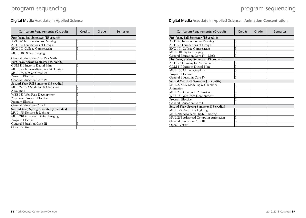### **Digital Media Associate in Applied Science**

| Curriculum Requirements: 60 credits              | Credits | Grade | Semester |  |  |
|--------------------------------------------------|---------|-------|----------|--|--|
| First Year, Fall Semester (15 credits)           |         |       |          |  |  |
| ART 120 Introduction to Drawing                  | 3       |       |          |  |  |
| ART 126 Foundations of Design                    | 3       |       |          |  |  |
| <b>ENG 101 College Composition</b>               | 3       |       |          |  |  |
| MUL 110 Digital Imaging                          | 3       |       |          |  |  |
| General Education Core IV - Math                 | 3       |       |          |  |  |
| <b>First Year, Spring Semester (15 credits)</b>  |         |       |          |  |  |
| COM 110 Intro to Digital Film                    | 3       |       |          |  |  |
| MUL 125 Intermediate Graphic Design              | 3       |       |          |  |  |
| <b>MUL 130 Motion Graphics</b>                   | 3       |       |          |  |  |
| Program Elective                                 | 3       |       |          |  |  |
| <b>General Education Core IV</b>                 | 3       |       |          |  |  |
| Second Year, Fall Semester (15 credits)          |         |       |          |  |  |
| MUL 225 3D Modeling & Character                  | 3       |       |          |  |  |
| Animation                                        |         |       |          |  |  |
| WEB 131 Web Page Development                     | 3       |       |          |  |  |
| 200-Level Program Elective                       | 3       |       |          |  |  |
| Program Elective                                 | 3       |       |          |  |  |
| <b>General Education Core I</b>                  | 3       |       |          |  |  |
| <b>Second Year, Spring Semester (15 credits)</b> |         |       |          |  |  |
| MUL 175 Texture & Lighting                       | 3       |       |          |  |  |
| MUL 210 Advanced Digital Imaging                 | 3       |       |          |  |  |
| Program Elective                                 | 3       |       |          |  |  |
| <b>General Education Core III</b>                | 3       |       |          |  |  |
| Open Elective                                    | 3       |       |          |  |  |

**Digital Media Associate in Applied Science – Animation Concentration**

| Curriculum Requirements: 60 credits       | Credits | Grade | Semester |  |
|-------------------------------------------|---------|-------|----------|--|
| First Year, Fall Semester (15 credits)    |         |       |          |  |
| ART 120 Introduction to Drawing           | 3       |       |          |  |
| ART 126 Foundations of Design             | 3       |       |          |  |
| <b>ENG 101 College Composition</b>        | 3       |       |          |  |
| MUL 110 Digital Imaging                   | 3       |       |          |  |
| General Education Core IV - Math          | 3       |       |          |  |
| First Year, Spring Semester (15 credits)  |         |       |          |  |
| ART 122 Drawing for Animation             | 3       |       |          |  |
| COM 110 Intro to Digital Film             | 3       |       |          |  |
| MUL 130 Motion Graphics                   | 3       |       |          |  |
| Program Elective                          | 3       |       |          |  |
| <b>General Education Core IV</b>          | 3       |       |          |  |
| Second Year, Fall Semester (15 credits)   |         |       |          |  |
| MUL 225 3D Modeling & Character           | 3       |       |          |  |
| Animation                                 |         |       |          |  |
| <b>MUL 230 Computer Animation</b>         | 3       |       |          |  |
| WEB 131 Web Page Development              | 3       |       |          |  |
| Program Elective                          | 3       |       |          |  |
| General Education Core I                  | 3       |       |          |  |
| Second Year, Spring Semester (15 credits) |         |       |          |  |
| MUL 175 Texture & Lighting                | 3       |       |          |  |
| MUL 210 Advanced Digital Imaging          | 3       |       |          |  |
| MUL 265 Advanced Computer Animation       | 3       |       |          |  |
| <b>General Education Core III</b>         | 3       |       |          |  |
| Open Elective                             | 3       |       |          |  |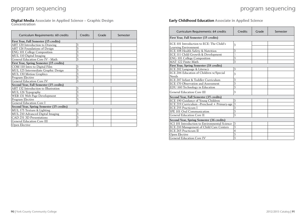**Digital Media Associate in Applied Science – Graphic Design Concentration**

| Curriculum Requirements: 60 credits       | Credits | Grade | Semester |
|-------------------------------------------|---------|-------|----------|
| First Year, Fall Semester (15 credits)    |         |       |          |
| ART 120 Introduction to Drawing           | 3       |       |          |
| ART 126 Foundations of Design             | 3       |       |          |
| <b>ENG 101 College Composition</b>        | 3       |       |          |
| MUL 110 Digital Imaging                   | 3       |       |          |
| General Education Core IV - Math          | 3       |       |          |
| First Year, Spring Semester (15 credits)  |         |       |          |
| COM 110 Intro to Digital Film             | 3       |       |          |
| MUL 125 Intermediate Graphic Design       | 3       |       |          |
| MUL 130 Motion Graphics                   | 3       |       |          |
| Program Elective                          | 3       |       |          |
| <b>General Education Core IV</b>          | 3       |       |          |
| Second Year, Fall Semester (15 credits)   |         |       |          |
| ART 132 Introduction to Illustration      | 3       |       |          |
| MUL 126 Typography                        | 3       |       |          |
| WEB 131 Web Page Development              | 3       |       |          |
| Program Elective                          | 3       |       |          |
| General Education Core I                  | 3       |       |          |
| Second Year, Spring Semester (15 credits) |         |       |          |
| MUL 175 Texture & Lighting                | 3       |       |          |
| MUL 210 Advanced Digital Imaging          | 3       |       |          |
| CAD 251 3D Presentations                  | 3       |       |          |
| <b>General Education Core III</b>         | 3       |       |          |
| Open Elective                             | 3       |       |          |

### **Early Childhood Education Associate in Applied Science**

| Curriculum Requirements: 64 credits           | Credits        | Grade | Semester |  |  |
|-----------------------------------------------|----------------|-------|----------|--|--|
| First Year, Fall Semester (15 credits)        |                |       |          |  |  |
| ECE 101 Introduction to ECE: The Child's      | 3              |       |          |  |  |
| Learning Environment                          |                |       |          |  |  |
| ECE 108 Health Safety & Nutrition             | 3              |       |          |  |  |
| ECE 111 Child Growth & Development            | 3              |       |          |  |  |
| <b>ENG 101 College Composition</b>            | 3              |       |          |  |  |
| MAT 122 Finite Math                           | 3              |       |          |  |  |
| First Year, Spring Semester (18 credits)      |                |       |          |  |  |
| ECE 202 Language & Literacy                   | 3              |       |          |  |  |
| ECE 206 Education of Children w/Special       | 3              |       |          |  |  |
| Needs                                         |                |       |          |  |  |
| ECE 207 Infant & Toddler Curriculum           | 3              |       |          |  |  |
| ECE 170 Observation and Assessment            | 3              |       |          |  |  |
| EDU 160 Technology in Education               | 3              |       |          |  |  |
| <b>General Education Core III</b>             | 3              |       |          |  |  |
| Second Year, Fall Semester (15 credits)       |                |       |          |  |  |
| ECE 190 Guidance of Young Children            | 3              |       |          |  |  |
| ECE 219 Curriculum -Preschool + Primary-age   | 3              |       |          |  |  |
| ECE 255 Practicum I                           | 3              |       |          |  |  |
| SPE 101 Oral Communication                    | 3              |       |          |  |  |
| <b>General Education Core II</b>              | $\overline{3}$ |       |          |  |  |
| Second Year, Spring Semester (16 credits)     |                |       |          |  |  |
| SCI 101 Introduction to Environmental Science | 3              |       |          |  |  |
| ECE 210 Management of Child Care Centers      | 3              |       |          |  |  |
| ECE 265 Practicum II                          | 4              |       |          |  |  |
| Open Elective                                 | 3              |       |          |  |  |
| <b>General Education Core IV</b>              | 3              |       |          |  |  |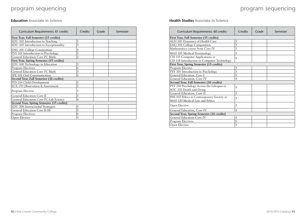## program sequencing  $\hspace{1.6cm}$  program sequencing

#### **Education Associate in Science**

| Curriculum Requirements: 61 credits       | Credits | Grade | Semester |
|-------------------------------------------|---------|-------|----------|
| First Year, Fall Semester (15 credits)    |         |       |          |
| EDU 102 Introduction to Teaching          | 3       |       |          |
| EDU 105 Introduction to Exceptionality    | 3       |       |          |
| ENG_101 College Composition               | 3       |       |          |
| PSY 101 Introduction to Psychology        | 3       |       |          |
| General Education Core IV, Math           | 3       |       |          |
| First Year, Spring Semester (15 credits)  |         |       |          |
| EDU 160 Technology in Education           | 3       |       |          |
| Program Electives                         | 6       |       |          |
| General Education Core IV, Math           | 3       |       |          |
| SPE 101 Oral Communication                | 3       |       |          |
| Second Year, Fall Semester (16 credits)   |         |       |          |
| PSY 214 Child Development                 | 3       |       |          |
| ECE 170 Observation & Assessment          | 3       |       |          |
| Program Elective                          | 3       |       |          |
| <b>General Education Core II</b>          | 3       |       |          |
| General Education Core IV, Lab Science    | 4       |       |          |
| Second Year, Spring Semester (15 credits) |         |       |          |
| EDU 206 Instructional Strategies          | 3       |       |          |
| <b>General Education Core II-III</b>      | 3       |       |          |
| Program Electives                         | 6       |       |          |
| Open Elective                             | 3       |       |          |

### **Health Studies Associate in Science**

| Curriculum Requirements: 60 credits         | Credits        | Grade | Semester |
|---------------------------------------------|----------------|-------|----------|
| First Year, Fall Semester (15 credits)      |                |       |          |
| ALH 101 Dynamics of Health Care             | 3              |       |          |
| <b>ENG 101 College Composition</b>          | 3              |       |          |
| Mathematics course from Core IV             | 3              |       |          |
| MAS 105 Medical Terminology                 | 3              |       |          |
| CIS 115 Computer Applications or            | 3              |       |          |
| CIS 118 Introduction to Computer Technology |                |       |          |
| First Year, Spring Semester (13 credits)    |                |       |          |
| Program Elective                            | 3              |       |          |
| PSY 101 Introduction to Psychology          | 3              |       |          |
| General Education, Core I                   | 3              |       |          |
| General Education, Core IV                  | 4              |       |          |
| Second Year, Fall Semester (16 credits)     |                |       |          |
| PSY 210 Psychology Across the Lifespan or   | 3              |       |          |
| SOC 232 Death and Dying                     |                |       |          |
| General Education, Core II                  | 3              |       |          |
| PHI 102 Ethics in Contemporary Society or   | 3              |       |          |
| MAS 120 Medical Law and Ethics              |                |       |          |
| Open Elective                               | 3              |       |          |
| General Education, Core IV                  | $\overline{4}$ |       |          |
| Second Year, Spring Semester (16 credits)   |                |       |          |
| <b>General Education Core IV</b>            | 4              |       |          |
| Program Electives                           | 9              |       |          |
| Open Elective                               | 3              |       |          |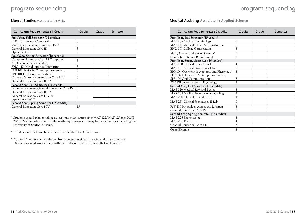#### **Liberal Studies Associate in Arts**

| Curriculum Requirements: 61 Credits           | <b>Credits</b> | Grade | Semester |
|-----------------------------------------------|----------------|-------|----------|
| First Year, Fall Semester (12 credits)        |                |       |          |
| <b>ENG 101 College Composition</b>            | 3              |       |          |
| Mathematics course from Core IV <sup>*</sup>  | 3              |       |          |
| <b>General Education Core III</b>             | 3              |       |          |
| Open Elective                                 | 3              |       |          |
| First Year, Spring Semester (18 credits)      |                |       |          |
| Computer Literacy (CIS 115 Computer           | 3              |       |          |
| Applications recommended)                     |                |       |          |
| ENG 112 Introduction to Literature            | 3              |       |          |
| PHI 102 Ethics in Contemporary Society        | 3              |       |          |
| SPE 101 Oral Communications                   | 3              |       |          |
| Choose a 3 credit course from Core I-IV       | 3              |       |          |
| General Education Core III **                 | 3              |       |          |
| Second Year, Fall Semester (16 credits)       |                |       |          |
| Lab science course, General Education Core IV | $\overline{4}$ |       |          |
| General Education Core III **                 | 3              |       |          |
| General Education Core I-IV or                | 9              |       |          |
| Open Electives***                             |                |       |          |
| Second Year, Spring Semester (15 credits)     |                |       |          |
| General Education Core I-IV                   | 15             |       |          |

\* Students should plan on taking at least one math course after MAT 122/MAT 127 (e.g. MAT 210 or 227) in order to satisfy the math requirements of many four-year colleges including the University of Southern Maine.

\*\* Students must choose from at least two fields in the Core III area.

\*\*\* Up to 12 credits can be selected from courses outside of the General Education core. Students should work closely with their advisor to select courses that will transfer.

#### **Medical Assisting Associate in Applied Science**

| Curriculum Requirements: 60 credits        | Credits        | Grade | Semester |
|--------------------------------------------|----------------|-------|----------|
| First Year, Fall Semester (15 credits)     |                |       |          |
| MAS 105 Medical Terminology                | 3              |       |          |
| MAS 115 Medical Office Administration      | 3              |       |          |
| ENG 101 College Composition                | 3              |       |          |
| Math, General Education Core IV            | 3              |       |          |
| Computer Literacy Requirement              | 3              |       |          |
| First Year, Spring Semester (16 credits)   |                |       |          |
| MAS 150 Clinical Procedures I              | 4              |       |          |
| MAS 151 Clinical Procedures I Lab          | $\mathbf{0}$   |       |          |
| BIO 104 Overview of Anatomy and Physiology | 3              |       |          |
| PHI 102 Ethics and Contemporary Society    | 3              |       |          |
| SPE 101 Oral Communications                | 3              |       |          |
| PSY 101 Introduction to Psychology         | $\overline{3}$ |       |          |
| Second Year, Fall Semester (16 credits)    |                |       |          |
| MAS 120 Medical Law and Ethics             | 3              |       |          |
| MAS 205 Medical Insurance and Coding       | 3              |       |          |
| MAS 250 Clinical Procedures II             | $\overline{4}$ |       |          |
| MAS 251 Clinical Procedures II Lab         | $\theta$       |       |          |
| PSY 210 Psychology Across the Lifespan     | 3              |       |          |
| <b>General Education Core IV</b>           | 3              |       |          |
| Second Year, Spring Semester (13 credits)  |                |       |          |
| MAS 225 Pharmacology                       | 3              |       |          |
| MAS 290 Practicum                          | $\overline{4}$ |       |          |
| General Education Core I-IV                | 3              |       |          |
| Open Elective                              | 3              |       |          |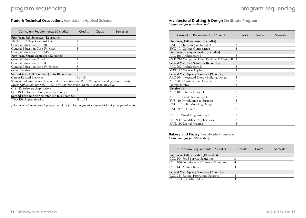**Trade & Technical Occupations Associate in Applied Science**

| Curriculum Requirements: 60 credits                                                                                                                                                        | <b>Credits</b>      | Grade | Semester |  |
|--------------------------------------------------------------------------------------------------------------------------------------------------------------------------------------------|---------------------|-------|----------|--|
| First Year, Fall Semester (12 credits)                                                                                                                                                     |                     |       |          |  |
| <b>ENG 101 College Composition</b>                                                                                                                                                         | 3                   |       |          |  |
| <b>General Education Core III</b>                                                                                                                                                          | 3                   |       |          |  |
| General Education Core IV, Math                                                                                                                                                            | 3                   |       |          |  |
| General Education Core I-IV                                                                                                                                                                | 3                   |       |          |  |
| First Year, Spring Semester (12 credits)                                                                                                                                                   |                     |       |          |  |
| General Education Core I                                                                                                                                                                   | 3                   |       |          |  |
| <b>General Education Core II</b>                                                                                                                                                           | 3                   |       |          |  |
| General Education Core IV, Science                                                                                                                                                         | 3                   |       |          |  |
| Open Elective                                                                                                                                                                              | 3                   |       |          |  |
| Second Year, Fall Semester (12 to 18 credits)                                                                                                                                              |                     |       |          |  |
| <b>Career Related Electives</b>                                                                                                                                                            | 9 or 15             |       |          |  |
| Student and advisor select career related electives specific to the apprenticeship focus or likely<br>career path within the field. 12 for 4 yr apprenticeship, 18 for 3 yr apprenticeship |                     |       |          |  |
| CIS 115 Software Applications                                                                                                                                                              | 3                   |       |          |  |
| Or CIS 118 Intro to Computer Technology                                                                                                                                                    |                     |       |          |  |
| Second Year, Spring Semester (18 to 24 credits)                                                                                                                                            |                     |       |          |  |
| TTO 199 Apprenticeship                                                                                                                                                                     | $18 \text{ to } 24$ |       |          |  |
| (Documented apprenticeship experience) 18 for 3 yr. apprenticeship or 24 for 4 yr. apprenticeship                                                                                          |                     |       |          |  |

#### **Architectural Drafting & Design Certificate Program**

\* *Intended for part-time study*

| Curriculum Requirements: 27 credits         | Credits | Grade | Semester |
|---------------------------------------------|---------|-------|----------|
| First Year, Fall Semester (6 credits)       |         |       |          |
| CAD 102 Introduction to CAD                 | 3       |       |          |
| <b>ENG 101 College Composition</b>          | 3       |       |          |
| First Year, Spring Semester (6 credits)     |         |       |          |
| ARC 106 Architecture I                      | 3       |       |          |
| CAD 210 Computer-Aided Drafting & Design II | 3       |       |          |
| Second Year, Fall Semester (6 credits)      |         |       |          |
| ARC 202 Architecture II                     | 3       |       |          |
| MAT 127 College Algebra                     | 3       |       |          |
| Second Year, Spring Semester (9 credits)    |         |       |          |
| ARC 204 Integrated Energy Building Design   | 3       |       |          |
| <b>ARC 207 Construction Documents</b>       | 3       |       |          |
| Program Elective                            | 3       |       |          |
| <b>Elective List</b>                        |         |       |          |
| ARC 105 Interior Design I                   | 3       |       |          |
| ARC 215 Land Development                    | 3       |       |          |
| <b>BUS 110 Introduction to Business</b>     | 3       |       |          |
| CAD 107 Solid Modeling Design I             | 3       |       |          |
| CAD 217 3D CAD                              | 3       |       |          |
| CIS 131 Visual Programming I                | 3       |       |          |
| CIS 214 Spreadsheet Applications            | 3       |       |          |
| MUL 110 Digital Imaging                     | 3       |       |          |

#### **Bakery and Pastry Certificate Program** \* *Intended for part-time study*

| Curriculum Requirements: 17 credits           | Credits | Grade | Semester |  |
|-----------------------------------------------|---------|-------|----------|--|
| <b>First Year, Fall Semester (10 credits)</b> |         |       |          |  |
| CUL 104 Food Service Sanitation               | ર       |       |          |  |
| CUL 106 Foundational Culinary Techniques      | 4       |       |          |  |
| CUL 143 Artisan Breads                        | 3       |       |          |  |
| Second Year, Spring Semester (7 credits)      |         |       |          |  |
| CUL 221 Baking, Pastry and Desserts           |         |       |          |  |
| CUL 223 Specialty Cakes                       |         |       |          |  |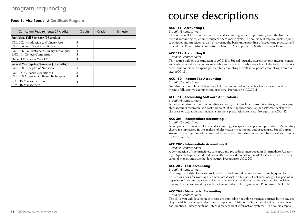### program sequencing

**Food Service Specialist Certificate Program**

| Curriculum Requirements: 29 credits                                            | Credits             | Grade | Semester |  |
|--------------------------------------------------------------------------------|---------------------|-------|----------|--|
| First Year, Fall Semester (16 credits)                                         |                     |       |          |  |
| CUL 102 Introduction to Culinary Arts<br>CUL 104 Food Service Sanitation       | 3<br>3              |       |          |  |
| CUL 106 Foundational Culinary Techniques<br><b>ENG 101 College Composition</b> | $\overline{4}$<br>3 |       |          |  |
| General Education Core I-IV                                                    | 3                   |       |          |  |
| Second Year, Spring Semester (13 credits)                                      |                     |       |          |  |
| CUL 108 Principles of Nutrition                                                | 3                   |       |          |  |
| CUL 131 Culinary Operations I                                                  | 3                   |       |          |  |
| CUL 156 Advanced Culinary Techniques                                           | $\overline{4}$      |       |          |  |
| BUS 115 Management I or<br>BUS 116 Management II                               | 3                   |       |          |  |

# course descriptions

#### **ACC 111 - Accounting I**

*3 credits/3 contact hours*

The course will focus on the basic financial accounting model step by-step, from the fundamental accounting equation through the accounting cycle. The course will explore bookkeeping techniques and practices, as well as covering the basic understanding of accounting practices and procedures. Prerequisite: C or better in MAT 092 or appropriate Math Placement Exam score.

#### **ACC 112 - Accounting II**

*3 credits/3 contact hours*

This course will be a continuation of ACC 111. Special journals, payroll systems, internal control and cash transactions, accounts receivable and accounts payable are a few of the topics to be covered. This course will expand partnership accounting as well as corporate accounting. Prerequisite: ACC 111

#### **ACC 150 - Income Tax Accounting**

*3 credits/3 contact hours*

An introduction to federal taxation of the income of individuals. Tax laws are examined by means of illustrative examples and problems. Prerequisite: ACC 111

#### **ACC 151 - Accounting Software Applications**

*3 credits/3 contact hours*

A hands-on introduction to accounting software; topics include payroll, inventory, accounts payable, accounts receivable, job cost and point-of-sale applications. Popular software packages in the areas of tax, audit and financial statement preparation are used. Prerequisite: ACC 112

#### **ACC 201 - Intermediate Accounting I**

*3 credits/3 contact hours*

A comprehensive review of financial accounting principles, concepts, and procedures. Accounting theory is emphasized in the analysis of alternatives, treatments, and procedures. Specific areas stressed are recognition of income and expense and disclosing current and future values. Prerequisite: ACC 112

#### **ACC 202 - Intermediate Accounting II**

#### *3 credits/3 contact hours*

A continuation of the principles, concepts, and procedures introduced in Intermediate Accounting I. Specific topics include valuation alternatives, depreciation, market values, leases, the time value of money, and stockholder's equity. Prerequisite: ACC 201

#### **ACC 203 - Cost Accounting**

*3 credits/3 contact hours*

The purpose of this class is to provide a broad background in cost accounting techniques that can be used as a basis for working as an accountant within a business. Cost accounting is the part of an organization's accounting system that accumulates costs and other accounting data for decisionmaking. The decision-making can be within or outside the organization. Prerequisite: ACC 112

#### **ACC 204 - Managerial Accounting**

*3 credits/3 contact hours*

The skills you will develop in this class are applicable not only to business settings but to any setting in which making good decisions is important. This course is an introduction to the concepts and practices underlying firms' internal management information systems. The course empha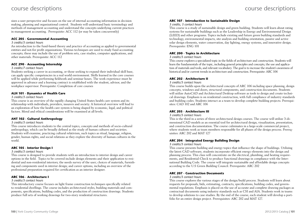sizes a user perspective and focuses on the use of internal accounting information in decision making, planning and organizational control. Students will understand basic terminology and methods of management accounting and understand the concepts underlying current practices in management accounting. Prerequisite: ACC 112 (or may be taken concurrently)

#### **ACC 205 - Governmental Accounting**

#### *3 credits/3 contact hours*

An introduction to the fund-based theory and practice of accounting as applied to governmental entities and not-for profit organizations. Various techniques are used to study fund accounting concepts; these may include the use of problem sets, case studies, computer applications, and other materials. Prerequisite: ACC 112

#### **ACC 290 - Accounting Internship**

#### *3 credits/7 contact hours*

Students seeking a career in accounting, or those seeking to expand their individual skill base, can apply specific competencies in a real world environment. Skills learned in the core courses will be applied while performing fieldwork and seminar hours. The work experience must be approved in advance and a learning contract is established with the student, advisor, and the workplace supervisor. Prerequisite: Completion of core courses

#### **ALH 101 - Dynamics of Health Care**

#### *3 credits/3 contact hours*

This course is an overview of the rapidly changing United States health care system and its relationship with individuals, providers, insurers and society. A historical overview will lead to an exploration of how the health care system is being shaped by economic, legal, and political factors. Moral and ethical considerations will be examined at all levels.

#### **ANT 102 - Cultural Anthropology**

#### *3 credits/3 contact hours*

This course introduces students to the central topics, concepts and methods of socio-cultural anthropology, which can be broadly defined as the study of human cultures and societies. Students will examine, practicing cultural relativism, such topics as ritual, language, religion, gender, human rights, and social relations as they explore the diversity of human cultures in the world.

#### **ARC 105 - Interior Design I**

#### *3 credits/3 contact hours*

This course is designed to provide students with an introduction to interior design and career options in the field. Topics to be covered include design elements and their application to residential and non-residential interiors; the needs survey of the user; choices of materials, furnishing and components used in interior design; and career options, including an overview of the professional preparation required for certification as an interior designer.

#### **ARC 106 - Architecture I**

#### *3 credits/3 contact hours*

This introductory course focuses on light frame construction techniques specifically related to residential dwellings. The course includes architectural styles, building materials and components, specifications, building codes, and the production of construction drawings. Students produce full sets of working drawings for two-story residential structures.

#### **ARC 107 - Introduction to Sustainable Design**

#### *3 credits, 3 contact hours*

This course is a study of sustainable design and green building. Students will learn about rating systems for sustainable buildings such as the Leadership in Energy and Environmental Design (LEED) and other programs. Topics include existing and future green building standards and technology, environmental impacts, site analysis and building orientation, passive and active solar design elements, water conservation, day lighting, energy systems, and innovative design. Prerequisite: ENG 101

#### **ARC 200 - Topics in Architecture**

#### *3 credits/3 contact hours*

This course explores a specialized topic in the fields of architecture and construction. Students will learn the fundamentals of the topic, including general principles and concepts, the use and application of materials and tools, and relevant vocabulary. The goal is to increase the student's awareness of historical and/or current trends in architecture and construction. Prerequisite: ARC 106

#### **ARC 202 - Architecture II**

#### *3 credits/3 contact hours*

This course builds upon the architectural concepts of ARC 106 including space planning, design concepts, windows and doors, structural components, and construction documents. Students will utilize AutoCAD and Architectural Desktop software as tools to design and create technical drawings. Emphasis is on residential construction, with full compliance of industry standards and building codes. Students interact as a team to develop complete building projects. Prerequisites: CAD 102 and ARC 106

#### **ARC 203 - Architecture III**

#### *3 credits/3 contact hours*

This is the third in a series of three architectural design courses. The course will utilize 3-dimensional CAD models as an essential tool for architectural design, visualization, presentation, and construction documentation. The course culminates in a large-scale commercial project, where students work as team members responsible for all phases of the design process. Prerequisites: ARC 202 and MAT 127

#### **ARC 204 - Integrated Energy Building Design**

#### *3 credits/3 contact hours*

This course presents building and energy topics that influence the shape of buildings. Utilizing the latest CAD software, students incorporate efficient energy elements into the design and planning process. This class will concentrate on the electrical, plumbing, and heating requirements, and Residential-Check to produce functional drawings in compliance with the International Building Code. The course will integrate sustainable and affordable design concepts according to the U.S Green Building Council. Prerequisite: ARC 202

#### **ARC 207 - Construction Documents**

#### *3 credits/3 contact hours*

This course explores the various stages of the design/build process. Students will learn about requests for proposals, bids, estimating, contracts, specifications, building codes, and governmental regulations. Emphasis is placed on the use of accurate and complete drawing packages as contractual documents using industry standards such as CSI and AIA. Students work in teams to develop solutions to case studies. By the end of the course, each student will develop a portfolio for an entire design project. Prerequisites: ARC 202 and MAT 127.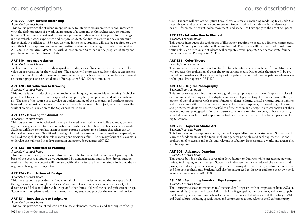#### **ARC 290 - Architecture Internship**

#### *3 credits/3 contact hours*

This course provides the student an opportunity to integrate classroom theory and knowledge with the daily practices of a work environment of a company in the architecture or building industry. The course is designed to promote professional development by providing challenging and valuable work experience and prepare students for future careers in the architectural design field. In addition to 135 hours working in the field, students will also be required to work with their faculty sponsor and to submit written assignments on a regular basis. Prerequisites: ARC202, a cumulative GPA of 3.0, with at least 30 credits earned in the program of study and permission of the Department Chair.

#### **ART 110 - Art Appreciation**

#### *3 credits/3 contact hours*

In this course, students will study original art works, slides, films, and other materials to develop an appreciation for the visual arts. The course will emphasize students' direct experience with art and will include at least one museum field trip. Each student will complete and present a research project on a selected artist. Prerequisite: ENG 101 recommended

#### **ART 120 - Introduction to Drawing**

#### *3 credits/4 contact hours*

This course is an introduction to the problems, techniques, and materials of drawing. Each class project will focus on a different aspect of visual perception, composition, and artists' materials. The aim of the course is to develop an understanding of the technical and aesthetic issues involved in composing drawings. Students will complete a research project, which analyzes the work of an artist in relation to the topics covered in class.

#### **ART 122 - Drawing for Animation**

#### *3 credits/4 contact hours*

This course covers the foundational drawing skills used in animation historically and today by creating the visual guides used to create animation and traditional film, character sheets and storyboards. Students will learn to translate vision to paper, putting a concept into a format that others can understand and work from. Traditional drawing skills and their role in current animation is explored, as well as drawing skills and their role in gaming and traditional film. The primary focus of this course is to develop the skills used in today's computer animation. Prerequisite: ART 120

#### **ART 123 - Introduction to Painting**

#### *3 credits/4 contact hours*

This hands-on course provides an introduction to the fundamental techniques of painting. The basis of the course is studio work, augmented by demonstrations and student-driven critique sessions. The course content will intersect with other arts-based fields of study, including drawing, color theory, and composition.

#### **ART 126 - Foundations of Design**

#### *3 credits/3 contact hours*

This fine arts course provides the fundamentals of artistic design including the concepts of color theory, balance, visual weight, and scale. As a result, it is a foundation course for a variety of design-related fields, including web design and other forms of digital media and publication design. Students will complete hands-on art projects as they study and practice the elements of design.

#### **ART 131 - Introduction to Sculpture**

*3 credits/3 contact hours*

This course provides an introduction to the basic elements, materials, and techniques of sculp-

ture. Students will explore sculpture through various means, including modeling (clay), addition (assemblage), and subtraction (wood or stone). Students will also study the basic elements of design—form, scale, weight, color, movement, and space—as they apply to the art of sculpture.

#### **ART 132 - Introduction to Illustration**

#### *3 credits/3 contact hours*

This course introduces the techniques of illustration required to produce a finished commercial artwork. Accuracy of rendering will be emphasized. The course will focus on traditional illustration skills and media, and students will complete several projects that demonstrate foundational knowledge. Prerequisite: ART 120

#### **ART 134 - Color Theory**

#### *3credits/3 contact hours*

This course serves as an introduction to the characteristics and interactions of color. Students will practice the application of color theory in various media. Major color theorists will be presented, and students will study works by various painters who used color as primary elements or techniques. Prerequisite: ART 120

#### **ART 136 - Digital Photography**

*3 credits/3 contact hours*

This course serves as an introduction to digital photography as an art form. Emphasis is placed on fundamental techniques of the digital camera and digital editing. The course covers the operation of digital cameras with manual functions, digital editing, digital printing, studio lighting, and image composition. The course also covers the use of computers, image-editing software, and printers. Students will create portfolios of their work, and engage in critical analysis of their own and others' photographs. For this course, students are required to own, or have access to, a digital camera with manual exposure control, and to be familiar with the basic operation of a digital camera.

#### **ART 200 - Topics in Studio Art**

#### *3 credits/4 contact hours*

This hands-on course explores a genre, method or specialized topic in studio art. Students will learn the fundamentals of the topic, including general principles and techniques, the use and application of materials and tools, and relevant vocabulary. Representative works and artists also will be explored.

#### **ART 201 - Advanced Drawing**

#### *3 credits/4 contact hours*

This course builds on the skills covered in Introduction to Drawing while introducing new materials, techniques, and challenges. Students will deepen their knowledge of the elements and principles of drawing while learning to put their drawing skills to use in specialized commercial and fine-arts applications. Students will also be encouraged to discover and hone their own style as artists. Prerequisite: ART 120

#### **ASL 101 - Beginning American Sign Language**

#### *4 credits/4 contact hours*

This course provides an introduction to American Sign Language, with an emphasis on basic ASL conversation skills. Students will study ASL vocabulary, finger spelling, and grammar, and learn to apply that knowledge in various conversational situations. Students will also learn about the history of ASL and Deaf culture, including specific issues and controversies as they relate to the Deaf community.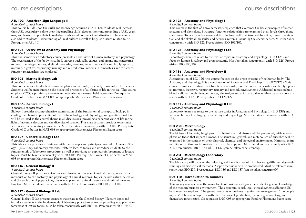#### **ASL 102 - American Sign Language II**

#### *4 credits/4 contact hours*

This course builds upon the skills and knowledge acquired in ASL I01. Students will increase their ASL vocabulary, refine their fingerspelling skills, deepen their understanding of ASL grammar, and learn to apply their knowledge in advanced conversational situations. The course will also add to students' understanding of Deaf culture as well as linguistic issues related to ASL. Prerequisite: ASL 101

#### **BIO 104 - Overview of Anatomy and Physiology**

#### *3 credits/3 contact hours*

This one-semester introductory course presents an overview of human anatomy and physiology. The organization of the body is studied, starting with cells, tissues, and organs and continuing to cover the integumentary, skeletal, muscular, nervous, endocrine, cardiovascular, lymphatic, immune, digestive, respiratory, urinary and reproductive systems. Homeostasis and structurefunction relationships are explored.

#### **BIO 105 - Marine Biology/Lab**

#### *4 credits/5 contact hours*

This course is an introduction to marine plants and animals, especially those native to the area. Students will be introduced to the biological processes of all forms of life in the sea. This course employs YCCC's proximity to ocean and estuaries as a natural field laboratory. Prerequisite: Grade of C or better in MAT 098 or appropriate Mathematics Placement Exam score.

#### **BIO 106 - General Biology I**

#### *4 credits/3 contact hours*

Biology I provides a comprehensive examination of the fundamental concepts of biology, including the chemical properties of life, cellular biology and physiology, and genetics. Evolution will be utilized as the central theme in all discussions; providing a coherent view of life in the light of natural selection and the diversity of species. This class assumes previous experience with scientific laboratory course work. Must be taken concurrently with BIO 107. Prerequisite: Grade of C or better in MAT 098 or appropriate Mathematics Placement Exam score.

#### **BIO 107 - General Biology I Lab**

#### *0 credits/2 contact hours*

This laboratory provides experience with the concepts and principles covered in General Biology I (BIO 106). Laboratory exercises relate to lecture topics and introduce students to the fundamentals of laboratory procedure, as well as providing an applied reinforcement of lecture topics. Must be taken concurrently with BIO 106. Prerequisite: Grade of C or better in MAT 098 or appropriate Mathematics Placement Exam score.

#### **BIO 116 - General Biology II**

#### *4 credits/3 contact hours*

General Biology II provides a rigorous examination of modern biological theory, as well as an introduction to the anatomy and physiology of animal systems. Topics include natural selection and the evolution of populations, phylogeny, plant and animal diversity, and animal form and function. Must be taken concurrently with BIO 117. Prerequisites: BIO 106/BIO 107.

#### **BIO 117 - General Biology II Lab**

#### *0 credits/2 contact hours*

General Biology II Lab presents exercises that relate to the General Biology II lecture topics and introduce students to the fundamentals of laboratory procedure, as well as providing an applied reinforcement of lecture topics. Must be taken concurrently with BIO 116. Prerequisites: BIO 106/107.

#### **BIO 126 - Anatomy and Physiology I**

#### *4 credits/3 contact hours*

This course is the first of a two-semester sequence that examines the basic principles of human anatomy and physiology. Structure-function relationships are examined at all levels throughout the course. Topics include anatomical terminology, cell structure and function, tissue organization and the skeletal, muscular and nervous systems, including the special senses. Must be taken concurrently with BIO 127. Prerequisites: BIO 106/107.

#### **BIO 127 - Anatomy and Physiology I Lab**

#### *0 credits/2 contact hours*

Laboratory exercises relate to the lecture topics in Anatomy and Physiology I (BIO 126) and focus on human histology and gross anatomy. Must be taken concurrently with BIO 126. Prerequisites: BIO 106/107.

#### **BIO 136 - Anatomy and Physiology II**

#### *4 credits/3 contact hours*

A continuation of BIO 126, this course focuses on the organ systems of the human body. The Anatomy and Physiology II is a continuation of Anatomy and Physiology I (BIO126/127). This course examines the structure/ function relationships of the endocrine, cardiovascular, lymphatic, immune, digestive, respiratory, urinary and reproductive systems. Additional topics include blood, cellular metabolism, and water, electrolyte and acid-base balance. Must be taken concurrently with BIO 137. Prerequisites: BIO 126/127.

#### **BIO 137 - Anatomy and Physiology II Lab**

#### *0 credits/2 contact hours*

Laboratory exercises relate to the lecture topics in Anatomy and Physiology II (BIO 136) and focus on human histology, gross anatomy and physiology. Must be taken concurrently with BIO 136.

#### **BIO 230 - Microbiology**

#### *4 credits/3 contact hours*

The biology of bacteria, fungi, protozoa, helminths and viruses will be presented, with an emphasis on those that impact humans. The structure, growth and metabolism of microbes will be examined in the context of their physical, chemical and biological environment. Mammalian immunity and antimicrobial methods will also be explored. Must be taken concurrently with BIO 231. Prerequisites: BIO 136 and BIO 137 (can be taken concurrently).

#### **BIO 231 - Microbiology Laboratory**

*0 credits/2 contact hours*

The laboratory will focus on the culturing and identification of microbes using differential growth, staining and biochemical methods. Aseptic technique will be emphasized. Must be taken concurrently with BIO 230. Prerequisites: BIO 136 and BIO 137 (can be taken concurrently)

#### **BUS 110 - Introduction to Business**

#### *3 credits/3 contact hours*

This survey course covers the many facets of business and gives the student a general knowledge of the modern business environment. The economic, social, legal, ethical systems affecting US businesses are explored. The general concepts of business organization, management, "the people aspects" of business, together with the functions of production, marketing, accounting, and finance are investigated. Co-requisite: ENG 095 or appropriate Reading Placement Exam score.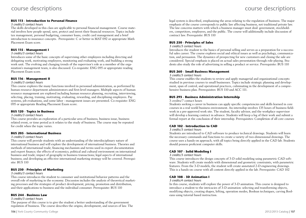#### **BUS 113 - Introduction to Personal Finance**

#### *3 credits/3 contact hours*

The skills developed in this class are applicable to personal financial management. Course material involves how people spend, save, protect and invest their financial resources. Topics include tax management, personal budgeting, consumer loans, credit card management and a brief introduction to insurance concepts. Prerequisite: C or better in MAT 092 or appropriate Math Placement Exam score.

#### **BUS 115 - Management I**

#### *3 credits/3 contact hours*

Introduces some of the basic concepts of supervising other employees including directing and delegating work, motivating employees, monitoring and evaluating work, and building a strong work unit. The evolving and changing trends of the supervisor's role as a member of the organization's management team, is also discussed. Co-requisite: ENG 095 or appropriate reading Placement Exam score.

#### **BUS 116 - Management II**

#### *3 credits/3 contact hours*

This course explores the many functions involved in personnel administration, as performed by human resource department administrators and first-level managers. Multiple aspects of human resource management are explored including human resource planning, recruiting, interviewing, selecting, placing, training, motivating, evaluating, rewarding, and disciplining employees. Pay systems, job evaluations, and some labor - management issues are presented. Co-requisite: ENG 095 or appropriate Reading Placement Exam score.

#### **BUS 120 - Topics in Business**

#### *3 credits/3 contact hours*

This course provides an exploration of a particular area of business, business issue, business related event, or time period as it relates to the study of business. The course may be repeated for credit when the topic varies.

#### **BUS 205 - International Business**

#### *3 credits/3 contact hours*

This course will provide students with an understanding of the interdisciplinary nature of international business and will explore the development of international business. Theories and methods of international trade; financing mechanism and terms used in export documentation and export finance; the effects of economics, political and cultural environment on international business and trade; impact of geography in business transactions; legal aspects of international business; and developing an effective international marketing strategy will be covered. Prerequisite: BUS 110

#### **BUS 230 - Principles of Marketing**

#### *3 credits/3 contact hours*

This course introduces the student to consumer and institutional behavior patterns and the overall role of marketing in the economy. Discussion includes the analysis of theoretical marketing processes and the strategies of product development, pricing, promotion and distribution, and their applications to business and the individual consumer. Prerequisite: BUS 110

#### **BUS 244 - Business Law**

#### *3 credits/3 contact hours*

The purpose of this course is to give the student a better understanding of the government regulation of business. The course describes the origins, development, and sources of law. The legal system is described, emphasizing the areas relating to the regulation of business. The major emphasis of the course corresponds to public law affecting business, not traditional private law. The law concerns matters with which a business manager must deal: government, stockholders, competitors, employees, and the public. The course will additionally include discussion of contract law. Prerequisite: BUS 110

#### **BUS 250 - Principles of Sales**

*3 credits/3 contact hours*

Introduces the student to the basics of personal selling and serves as a preparation for a successful sales career. The course explores social and ethical issues as well as psychology, communication, and persuasion. The dynamics of prospecting for new customers and closing the sale are considered. Special emphasis is placed on actual sales presentation through role-playing. Students also study the role of advertising in selling a product or service. Prerequisite: BUS 110

#### **BUS 260 - Small Business Management**

#### *3 credits/3 contact hours*

This course enables the students to review and apply managerial and organizational concepts studied in previous courses to small businesses. Topics include strategic planning and development, span of control, and operational practices, culminating in the development of a comprehensive business plan. Prerequisites: BUS 110 and ACC 111.

#### **BUS 293 - Business Administration Internship**

#### 3 credits/7 contact hours

Students seeking a career in business can apply specific competencies and skills learned in core courses in a real world business environment. An internship involves 135 hours of business fieldwork in a pre-approved work site. The student, faculty advisor, and the workplace supervisor will develop a learning contract in advance. Students will keep a log of their work and submit a formal report at the conclusion of their internship. Prerequisites: Completion of all core courses

#### **CAD 102 - Introduction to CAD**

#### *3 credits/3 contact hours*

Students are introduced to CAD software to produce technical drawings. Students will learn the necessary commands and functions to create a variety of two-dimensional drawings. The course uses a hands-on approach, with all topics being directly applied in the CAD lab. Students should possess proficient computer skills.

#### **CAD 107 - Solid Modeling I**

#### *3 credits/3 contact hours*

This course introduces the design concepts of 3-D solid modeling using parametric CAD software. Students will create models with dimensional and geometric constraints, with parametric features. From the 3-D models, the student will create annotated 2-D engineering drawings. This is a hands-on course with all content directly applied in the lab. Prerequisite: CAD 102

#### **CAD 108 - 3D Animation I**

#### *3 credits/4 contact hours*

In this course, students will explore the power of 3-D animation. This course is designed to introduce a student to the intricacies of 3-D animation: selecting and transforming objects, modifying objects, creating shapes, lofting, operation modes, Boolean techniques, carving Booleans using tutorial based instruction.

### course descriptions course descriptions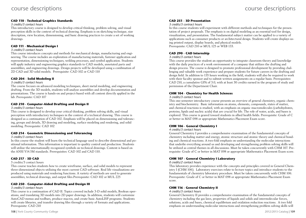#### **CAD 110 - Technical Graphics Standards**

#### *3 credits/3 contact hours*

This introductory course is designed to develop critical thinking, problem solving, and visual perception skills in the context of technical drawing. Emphasis is on sketching technique, size description, view location, dimensioning, and basic drawing practices to create a set of working drawings.

#### **CAD 111 - Mechanical Design I**

#### *3 credits/3 contact hours*

This course introduces concepts and methods for mechanical design, manufacturing and engineering. The course includes an exploration of manufacturing materials, fastener application and representation, dimensioning techniques, welding processes, and symbol application. Students will apply industry and engineering graphics standards to CAD models, annotated parts and assemblies, and engineering drawings. Design projects will be developed using a combination of 2D CAD and 3D solid models. Prerequisite: CAD 102 or CAD 110

#### **CAD 204 - Solid Modeling II**

#### *3 credits/3 contact hours*

The course focuses on advanced modeling techniques, sheet metal modeling, and engineering drafting. From the 3D models, students will analyze assemblies and develop documentation and presentations. The course is hands-on and project-based with all content directly applied in the lab. Prerequisite: CAD 107

#### **CAD 210 - Computer-Aided Drafting and Design II**

#### *3 credits/3 contact hours*

This course is designed to develop your critical thinking, problem solving skills, and visual perception with introductory techniques in the context of a technical drawing. This course is designed as a continuation of CAD 102. Emphasis will be placed on dimensioning and tolerancing, groups and details, 3D drawing and modeling, surface modeling and rendering, and solid modeling. Prerequisite: CAD 102

#### **CAD 214 - Geometric Dimensioning and Tolerancing**

#### *3 credits/3 contact hours*

In this course the student will learn the technical language used to describe dimensional and positional information. This information is important to quality control and production. Students will utilize the internationally recognized symbols on technical drawings. Content is based on the ANSI Y14.5M standards. Prerequisites: CAD 102 and CAD 110.

#### **CAD 217 - 3D CAD**

#### 3 credits/3 contact hours

This course teaches students how to create wireframe, surface, and solid models to represent three-dimensional objects utilizing the most current CAD software. Real life visualizations are produced using materials and rendering functions. A variety of methods are used to generate assemblies, technical drawings, and output files.Prerequisite: CAD 102 or MUL 225

#### **CAD 250 - Computer-Aided Drafting and Design III**

#### *3 credits/3 contact hours*

This course is a continuation of CAD II. Topics covered include 3-D solid models, Boolean operations, and translating 3D models into 2D paper drawings. In addition, students will customize AutoCAD menus and toolbars, produce macros, and create basic AutoLISP programs. Students will create libraries, and transfer drawing files through a variety of formats and applications. Prerequisite: CAD 210

#### **CAD 251 - 3D Presentation**

#### *3 credits/3 contract hours*

In this course students will experiment with different methods and techniques for the presentation of project proposals. The emphasis is on digital modeling as an essential tool for design, visualization, and presentation. The fundamental subject matter can be applied to a variety of applications such as consumer products or architectural design. Students will create displays using printed output, display boards, and physical models. Prerequisite: CAD 210 or MUL 125 or WEB 133.

#### **CAD 290 - CAD Internship**

#### *3 credits/3 contact hours*

This course provides the student an opportunity to integrate classroom theory and knowledge with the daily practices of a work environment of a company that utilizes the drafting and design process. The course is designed to promote professional development by providing challenging and valuable work experience and prepare students for future careers in the drafting and design field. In addition to 135 hours working in the field, students will also be required to work with their faculty sponsor and to submit written assignments on a regular basis. Prerequisites: CAD 210, a cumulative GPA of 3.0, with at least 30 credits earned in the program of study and permission of the Department Chair.

#### **CHM 104 - Chemistry for Health Sciences**

#### *3 credits/3 contact hours*

This one-semester introductory course presents an overview of general chemistry, organic chemistry and biochemistry. Basic information on atoms, elements, compounds, states of matter, and chemical reactions is studied, with an emphasis on organic macromolecules (carbohydrates, proteins, lipids and nucleic acids) that are crucial for life. The role of water, acids, and bases is explored. This course is geared toward students in allied health fields. Prerequisite: Grade of C or better in MAT 098 or appropriate Mathematics Placement Exam score.

#### **CHM 106 - General Chemistry I**

#### *4 credits/3 contact hours*

General Chemistry I provides a comprehensive examination of the fundamental concepts of chemistry including matter and energy, atomic structure and atomic theory and chemical bonding and chemical reactions. A two-fold emphasis on understanding the molecular interactions that underlie everything around us and developing and strengthening problem solving skills will be utilized as central themes in all discussions. Must be taken concurrently with CHM 107. Prerequisite: Grade of C or better in MAT 098 or appropriate Mathematics Placement Exam score.

#### **CHM 107 - General Chemistry I Laboratory**

#### *0 credits/2 contact hours*

This laboratory provides experience with the concepts and principles covered in General Chemistry I (CHM 106). Laboratory exercises relate to lecture topics and introduce students to the fundamentals of chemistry laboratory procedure. Must be taken concurrently with CHM 106. Prerequisite: Grade of C or better in MAT 098 or appropriate Mathematics Placement Exam score.

#### **CHM 116 - General Chemistry II**

#### *4 credits/3 contact hours*

General Chemistry II provides a comprehensive examination of the fundamental concepts of chemistry including the gas laws, properties of liquids and solids and intermolecular forces, solutions, acids and bases, chemical equilibrium and oxidation reduction reactions. A two fold emphasis on understanding molecular interactions and strengthening problem solving skills will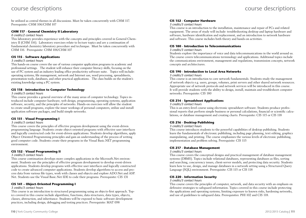be utilized as central themes in all discussions. Must be taken concurrently with CHM 117. Prerequisite: CHM 106/CHM 107

#### **CHM 117 - General Chemistry II Laboratory**

#### *0 credits/2 contact hours*

This laboratory provides experience with the concepts and principles covered in General Chemistry II (CHM 116). Laboratory exercises relate to lecture topics and are a continuation of fundamental chemistry laboratory procedure and technique. Must be taken concurrently with CHM 116. Prerequisite: CHM 106/CHM 107

#### **CIS 115 - Software Applications**

#### *3 credits/3 contact hours*

This hands-on course covers the use of various computer application programs in academic and professional settings. The student will enhance their computer literacy skills, focusing on the use of PC system and an industry leading office productivity software suite. Topics will include: operating systems, file management, network and Internet use, word processing, spreadsheets, presentation tools, databases, and other practical applications. The class builds on the student's existing knowledge using a PC system.

#### **CIS 118 - Introduction to Computer Technology**

#### *3 credits/3 contact hours*

This course provides a general overview of the many areas of computer technology. Topics introduced include computer hardware, web design, programming, operating systems, application software, security, and the principles of networks. Hands-on exercises will allow the student to create small programs, explore the inner workings of personal computers, utilize and install application software packages, and build simple networks.

#### **CIS 131 - Visual Programming I**

#### *3 credits/3 contact hours*

This course covers the principles of effective program development using the event-driven programming language. Students create object-oriented programs with effective user interfaces and logically constructed code for event-driven applications. Students develop algorithms, apply Object Oriented Programming principles and gain an understanding of the process of writing good computer code. Students create their programs in the Visual Basic.NET programming environment.

#### **CIS 132 - Visual Programming II**

#### *3 credits/3 contact hours*

This course continuation develops more complex applications in the Microsoft.Net environment. Students use the principles of effective program development to develop event-driven applications. Students develop programs with effective user interfaces and logically constructed code to create advanced computer applications. Students develop algorithms to access and process data from various file types, work with classes and objects and explore ADO.Net and ASP. Net. Students use the Visual Basic.Net IDE to code their programs. Prerequisite: CIS 131

#### **CIS 141 – Object-Oriented Programming I**

#### *3 credits/3 contact hours*

This course is an introduction to structured programming using an objects-first approach. Topics covered in this course include algorithms, functions, data structures, data types, objects, classes, abstraction, and inheritance. Students will be exposed to basic software development practices, including design, debugging and testing practices. Prerequisite: MAT 098

#### *3 credits/3 contact hours*

This course is an introduction to the installation, maintenance and repair of PCs and related equipment. The areas of study will include: troubleshooting desktop and laptop hardware and software, hardware identification and replacement, and an introduction to network hardware and software. This course includes both theory and hands-on activities.

#### **CIS 180 - Introduction to Telecommunications**

#### *3 credits/3 contact hours*

Students explore the importance of voice and data telecommunications in the world around us. The course covers telecommunications terminology and applications. Additional topics include the communications environment, management and regulations, transmission concepts, network concepts and architectures.

#### **CIS 190 - Introduction to Local Area Networks**

#### *3 credits/3 contact hours*

This course is an introduction to core network fundamentals. Students study the management of network objects e.g. users, groups, volumes, print servers and other shared network resources. Appropriate use of network protocols and network services will be introduced in this course. It will provide students with the ability to design, install, maintain and troubleshoot computer networks. Prerequisite: CIS 180

#### **CIS 214 - Spreadsheet Applications**

#### *3 credits/3 contact hours*

This is an entry-level course using electronic spreadsheet software. Students produce professional reports that perform simple business or personal calculations, financial or scientific calculations, or database management and creating charts. Prerequisite: CIS 115 or CIS 118

#### **CIS 216 - Desktop Publishing**

#### *3 credits/3 contact hours*

This course introduces students to the powerful capabilities of desktop publishing. Students learn the fundamentals of electronic publishing, including page planning, text editing, graphics manipulating, and printing. The course emphasizes the various levels of electronic publishing, implementation and problem solving. Prerequisite: CIS 115

#### **CIS 217 - Database Management**

#### *3 credits/3 contact hours*

This course covers the conceptual designs and practical management of database management systems (DBMS). Topics include relational databases, representing databases as files, sorting and searching, concurrency issues, client-server models, and protecting data security. Students learn how to use, design, and manage databases in a network setting using a Structured Query Language (SQL) environment. Prerequisite: CIS 115 or CIS 118

#### **CIS 220 - Information Security**

#### *3 credits/3 contact hours*

This course covers the principles of computer, network, and data security with an emphasis on defensive strategies to safeguard information. Topics covered in this course include protecting the applications and operating systems, limiting exposure to known risks, hardening networks, and use of guidelines to safeguard data. Prerequisites: PHI 102 and CIS 118.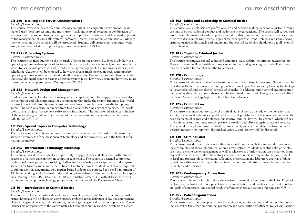#### **CIS 230 - Desktop and Server Administration I**

#### *3 credits/3 contact hours*

This course covers the basics of administering computers in a corporate environment, including end-user (desktop) systems and multi-user / back-end (server) systems. A combination of lectures, discussions, and hands-on assignments will provide the students with a broad exposure to the management of users, file systems, software, process, and system administration. Management of small network services will be introduced. Students will create small computer workgroups comprised of similar operating systems. Prerequisite: CIS 152

#### **CIS 255 - Operating Systems**

#### *3 credits/3 contact hours*

This course is an introduction to the internals of an operating system. Students study how the operating system enables applications to seamlessly use and share the underlying computer hardware. Topics include processes and threads, memory management, file systems, deadlocks, and scheduling. Students will be exposed to how each area is implemented in both contemporary operating systems as well as historically significant systems. Demonstrations and hands-on labs will show the significance of various operating system tasks, how they occur, and how they relate to running of a complete system. Prerequisite: CIS 152

#### **CIS 285 - Network Design and Management**

#### *3 credits/3 contact hours*

Students examine networks from a management perspective first, then apply their knowledge to the computer and telecommunications components that make the system function. Real-world casework is utilized. Architectural considerations range from platform to media to topology to access. The solutions examined range from traditional to leading edge technologies. Real world tools such as project management software are introduced. The course emphasizes terminology of the networking world and the function of its hardware/software components. Prerequisite: CIS 180 or NET 110

#### **CIS 290 - Special Topics in Computer Technology**

#### *3 credits/3 contact hours*

The topics covered in this course vary from semester to semester. The goal is to increase the student's awareness of the most current technology and the current issues in the field of information technology.

#### **CIS 295 - Information Technology Internship**

#### *3 credits/3 contact hours*

This course provides the student an opportunity to apply theory and classroom skills into the practices of a work environment in computer technology. The course is designed to promote professional development by providing challenging and valuable work experience and prepare students for future careers in the field. In addition to field work, students will also be required to submit written assignments on a regular basis. Students are expected to spend a minimum of 135 hours working at the internship site and complete written assignments related to the experience. Prerequisites: CIS 230 and NET 110, a cumulative GPA of 3.0, with at least 30 credits earned in the computer technology program and permission of the Department Chair.

#### **CJS 101 - Introduction to Criminal Justice**

#### *3 credits/3 contact hours*

This course explores the historical development, current operation, and future trends of criminal justice. Emphasis will be placed on contemporary problems in the definition of law, the enforcement of law, strategies of policing, judicial systems, sentencing strategies and correctional practices. Content includes not only practices in the United States, but also other cultures and their systems of justice.

#### **CJS 102 - Ethics and Leadership in Criminal Justice**

#### *3 credits/3 contact hours*

This course is an exploration of professionalism and decision making in criminal justice through the lens of ethics, codes of conduct and leadership in organizations. The course will survey various ethical dilemmas and leadership theories. With this foundation, the students will examine their own decision making process, apply these concepts to current problems and issues facing criminal justice professionals and understand that ethical leadership should exist at all levels of the profession.

#### **CJS 105 - Topics in Criminal Justice**

#### *3 credits/3 contact hours*

This course investigates special topics and emerging issues within the criminal justice system. Topics discussed will be outside of those carried in the catalog on a regular basis. The course may be repeated for credit when the topic varies.

#### **CJS 120 - Criminology**

#### *3 credits/3 contact hours*

This course will define crime and evaluate the various ways crime is measured. Students will be provided with an overview of the more popular criminological theories, emphasizing the biological, psychological and sociological schools of thought. In addition, crime control and prevention strategies as they relate to each theory will be examined in terms of theory, practice and effectiveness. Major crime typologies will be defined and discussed.

#### **CJS 125 - Criminal Law**

#### *3 credits/3 contact hours*

This course is an introductory study of criminal law in America; a study of the behavior that society has deemed to be unacceptable and worthy of punishment. The course will focus on the basic elements of crimes and defenses. Substantive criminal law will be covered, which defines such crimes as murder, rape, assault, perjury, extortion and offenses against national security. The general principles of criminal liability, punishment, and criminal defenses based on selfdefense, necessity, entrapment, diminished capacity and insanity will be discussed.

#### **CJS 140 - Criminalistics**

#### *3 credits/3 contact hours*

This course provides the student with the entry level forensic skills instrumental in conducting a complete and thorough criminal or civil investigation. Students will study the principles of effective crime scene management as well as what types of information can be learned from physical evidence as a result of laboratory analysis. The course is designed to prepare students in legal and practical documentation, collection, preservation and laboratory analysis of physical evidence discovered during a criminal investigation. Actual criminal investigations will be presented and discussed.

#### **CJS 201 - Contemporary Corrections**

#### *3 credits/3 contact hours*

The focus of this course is to introduce the student to correctional systems in the USA. Emphasis is placed on the historical development of correctional systems and practices, treatment of offenders, goals of corrections, and special needs of offenders in today's systems. Prerequisite: CJS 101

#### **CJS 205 - Police Organizations**

*3 credits/3 contact hours*

This course covers the principles of police organization, administration, and community policing, as well as the selection, training, promotion and socialization of officers. Topics will include: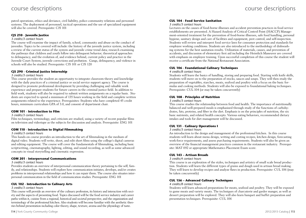patrol operations, ethics and deviance, civil liability, police-community relations and personnel systems. The deployment of personnel, tactical operations and the use of specialized equipment will also be covered. Prerequisite: CJS 101

#### **CJS 210 - Juvenile Justice**

#### *3 credits/3 contact hours*

The course will examine the impact of family, school, community and abuse on the conduct of juveniles. Topics to be covered will include: the history of the juvenile justice system, including a review of the current status of the system and juvenile crime trend data; research examining the pathways that children and youth follow into delinquent behavior; theoretical approaches to delinquency, and the evolution of, and evidence behind, current policy and practice in the Juvenile Court System, juvenile corrections and probation. Gangs, delinquency, and violence in schools will also be studied. Prerequisite: CJS 101 or CJS 120

#### **CJS 290 - Criminal Justice Internship**

#### *3 credits/3 contact hours*

This course provides the student an opportunity to integrate classroom theory and knowledge with the daily practices of a criminal justice or social service support agency. The course is designed to promote professional development by providing challenging and valuable work experience and prepare students for future careers in the criminal justice field. In addition to field work, students will also be required to submit written assignments on a regular basis. Students are expected to spend a minimum of 135 hours working in the field and complete written assignments related to the experience. Prerequisites: Students who have completed 45 credit hours, minimum curriculum GPA of 3.0, and consent of department chair.

#### **COM 101 - Introduction to Film**

#### *3 credits/3 contact hours*

Film techniques, terminology, and criticism are studied, using a variety of recent popular films on television and videotape as the subjects for discussion and analysis. Prerequisite: ENG 101

#### **COM 110 - Introduction to Digital Filmmaking**

#### *3 credits/3 contact hours*

This hands-on course provides an introduction to the art of filmmaking in the medium of digital video. Students will write, shoot, and edit short films using the college's digital cameras and editing equipment. The course will cover the fundamentals of filmmaking, including basic scriptwriting, cinematography, lighting, editing, and sound recording, as well as some advanced concepts in visual storytelling and cinematic expression.

#### **COM 201 - Interpersonal Communications**

#### *3 credits/3 contact hours*

Provides students an overview of interpersonal communication theory pertaining to the self, family, and relationships. Students will explore how communication initiates, develops, and/or creates problems in interpersonal relationships and how it can repair them. The course also situates interpersonal communication in the field of communication studies. Prerequisite: ENG 101

#### **CUL 102 - Introduction to Culinary Arts**

#### *3 credits/3 contact hours*

This course will provide an overview of the culinary profession, its history and interaction with society and the aspects of presenting food. Topics discussed will be the food service industry and career paths within it, cuisine from a regional, historical and societal perspective, and the organization and terminology of the professional kitchen. Also students will become familiar with the aesthetic theories behind presentation including color theory, shape, texture, aroma and the physiology of taste.

#### *3 credits/3 contact hours*

Lectures on the causes of food-borne illnesses and accident prevention practices in food service establishments are presented. A Hazard Analysis of Critical Control Point (HACCP) Management-oriented treatment for the prevention of food-borne illnesses, safe food handling, personal hygiene, sanitary design and care of facilities and equipment, pest control, and self-inspection. Students will review and interpret food service laws for consumer protection and standards for employee working conditions. Students are also introduced to the methodology of dishwashing systems for the best sanitation results. Utilization of materials, causes, and prevention of accidents, and discussion of elementary first aid including the Heimlich Maneuver are covered with emphasis on employee training. Upon successful completion of this course the student will receive a certificate from the National Restaurant Association.

#### **CUL 106 - Foundational Culinary Techniques**

#### *4 credits/8 contact hours*

Students will learn the basics of handling, storing and preparing food. Starting with knife skills, students will move on to the preparation of stocks, sauces and soups. They will then study the preparation of vegetables, starches, meats, seafood and poultry with a focus on the basic formulas and cooking methods. Students will also be exposed to foundational baking techniques. Prerequisite: CUL 104 (or may be taken concurrently)

#### **CUL 108 - Principles of Nutrition**

#### *3 credits/3 contact hours*

This course studies the relationship between food and health. The importance of nutritionally balanced and well-prepared meals is emphasized through study of the functions of carbohydrates, fats, proteins, and fiber in the diet. Emphasis is on the principles of nutrition, the six basic nutrients, and related health concepts. Various eating behaviors, recommended dietary intakes and tools for diet management will be discussed.

#### **CUL 131 - Culinary Operations I**

#### *3 credits/3 contact hours*

An introduction to the design and management of the professional kitchen. In this course students will learn about menu design, writing and costing recipes, kitchen design, forecasting work-force requirements, and assess purchasing requirements. Students will also be given an overview of the financial management practices common in the restaurant industry. Prerequisite: MAT 092 or appropriate Mathematics Placement Exam score.

#### **CUL 143 – Artisan Breads**

#### *3 credits/4 contact hours*

This course is an exploration of the styles, techniques and artistry of small scale bread production. Students will learn the different types of grains and dough used in artisan bread making. They will learn to develop recipes and analyze flaws in production. Prerequisite: CUL 106 (may be taken concurrently)

#### **CUL 156 – Advanced Culinary Techniques**

#### *4 credits/8 contact hours*

Students will learn advanced preparations for meats, seafood and poultry. They will be exposed to game meats and variety meats. The techniques of charcuterie and garder manger, as well as dessert preparation will be explored. They will also learn banquet and buffet preparation and presentation techniques. Prerequisite: CUL 106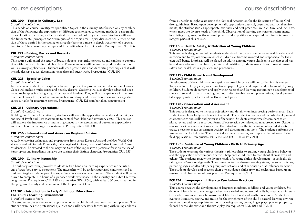#### **CUL 200 - Topics in Culinary, Lab**

#### *3 credits/4 contact hours*

This hands-on course investigates specialized topics in the culinary arts focused on any combination of the following; the application of different technologies to cooking methods, a geographical exploration of cuisine, and a historical treatment of culinary traditions. Students will learn the fundamental principles and techniques of the topic area. Topics discussed will either be outside of those carried in the catalog on a regular basis or a more in depth treatment of a specialized topic. The course may be repeated for credit when the topic varies. Prerequisite: CUL 106

#### **CUL 221 - Baking, Pastry and Desserts**

#### *4 credits/8 contact hours*

This course will entail the study of breads, doughs, custards, meringues, and candies in conjunction with the use of fruits and chocolate. These elements will be used to produce desserts as well as savory applications. Students will learn presentation and decorating techniques that will include dessert sauces, decoration, chocolate and sugar work. Prerequisite: CUL 106

#### **CUL 223 - Specialty Cakes**

#### *3 credits/4 contact hours*

In this course students will explore advanced topics in the production and decoration of cakes. Cakes will include multi-tiered and novelty designs. Students will also develop advanced decorating techniques involving icings, frostings and fondant. They will gain experience in the production of cakes for special occasions such as weddings and themed events as well as signature cakes suitable for restaurant service. Prerequisite: CUL 221 (can be taken concurrently)

#### **CUL 231 - Culinary Operations II**

#### *3 credits/3 contact hours*

Building on Culinary Operations I, students will learn the application of analytical techniques and use of Profit and Loss statements to control food, labor and inventory costs. This course will explore the importance of marketing concepts, the assessment of customer expectations and the role of technology in a restaurant. Prerequisite: CUL 131

#### **CUL 256 - International and American Regional Cuisine**

#### *4 credits/8 contact hours*

A study of cooking techniques and preparations from across Europe, Asia and the New World. Cuisines covered will include Provencàle, Italian regional, Chinese, Southeast Asian, Cajun and Creole. Students will be exposed to the culinary traditions of the regions with particular focus on the use of herbs, spices and ingredients that give the cuisines their distinct character. Prerequisite: CUL 156

#### **CUL 290 - Culinary Internship**

#### *3 credits/4 contact hours*

The culinary internship provides students with a hands-on learning experience in the kitchens of area food service operations. The internship will be under supervised conditions and is designed to give students practical experience in a working environment. The student will be required to complete 135 hours of supervised work experience in the industry and submit written assignments. Prerequisite: CUL 156, a cumulative GPA of 3.0, with at least 30 credits earned in the program of study and permission of the Department Chair.

#### **ECE 101 - Introduction to Early Childhood Education –**

#### **The Child's Learning Environment**

*3 credits/3 contact hours*

The student explores theory and application of early childhood programs, past and present. The student examines the professional qualities and skills necessary for working with young children

#### **ECE 108 - Health, Safety, & Nutrition of Young Children**

#### *3 credits/3 contact hours*

This course is designed to help students understand the correlation between health, safety, and nutrition and to explore ways in which children can become involved and responsible for their own well-being. Emphasis will be placed on adults assisting young children to develop good habits and attitudes regarding health, safety, and nutrition. Students research and present current safety and health, issues, policies, and procedures.

#### **ECE 111 - Child Growth and Development**

#### *3 credits/3 contact hours*

Development of the child from conception to preadolescence will be studied in this course. Topics include the physical, socio-emotional, psychological and cognitive development of young children. Students document and apply their research and learning pertaining to developmental theory in several formats including but not limited to observation, presentations, developmentally appropriate practices and portfolio development.

#### **ECE 170 - Observation and Assessment**

#### *3 credits/3 contact hours*

This course is designed to increase objectivity and detail when interpreting performance. Each student completes forty-five hours in the field. The student observes and records developmental characteristics and skills and patterns of behavior. Students attend weekly seminars to explore, review and revise recorded forms of observation completed at an approved site. Students research various assessment measures. Each student uses the information observed at a site to create a teacher-made assessment activity and documentation tools. The student performs the assessment in the field site. The student documents, assesses, and reports the outcome of the field application. Prerequisites: ENG 101 and (ECE 111 or PSY 214)

#### **ECE 190 - Guidance of Young Children - Birth to Primary Age**

#### *3 credits/3 contact hours*

The students examine the various theorists' philosophies to guiding young children's behavior and the application of techniques that will help each child learn to care about themselves and others. The students review the diverse needs of a young child's development - specifically detailing social/emotional growth. The course content addresses learning styles, personality types, parenting styles, adult/child peer group interactions, and other criteria that influence behavior. The students develop and practice their own guidance philosophy and techniques based upon research and observation of best practices. Prerequisite: ECE 111

#### **ECE 202 - Language and Literacy Curriculum Practices**

#### *3 credits/3 contact hours*

This course reviews the development of language in infants, toddlers, and young children. Students will learn how to encourage and enhance verbal and nonverbal skills by creating an interactive and communication-rich environment filled with oral and written resources. Students will evaluate literature, poetry, and music for the enrichment of the child's natural learning environment and practice appropriate methods for using stories, books, finger plays, poetry, puppetry, flannel boards, dramatic and thematic play. Prerequisites: ECE 101 and ECE 111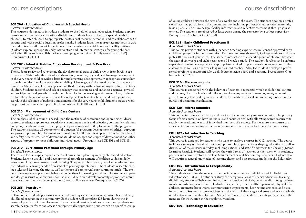#### **ECE 206 - Education of Children with Special Needs**

#### *3 credits/3 contact hours*

This course is designed to introduce students to the field of special education. Students explore causes and characteristics of various disabilities. Students learn to identify special needs in children, to refer children to appropriate professional resource personnel and to collaborate with parents and with special education professionals. Students learn the appropriate methods to care for and to teach children with special needs in inclusive or special home and facility settings. Students explore appropriate early intervention and interaction strategies for young children with disabilities such as collaboratively developing an individual family serve plans (IFSP). Prerequisite: ECE 111

#### **ECE 207 - Infant & Toddler Curriculum Development & Practices**

#### *3 credits/3 contact hours*

The students review and re-examine the developmental areas of child growth from birth to age three years. This in-depth study of social-emotion, cognitive, physical, and language development in the very young child provides a basis for implementing developmentally appropriate curriculum through the selection of materials, the modeling of language, and the creation of nurturing environments. Students explore concepts and methods dealing with inclusion programs for exceptional children. Students research and select pedagogy that encourages and enhances cognitive, physical and social/emotional growth through the role of play in the learning environment. Also, students explore the influence of various issues of development such as attachment and brain growth research to the selection of pedagogy and activities for the very young child. Students create a working professional curriculum portfolio. Prerequisites: ECE 101 and ECE 111

#### **ECE 210 - Management of Child Care Centers**

#### *3 credits/3 contact hours*

The emphasis of this course is based upon the methods of organizing and operating childcare centers. Students explore legal regulations, equipment needs and selection, community relations, budgetary needs and resources, employment procedures and child placement in the program. The students evaluate all components of a successful program: development of ethical, appropriate program philosophy, placement and transition of children, hiring practices, schedules, health and safety procedures, use of developmental domains, ages and stages of development and other aspects of program to meet children's individual needs. Prerequisites: ECE 101 and ECE 111

#### **ECE 219 - Curriculum Preschool through Primary-age**

*3 credits/3 contact hours*

The course focus is upon major elements of curriculum planning in early childhood education. Students learn to use skill and developmental growth assessment of children to design daily, weekly and long-range instructional planning. They research various types of schedules to meet the individual learning needs of preschool to primary-age children. The students research learning styles and learning theories as well as the use of commercial curriculum materials. The students develop lesson plans and behavioral objectives for learning activities. The students explore and design instructional materials for use in child-centered developmentally appropriate activities with a community of young learners 3 years – 8 years of age. Prerequisite: ECE 202

#### **ECE 255 - Practicum I**

#### *3 credits/3 contact hours*

In this course students perform a supervised teaching experience in an approved licensed early childhood program in the community. Each student will complete 135 hours during the 14 weeks of practicum in the placement site and attend weekly seminars on campus. Students research, design, perform and assess developmentally appropriate practices with a specified group

of young children between the ages of six weeks and eight years. The students develop a professional teaching portfolio as a documentation tool including professional observation materials, lesson plans, curriculum design, facility information and reflective assessment through journal entries. The students are observed at least twice during the semester by a college supervisor. Prerequisite: C or better in ECE 170

#### **ECE 265 - Early Childhood Practicum II**

#### *4 credits/4 contact hours*

This course provides students with supervised teaching experiences in licensed approved early childhood programs in the community. Each student attends weekly College seminars and completes 180 hours of practicum. The student interacts with a specific group of children between the ages of six weeks and eight years over a 14-week period. The student develops and performs supervised on-site developmentally appropriate curriculum plans weekly as an assistant in the classroom, as well as a one week-long unit as lead teacher. Also, the student develops a professional portfolio, a practicum solo-week documentation board and a resume. Prerequisite: C or better in ECE 255

#### **ECO 110 - Macroeconomics**

*3 credits/3 contact hours*

This course is concerned with the behavior of economic aggregate, which include total output and income, the price levels and inflation, total employment and unemployment, economic growth, money, the banking system, and the formulation of fiscal and monetary policies in the pursuit of economic stabilization.

#### **ECO 120 - Microeconomics**

#### *3 credits/3 contact hours*

This course introduces the theory and practice of contemporary microeconomics. The primary focus of this course is on how individuals and societies deal with allocating scarce resources to satisfy the needs and wants of individual members of a society. Furthermore, the course provides better understanding of the various economic forces that affect daily decision-making.

#### **EDU 102 - Introduction to Teaching**

#### *3 credits/3 contact hours*

This course is designed for students who want to explore a career in K-12 teaching. The course includes a survey of historical trends and philosophical perspectives shaping education as well as discussion of major issues in today, including national and state frameworks for learning (Maine Learning Results). Students will review the varied roles of teachers as they work with students, parents and administrators as well as Maine's teacher certification requirements. Students also will acquire a general knowledge of learning theory and best practice models in the field today.

#### **EDU 105 - Introduction to Exceptionality**

#### *3 credits/3 contact hours*

The students examine the tenets of the special education law, Individuals with Disabilities Education Act, IDEA. The students study the categorical areas of special education, learning disabilities, emotional/behavioral impairment, attention deficit/hyperactive disorder, giftedness, mental retardation, severe/multiple disabilities, autism, other health impairment, physical disabilities, traumatic brain injury, communication impairments, hearing impairments, and visual impairments. Students explore etiology and diagnosis of the categorical areas and learn methods of educational intervention for each. Students connect the needs of the categorical areas to the mandate for instruction in the regular curriculum.

#### **EDU 160 - Technology in Education**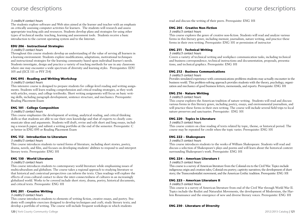#### *3 credits/4 contact hours*

The students explore software and Web sites aimed at the learner and teacher with an emphasis on critically assessing computer activities for learners. The students will research and assess appropriate teaching aids and resources. Students develop plans and strategies for using other types of technical media: teaching, learning and assessment tools. Students receive a basic introduction to the current operating system and to the Internet.

#### **EDU 206 - Instructional Strategies**

#### *3 credits/3 contact hours*

Throughout this course students develop an understanding of the value of serving all learners in a learning environment. Students explore modifications, adaptations, motivational techniques and instructional strategies for the learning community based upon individual learner's needs. Students investigate, design and practice a variety of teaching methods for use in any classroom where one may encounter a wide spectrum of diversity and learning styles. Prerequisites: EDU 105 and (ECE 111 or PSY 214)

#### **ENG 095 - Reading and Writing Workshop**

#### *3 credits/3 contact hours*

This intensive course is designed to prepare students for college-level reading and writing assignments. Students will learn reading comprehension and critical reading strategies, as they work with articles, essays, and college textbooks. Short writing assignments will focus on basic writing skills, including paragraph development, sentence structure, and mechanics. Prerequisite: Reading Placement Exam

#### **ENG 101 - College Composition**

#### *3 credits/3 contact hours*

This course emphasizes the development of writing, analytical reading, and critical thinking skills so that students are able to use their own knowledge and that of experts to clearly communicate ideas and arguments. Students will draft, revise and edit short and long essays, including a research paper, and submit a writing portfolio at the end of the semester. Prerequisite: C or better in ENG 095 or Reading Placement Exam

#### **ENG 112 - Introduction to Literature**

#### *3 credits/3 contact hours*

This course introduces students to varied forms of literature, including short stories, poetry, drama, novels, and film, and focuses on developing students' abilities to respond to and interpret literary texts. Prerequisite: ENG 101

#### **ENG 130 - World Literature**

#### *3 credits/3 contact hours*

This course introduces students to contemporary world literature while emphasizing issues of multiculturalism and globalism. The course takes a regional approach to studying literature so that historical and contextual perspectives can inform the texts. Class readings will explore the effects of cross-cultural contact to show the inter-connectedness of cultures in an increasingly globalized world. Works to be covered include short story, drama, poetry, historical documents, and critical texts. Prerequisite: ENG 101

#### **ENG 201 - Creative Writing**

#### *3 credits/3 contact hours*

This course introduces students to elements of writing fiction, creative essays, and poetry. Students will complete exercises designed to develop techniques and craft; study literary texts; and develop a portfolio of writing. The course will include frequent workshops in which students

read and discuss the writing of their peers. Prerequisite: ENG 101

#### **ENG 205 - Creative Non-Fiction**

#### *3 credits/3 contact hours*

This course explores the genre of creative non-fiction. Students will read and analyze various forms in this literary genre, including memoir, journalism, nature writing, and practice these forms in their own writing. Prerequisite: ENG 101 or permission of instructor

#### **ENG 211 - Technical Writing**

*3 credits/3 contact hours*

Covers a variety of technical writing and workplace communication tasks, including technical and business correspondence, technical instructions and documentation, proposals, presentations, and technical graphics. Prerequisite: ENG 101

#### **ENG 212 - Business Communications**

#### *3 credits/3 contact hours*

Provides simulated experience with communications problems students may actually encounter in the business world. This problem-solving approach provides students with the theory, psychology, organization and mechanics of good business letters, memoranda, and reports. Prerequisite: ENG 101

#### **ENG 216 - Nature Writing**

#### *3 credits/3 contact hours*

This course explores the American tradition of nature writing. Students will read and discuss various forms in this literary genre, including poetry, essays, and environmental journalism, and will practice these forms in their own writing. The course will include several field trips to local nature preserves and sanctuaries. Prerequisite: ENG 101

#### **ENG 220 - Topics in Literature**

*3 credits/3 contact hours*

This course centers on close reading of texts related by topic, theme, or historical period. The course may be repeated for credit when the topic varies. Prerequisite: ENG 101

#### **ENG 222 – Shakespeare**

*3 credits/3 contact hours*

This course introduces students to the works of William Shakespeare. Students will read and discuss a selection of Shakespeare's plays and poems and will learn about the historical context surrounding Shakespeare's work. Prerequisite: ENG 101

#### **ENG 224 – American Literature I**

*3 credits/3 contact hours*

This course is a survey of American literature from the Colonial era to the Civil War. Topics include indigenous origin and creation tales; Colonial-era poetry; captivity narratives; the development of short story; the Transcendentalist movement; and the American Gothic tradition. Prerequisite: ENG 101

#### **ENG 225 – American Literature II**

#### *3 credits/3 contact hours*

This course is a survey of American literature from end of the Civil War through World War II. Topics include the Realist and Naturalist Movements, the development of Modernism, the Harlem Renaissance and the emergence of new and diverse literary voices. Prerequisite: ENG 101

**ENG 230 - Literature of Diversity**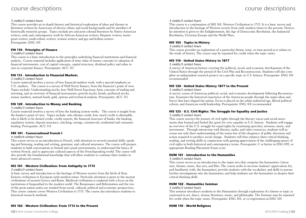#### *3 credits/3 contact hours*

This course provides an in-depth literary and historical exploration of ideas and themes in literature written by Americans of diverse ethnic and racial backgrounds and by members of historically minority groups. Topics include pre and post-colonial literature by Native American writers; early and contemporary work by African-American writers; Hispanic writers; immigrant writers; multi-ethnic writers; women writers; and gay and lesbian writers. Prerequisite: ENG 101

#### **FIN 110 - Principles of Finance**

#### *3 credits/3 contact hours*

This course is a basic introduction to the principles underlying financial institutions and financial analysis. Course material includes application of time value of money concepts to valuation of financial instruments, cost of capital concepts, capital structure, dividend policy and other issues in corporate finance. Prerequisite: ACC 111

#### **FIN 115 - Introduction to Financial Markets**

#### *3 credits/3 contact hours*

Course material involves a survey of how financial markets work, with a special emphasis on U.S. markets. The course is a survey of Wall Street finance, from the financier's point of view. Topics include: Understanding stocks, how Wall Street functions, basic concepts of trading and investing, and an overview of financial instruments: growth stocks, bonds, preferred stocks, money markets, mutual funds, gold, options and technical analysis. Prerequisite: ACC 111

#### **FIN 120 - Introduction to Money and Banking**

#### *3 credits/3 contact hours*

Course material involves a survey of how the banking system works. The course is taught from the banker's point of view. Topics include: who obtains credit, how much credit is obtainable, who is likely to be denied credit, credit reports, the financial structure of banks, the banking regulatory system, deposit insurance, checking, savings, commercial, residential and consumer lending. Prerequisite: ACC 111

#### **FRE 101 - Conversational French I**

#### *4 credits/4 contact hours*

This course serves as an introduction to French, with attention to several essential skills: speaking and listening, reading and writing, grammar, and cultural awareness. The course will prepare students to hold conversations in formal and casual environments, to understand the basics of written French, and to appreciate cultural aspects of the Frenchspeaking world. The course will also provide the foundational knowledge that will allow students to continue their studies in more advanced courses.

#### **HIS 101 - Western Civilization: From Antiquity to 1715**

#### *3 credits/3 contact hours*

A basic survey and introduction to the heritage of Western society from the birth of Near Eastern civilization to European early-modern times. Particular attention is given to the ancient civilizations of ancient Greece and Rome. Medieval civilization is explored with a focus on the institutions it bequeathed to the modern world. The Renaissance and Reformation and the rise of the great nation-states are studied from social, cultural, political and economic perspectives. This course content covers Western Civilization to 1715. The course also introduces students to historical research methods.

#### *3 credits/3 contact hours*

This course is a continuation of HIS 101, Western Civilization to 1715. It is a basic survey and introduction to the heritage of Western society from early modern times to the present. Particular attention is given to the Enlightenment, the Age of Democratic Revolution, the Industrial Revolution, Victorian Europe and the World Wars.

#### **HIS 105 - Topics in History**

#### *3 credits/3 contact hours*

This course provides an exploration of a particular theme, issue, or time period as it relates to the study of history. The course may be repeated for credit when the topic varies.

#### **HIS 110 - United States History to 1877**

#### *3 credits/3 contact hours*

A survey of American history covering the political, social, and economic development of the United States through the period of the Civil War and Reconstruction. Students will also complete an independent research project on a specific topic in U.S. history. Prerequisite: ENG 101 recommended

#### **HIS 120 - United States History 1877 to the Present**

*3 credits/3 contact hours*

A survey course of American political, social, and economic development following Reconstruction. Examines the historical experience of the American people through the major ideas and forces that have shaped the nation. Focus is placed on the urban industrial age, liberal political reform, and American world leadership. Prerequisite: ENG 101 recommended

#### **HIS 125 - U.S. Civil Rights: The Struggle for Equality and Justice** *3 credits/3 contact hours*

This course surveys the journey of civil rights through the literary voices and social movements that framed and fueled the quest for civic equality in U.S. history. Students will engage an overview of the U.S. struggle for equal rights by examining speeches, sermons, music, and movements. Through interaction with literary, audio, and video resources, students will increase not only their understanding of the issues but of the eloquence of public discourse and action required to produce social change. Students will thus enhance their critical thinking, reading, and writing skills in conjunction with gaining appreciation of the challenging nature of civil rights in both historical and contemporary terms. Prerequisite: C or better in ENG 095, or appropriate Reading Placement Exam score

#### **HUM 101 - Introduction to the Humanities**

#### *3 credits/3 contact hours*

This course serves as an introduction to the major arts that comprise the humanities: Literature, theater, music, fine arts, and film. The course seeks to increase students' appreciation for, and familiarity with, the humanities; provide students with the vocabulary and skills to pursue further investigations into the humanities; and help students use the humanities to deepen their critical thinking skills.

#### **HUM 102 - Humanities Seminar**

**HUM 110 - World Religions**

#### *3 credits/3 contact hours*

This seminar introduces students to the Humanities through exploration of a theme or topic as expressed in art, dance, drama, literature, music, and philosophy. The Seminar may be repeated for credit when the topic varies. Prerequisite: ENG 101, or co-registration in ENG 101

#### **HIS 102 - Western Civilization: From 1715 to the Present**

122 | York County Community College 2012/2013 Catalog | 123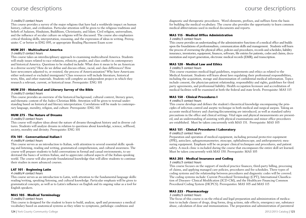#### *3 credits/3 contact hours*

This course provides a survey of the major religions that have had a worldwide impact on human history, culture, and civilization. Particular attention will be given to the religious traditions and beliefs of Judaism, Hinduism, Buddhism, Christianity, and Islam. Civil religion, universalism, and the influence of secular culture on religions will be discussed. The course also emphasizes critical thinking skills, interpretation, reasoning, and the expression of ideas in writing. Prerequisite: C or better in ENG 095, or appropriate Reading Placement Exam score

#### **HUM 201 - Multicultural America**

#### *3 credits/3 contact hours*

This course takes an interdisciplinary approach to examining multicultural America. Students will study issues related to race relations, ethnicity, gender, and class conflict in contemporary and historical America. Questions to be studied include: What does it mean to be an American in a diverse society? How do we define and discuss ethnic, racial, and class differences? How have newcomers adjusted to, or resisted, the process of Americanization? Why have Americans either welcomed or excluded immigrants? Class resources will include literature, historical texts, film, and other materials. Students will complete an independent project in which they research a relevant, current, or historical issue. Prerequisite: ENG 101

#### **HUM 210 - Historical and Literary Survey of the Bible**

#### *3 credits/3 contact hours*

This course provides an overview of the historical background, cultural context, literary genre, and thematic content of the Judeo-Christian Bible. Attention will be given to textual understanding based on historical and literary interpretation. Correlations will be made to contemporary language, morality, religion, and culture. Prerequisite: ENG 101

#### **HUM 275 - The Nature of Dreams**

#### *3 credits/3 contact hours*

This course will explore ideas about the nature of dreams throughout history and in diverse cultures. Students will analyze dreams in relation to questions about knowledge, science, selfhood, society, morality and divinity. Prerequisite: ENG 101

#### **ITA 101 - Conversational Italian I**

#### *4 credits/4 contact hours*

This course serves as an introduction to Italian, with attention to several essential skills: speaking and listening, reading and writing, grammatical comprehension, and cultural awareness. The course will prepare students to hold conversations in formal and casual environments, to understand the basics of written Italian, and to appreciate cultural aspects of the Italian-speaking world. The course will also provide foundational knowledge that will allow students to continue their studies in more advanced courses.

#### **LAT 101 - Beginning Latin**

#### *4 credits/4 contact hours*

This course serves as an introduction to Latin, with attention to the fundamental language skills: reading/writing, speaking/listening, and cultural knowledge. Particular emphasis will be given to grammatical concepts, as well as to Latin's influence on English and its ongoing value as a tool for English speakers.

#### **MAS 105 - Medical Terminology**

#### *3 credits/3 contact hours*

This course is designed for the student to learn to build, analyze, spell and pronounce a medical vocabulary based on anatomical systems as they relate to symptoms, pathologic conditions and

diagnostic and therapeutic procedures. Word elements, prefixes, and suffixes form the basis for building the medical vocabulary. The course also provides the opportunity to learn common medical abbreviations used in medical documents and reports.

#### **MAS 115 - Medical Office Administration**

#### *3 credits/3 contact hours*

This course provides an understanding of the administrative functions of a medical office and builds upon the foundations of professionalism, communication skills and management. Students will learn the process of overseeing the physical office, policies and procedures, records and schedules, liability insurance, inventories, equipment, finances, software, file entries for patients, codes and claims, documentation and report generation, electronic medical records (EMR), and transcription.

#### **MAS 120 - Medical Law and Ethics**

#### *3 credits/3 contact hours*

This course examines medical-legal guidelines, requirements and ethics as related to the Medical Assistant. Students will learn about laws regulating their professional responsibilities, including the acquisition, storage and dissemination of confidential medical information. Topics include consent, the physician-patient relationship, responsibility and rights, guidelines for third party agreements, and professional liability. Health occupation licensure and accreditation of medical facilities will be examined at both the federal and state levels. Prerequisite: MAS 115

#### **MAS 150 - Clinical Procedures I**

#### *4 credits/3 contact hours*

This course develops and defines the student's theoretical knowledge encompassing the principles of infection control and aseptic technique in both medical and surgical asepsis. Taking an accurate medical history and charting/documenting are introduced, as well as standard safety precautions in the office and clinical settings. Vital signs and physical measurements are presented, and an understanding of assisting with physical examinations and minor office procedures are established. Must be taken concurrently with MAS 151. Prerequisite: MAS 105

#### **MAS 151 - Clinical Procedures I Laboratory**

#### *0 credits/2 contact hours*

Preparation and operation of medical equipment, including personal protective equipment (PPE), autoclave, sphygmomanometer, otoscope, ophthalmoscope, and anthropometric measuring equipment. Emphasis will be on proper clinical techniques and procedures, and patient safety. A mock clinic is included during the course that encompasses the entire skill set learned. Must be taken concurrently with MAS 150. Prerequisite: MAS 105

#### **MAS 205 - Medical Insurance and Coding**

#### *3 credits/3 contact hours*

This course focuses on the support of medical practice finances, third-party billing, processing of claims, and applying managed care policies, procedures and fee schedules. Three types of coding systems and the relationship between procedures and diagnostic codes will be covered. The coding systems include: Current Procedural Terminology (CPT), International Classification of Diseases- Clinical Modification (ICD-CM), and the Healthcare Financing Common Procedural Coding System (HCPCS). Prerequisites: MAS 105 and MAS 115

#### **MAS 225 - Pharmacology**

*3 credits/3 contact hours*

The focus of this course is on the ethical and legal preparation and administration of medication to include classes of drugs, drug forms, drug actions, side effects, emergency use, substance abuse, calculation of dose and immunizations. The preparation and administration of parenteral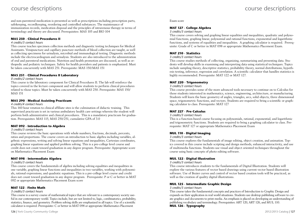and non-parenteral medication is presented as well as prescriptions including prescription parts, safekeeping, recordkeeping, reordering and controlled substances. The maintenance of immunization records, medication disposal and the principles of intravenous therapy in terms of terminology and theory are discussed. Prerequisites: MAS 105 and BIO 104

#### **MAS 250 - Clinical Procedures II**

#### *4 credits/3 contact hours*

This course teaches specimen collection methods and diagnostic testing techniques for Medical Assistants. Venipuncture and capillary puncture methods of blood collection are taught, as well as collecting specimens for urinalysis, microbial and immunological testing. Diagnostic methods include the electrocardiogram and urinalysis. Students are also introduced to the administration of oral and parenteral medications. Nutrition and health promotion are discussed, as well as orthopedic and pediatric techniques. Safety for health providers and patients is emphasized. Must be taken concurrently with MAS 251. Prerequisite: MAS 150/MAS 151

#### **MAS 251 - Clinical Procedures II Laboratory**

#### *0 credits/2 contact hours*

This course is the laboratory component for Clinical Procedures II. The lab will reinforce the topics covered in the lecture component and will allow students to perform clinical procedures related to those topics. Must be taken concurrently with MAS 250. Prerequisite: MAS 150/ MAS 151

#### **MAS 290 - Medical Assisting Practicum**

#### *4 credits/4 contact hours*

This 160 hour rotation to clinical affiliate sites is the culmination of didactic training. This supervised practicum is set in various ambulatory health care settings wherein the student will perform both administrative and clinical procedures. This is a mandatory practicum for graduation. Prerequisites: MAS 115, MAS 250/251, cumulative GPA of 3.0

#### **MAT 092 - Introduction to Algebra**

#### *3 credits/3 contact hours*

This course reviews the basic operations with whole numbers, fractions, decimals, percents, ratios and proportions. The course covers an introduction to basic algebra including variables, algebraic expressions, writing and solving linear equations and inequalities, Cartesian coordinates, graphing linear equations and applied problem solving. This is a pre-college level course and credit does not count toward graduation in any degree program. Prerequisite: Appropriate score on Mathematics Placement Exam

#### **MAT 098 - Intermediate Algebra**

#### *3 credits/3 contact hours*

This course covers the fundamentals of algebra including solving equalities and inequalities in one variable, graphing linear functions and inequalities in two variables, working with polynomials, rational expressions, and quadratic equations. This is a pre-college level course and credit does not count toward graduation in any degree program. Prerequisite: P or C or better in MAT 092 or appropriate Mathematics Placement Exam score

#### **MAT 122 - Finite Math**

#### *3 credits/3 contact hours*

This course is a survey course of mathematical topics that are relevant to a contemporary society useful in our contemporary world. Topics include, but are not limited to, logic, combinatorics, probability, statistics, finance, and geometry. Problem solving skills are emphasized in all topics. Use of a scientific calculator is required. Prerequisite: C or better in MAT 098 or appropriate Mathematics Placement

#### Exam score

#### **MAT 127 - College Algebra**

#### *3 credits/3 contact hours*

This course covers solving and graphing linear equalities and inequalities, quadratic and polynomial functions, graphing linear, polynomial and rational functions, exponential and logarithmic functions, and systems of equalities and inequalities. A graphing calculator is required. Prerequisite: Grade of C or better in MAT 098 or appropriate Mathematics Placement Exam.

#### **MAT 210 - Statistics**

#### *3 credits/3 contact hours*

This course studies methods of collecting, organizing, summarizing and presenting data. Students will develop skills in examining and interpreting data using statistical techniques. Topics include sampling theory, descriptive statistics, probability theory, normal distributions, hypothesis testing, inference, regression and correlation. A scientific calculator that handles statistics is highly recommended. Prerequisite: MAT 122 or MAT 127.

#### **MAT 220 - Trigonometry**

*3 credits/3 contact hours*

This course provides some of the more advanced tools necessary to continue on to Calculus for those students interested in mathematics, science, engineering, architecture, or manufacturing. Students will learn the basic geometry of angles, triangles, arcs, solid objects, three dimensional space, trigonometric functions, and vectors. Students are required to bring a scientific or graphing calculator to class. Prerequisite: MAT 127

#### **MAT 227 - Pre-Calculus**

*3 credits/3 contact hours*

This is a function-based course focusing on polynomials, rational, exponential, and logarithmic and trigonometric functions. Students are required to bring a graphing calculator to class. Prerequisite: MAT 127 or appropriate Mathematics Placement Exam

#### **MUL 110 - Digital Imaging**

#### *3 credits/3 contact hours*

This course explores the fundamentals of image editing, object creation, and animation. Topics covered in this course include scripting and design methods, enhanced interactivity, and use of multimedia functions. Students use visual and object oriented techniques throughout the course using basic concepts of photo editing software.

#### **MUL 122 - Digital Illustration**

*3 credits/3 contact hours*

This course introduces students to the fundamentals of Digital Illustration. Students will explore the various features of vector based drawings using current vector based illustration software. Use of Bezier curves and control of vector based creation tools will be practiced, as well as the creation of quality digital illustrations.

#### **MUL 125 - Intermediate Graphic Design**

#### *3 credits/3 contact hours*

This course takes the fundamental concepts and practices of Introduction to Graphic Design and expands on their application in real world situations. Students use desktop publishing software to create graphics and documents to print media. An emphasis is placed on developing an understanding of publishing vocabulary and terminology. Prerequisites: ART 120, ART 126, and MUL 110.

**MUL 126 - Typography**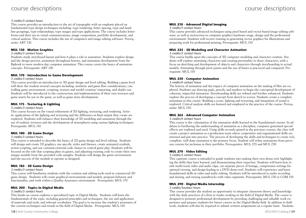#### *3 credits/3 contact hours*

This course provides an introduction to the art of typography with an emphasis placed on fundamental type design techniques including: type rendering, letter spacing, type and headline groupings, type relationships, type images and type applications. The course includes letter forms and their use in visual communications, image composition, portfolio development, and critical analysis. This course includes the use of computers and image editing software. Prerequisite: ART 126

#### **MUL 130 - Motion Graphics**

#### *3 credits/3 contact hours*

Students study storyboard layout and how it plays a role in animation. Students explore design and the design process, animation throughout history, and animation development from the flipbook to more modern day computer animation. This course covers the basics of animation concepts. Prerequisite: ART 120

#### **MUL 170 - Introduction to Game Development**

#### *3 credits/3 contact hours*

This course provides an introduction to 3D game design and level editing. Building a game level will show the student several concepts including: aesthetic and game flow considerations, controlling game environment, scripting, texture and model creation/ importing, and shader use. Students will be introduced to the construction and implementation of their own textures and game assets for use in the game, as well as game story development.

#### **MUL 175 - Texturing & Lighting**

#### *3 credits/3 contact hours*

This course focuses on the visual refinement of 3D lighting, texturing, and rendering. Artistic applications of the lighting and texturing and the difference in final output they create are explored. Students will enhance their knowledge of 3D modeling and animation through the use of realistic textures and the development of atmospheres using various lighting techniques. Prerequisite: MUL 110

#### **MUL 180 - 2D Game Design**

#### *3 credits/3 contact hours*

This course is intended to describe the basics of 2D game design and level editing. Students will design and create 2D graphics, use specific styles and themes, create animated symbols, action scripting, and use common external code classes to control game play. Students will be focused on the role that scripting plays in games, and adjusting existing code to create their own unique module from the provided code samples. Students will design the game environment and the success of the module to operate as designed.

#### **MUL 185 - 3D Game Design**

#### *3 credits/3 contact hours*

This course will familiarize students with the creation and editing tools used in commercial 3D game design. Students will create graphical environments and models, program behavior and functionality, and work within a Quality Assurance environment. Prerequisite: MUL 170

#### **MUL 200 - Topics in Digital Media**

#### *3 credits/3 contact hours*

This hands-on course explores a specialized topic in Digital Media. Students will learn the fundamentals of the topic, including general principles and techniques, the use and application of materials and tools, and relevant vocabulary. The goal is to increase the student's awareness of the current techniques and trends in the field of Digital Media. Prerequisite: MUL 110

#### **MUL 210 - Advanced Digital Imaging**

#### *3 credits/3 contact hours*

This course provides advanced techniques using pixel based and vector based image editing software, as well as instruction in computer graphics hardware usage, design and the professional environment. Students will receive training in generating vector graphics for illustrations and preparing work for professional printing. Prerequisite: MUL 110

#### **MUL 225 - 3D Modeling and Character Animation**

#### *3 credits/3 contact hours*

This course builds upon the concepts of 3D computer modeling and character creation. Students will explore animating characters and creating personality in those characters, with a focus on sketching and development of objects and characters through storyboarding to actual models. Animating through pivot points and the use of bones is practiced and compared. Prerequisite: MUL 110

#### **MUL 230 - Computer Animation**

#### *3 credits/4 contact hours*

The history of animation and the impact of computer animation on the making of film are explored. Students use drawing pads, pencils, and markers to begin the conceptual development of coherent, impactful animation. Storyboarding skills are refined and further enhanced. Students explore the process of developing a concept from sketch to screen. Students create a complete animation in this course. Building a scene, lighting and texturing, and integration of sound is explored. Critical analysis skills are learned and employed in the practice of the course. Prerequisite: MUL 130

#### **MUL 265 - Advanced Computer Animation**

#### *3 credits/4 contact hours*

This course is the culmination of the animation skills learned in the foundational courses. In addition to furthering the understanding of animation as a discipline, computer generated special effects are explored and used. Using skills recently gained in the previous courses, the class will create a project animation as a production team where cooperative and organizational skills are stressed and put into practice. The process of developing the skills and techniques to create rich, complete, well done animation is the primary focus. Student will refine animations from previous courses for inclusion in their portfolio. Prerequisites: MUL 225 and MUL 230

#### **MUL 270 - Video Editing**

#### *3 credits/3 contact hours*

This capstone course is intended to guide students into making their own demo reel, highlighting the skills they have learned, and demonstrating their expertise. Students will learn how to edit multi-track video and audio clips, cut separate pieces of footage, compression settings for optimal viewing, and design leading to a DVD demo reel. Students will experience and learn foundational skills in video and audio editing. Students will be introduced to audio recording and mixing, and mixing soundtracks with video segments. Prerequisite: MUL 130 or COM 110

#### **MUL 290 - Digital Media Internship**

#### *3 credits/3contact hours*

This course provides the student an opportunity to integrate classroom theory and knowledge with the daily practices of a firm or studio working in the field of Digital Media. The course is designed to promote professional development by providing challenging and valuable work experience and prepare students for future careers in the Digital Media field. In addition to field work, students will also be required to submit written assignments on a regular basis. Students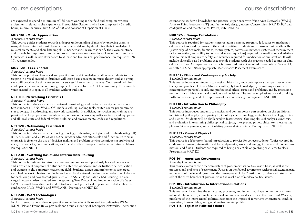are expected to spend a minimum of 135 hours working in the field and complete written assignments related to the experience. Prerequisite: Students who have completed 45 credit hours, minimum curriculum GPA of 3.0, and consent of Department Chair.

#### **MUS 101 - Music Appreciation**

#### *3 credits/3 contact hours*

This course guides students towards a deeper understanding of music by exposing them to many different kinds of music from around the world and by developing their knowledge of musical elements and their listening skills. Students will learn to identify their own emotional and thoughtful responses to music and to express those responses in spoken and written form. Coursework will include attendance to at least one live musical performance. Prerequisite: ENG 101 recommended

#### **MUS 120 - YCCC Chorale**

#### *3 credits/3 contact hours*

This course provides theoretical and practical musical knowledge by allowing students to participate in a vocal ensemble. Students will learn basic concepts in music theory, and as a group they will practice the skills necessary for successful vocal performances. Coursework will include participation in one or more group performances for the YCCC community. This mixedvoice ensemble is open to all students without audition.

#### **NET 110 - Networking Essentials I**

#### *3 credits/ 4 contact hours*

This course introduces students to network terminology and protocols, safety, network content standards, LANs, WANs, OSI models, cabling, cabling tools, router, router programming, star topology, IP addressing, and network standards. In addition, instruction and training are provided in the proper care, maintenance, and use of networking software tools, and equipment and all local, state and federal safety, building, and environmental codes and regulations.

#### **NET 120 - Networking Essentials II**

#### *3 credits/3 contact hours*

This course introduces dynamic routing, routing, configuring, verifying and troubleshooting RIP, RIPV2, EIGRP, and OSPF as well as the network administrator's role and function. Particular emphasis is given to the use of decision-making and problem-solving techniques in applying science, mathematics, communications, and social studies concepts to solve networking problems. Prerequisite: NET 110

#### **NET 230 - Switching Basics and Intermediate Routing**

#### *3 credits/3 contact hours*

This course is designed to introduce new content and extend previously learned networking skills, which will empower the student to enter the workforce and/or further their education and training in the computer-networking field. Students design and implement a converged switched network. Instruction includes hierarchical network design model, selection of devices for each layer, and how to configure Virtual LANS, VTP, and inter-VLAN routing in a converged network. Also included are the Spanning Tree Protocol and implementation of a WW-LAN in a small to medium network. Students develop practical experience in skills related to configuring LANs, WANs, and WWLANS. Prerequisite: NET 120

#### **NET 240 - WAN Technologies**

#### *3 credits/3 contact hours*

In this course, students develop practical experience in skills related to configuring WANs, ISDN, PPP and Frame Relay protocols and troubleshooting of Enterprise Networks. Instruction

extends the student's knowledge and practical experience with Wide Area Networks (WANs), Point-to-Point Protocols (PPP) and Frame Rely design, Access Control Lists, NAT, DHCP and configuration and maintenance. Prerequisite: NET 230

#### **NUR 126 - Dosage Calculations**

#### *2 credit/2 contact hours*

This course is required for students interested in a nursing program. It focuses on mathematical calculations used by nurses in the clinical setting. Students must possess basic math skills (knowledge of decimals, fractions, metric system, conversion between systems of measurement, ratio-proportion, and ability to do basic algebraic equations) required for medication calculations. This course will emphasize safety and accuracy required for medication administration. It will include clinically based problems that provide students with the practice needed to master clinical calculations. A simple use calculator is permitted but not required. Prerequisite: Grade of C or better in MAT 098 or appropriate Mathematics Placement Exam score

#### **PHI 102 - Ethics and Contemporary Society**

#### *3 credits/3 contact hours*

This course introduces students to classical, historical, and contemporary perspectives on the theory and practice of ethics. Students will apply this knowledge by examining a variety of contemporary personal, social, and professional ethical issues and problems, and by practicing methods for arriving at ethical solutions and decisions. The course emphasizes critical thinking skills and reasoning, and the expression of ideas in writing. Prerequisite: ENG 101

#### **PHI 110 - Introduction to Philosophy**

#### *3 credits/3 contact hours*

This course introduces students to classical and contemporary perspectives on the traditional inquiries of philosophy by exploring topics of logic, epistemology, metaphysics, theology, ethics, and justice. Students will be challenged to foster critical thinking skills of analysis, synthesis, and evaluation in examining philosophical subjects, interpreting philosophical texts, evaluating philosophical arguments, and articulating personal viewpoints. Prerequisite: ENG 101

#### **PHY 151 - General Physics I**

#### *4 credits/5 contact hours*

This course is a laboratory-based introduction to physics for college students. Topics covered include measurement, kinematics and force, dynamics, work and energy, impulse and momentum, motion, and fluids. Students are required to bring a scientific or graphing calculator to class. Prerequisite: MAT 220

#### **POS 101 - American Government**

#### *3 credits/3 contact hours*

This course examines the American system of government: its political institutions, as well as the processes and problems of government. Focus is on the federal government with special attention paid to the roots of the federal system and the development of the Constitution. Students will study the role of the three branches of government in the resolution of modern political issues.

#### **POS 105 - Introduction to International Relations**

#### *3 credits/3 contact hours*

This course will examine the structures, processes, and issues that shape contemporary international relations. Topics include national and international security in the Post Cold War era; problems of the international political economy; the impact of terrorism; international conflict resolution, human rights, and global environmental politics.

**POS 115 - Topics in Political Science**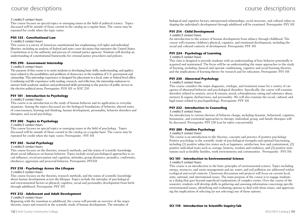#### *3 credits/3 contact hours*

This course focuses on special topics or emerging issues in the field of political science. Topics discussed will be outside of those carried in the catalog on a regular basis. The course may be repeated for credit when the topic varies.

#### **POS 125 - Constitutional Law**

#### *3 credits/3 contact hours*

This course is a survey of American constitutional law emphasizing civil rights and individual liberties, including an analysis of federal and state court decisions that interpret the United States Constitution as to the authority and process of criminal justice agencies. Students will develop an understanding of constitutional frameworks for criminal justice procedures and policies.

#### **POS 290 - Government Internship**

#### *3 credits/3 contact hours*

The purpose of this course is to assist students in developing basic skills, understanding, and applications related to the possibilities and problems of democracy in the tradition of U.S. government and citizenship. This internship experience is designed for placement in a local, state or federal level office. Combining real life experience with reading, research, and reflection, the internship endeavors to nurture both academic analyses and professional skills pertaining to the practice of public service in the elective political arena. Prerequisite: POS 101 or SOC 210

#### **PSY 101 - Introduction to Psychology**

#### *3 credits/3 contact hours*

This course is an introduction to the study of human behavior and its application to everyday situations. Among the topics discussed are the biological foundations of behavior, altered states of consciousness, learning and thinking, human development, personality, behavior disorders and therapies, and social psychology.

#### **PSY 200 - Topics in Psychology**

#### *3 credits/3 contact hours*

This course focuses on special topics or emerging issues in the field of psychology. Topics discussed will be outside of those carried in the catalog on a regular basis. The course may be repeated for credit when the topic varies. Prerequisite: PSY 101

#### **PSY 202 - Social Psychology**

#### *3 credits/3 contact hours*

This course focuses on the theories, research methods, and the status of scientific knowledge about social influences on human behavior. Topics include social psychological approaches to social influence, social perception and cognition, attitudes, group dynamics, prejudice, conformity, obedience, aggression and prosocial behavior. Prerequisite: PSY101

#### **PSY 210 - Psychology Across the Lifespan**

#### *3 credits/3 contact hours*

This course focuses on the theories, research methods, and the status of scientific knowledge about human development across the lifespan. Topics include the interplay of psychological and environmental factors in physical, cognitive, social and personality development from birth through adulthood. Prerequisite: PSY 101

#### **PSY 212 - Adolescent and Adult Development**

#### *3 credits/3 contact hours*

Beginning with the transition to adulthood, the course will provide an overview of the major theories, issues and research in the scientific study of human development. The interplay of

biological and cognitive factors, interpersonal relationships, social structure, and cultural values in shaping the individual's development through adulthood will be examined. Prerequisite: PSY 101

#### **PSY 214 - Child Development**

#### *3 credits/3 contact hours*

An introduction to the science of human development from infancy through childhood. The course will examine children's physical, cognitive, and emotional development, including the social and cultural contexts of development. Prerequisite: PSY 101

#### **PSY 224 - Psychology of Learning**

#### *3 credits/3 contact hours*

This class is designed to provide students with an understanding of how behavior potentially is acquired and maintained. The focus will be on understanding the many approaches to the study of learning, including classical and operant conditioning, cognitive and social learning theories, and the implications of learning theory for research and for education. Prerequisite: PSY 101

#### **PSY 230 - Abnormal Psychology**

#### *3 credits/3 contact hours*

This course considers the major diagnostic, etiologic, and treatment issues for a variety of categories of abnormal behavior and psychological disorders. Specifically, the course will examine disorders related to anxiety, stress & trauma, mood, schizophrenia, eating and substance abuse, memory & organic dysfunctions, and personality. We will also examine the social, cultural, and legal issues related to psychopathology. Prerequisite: PSY 101

#### **PSY 232 - Introduction to Counseling**

#### *3 credits/3 contact hours*

An introduction to various theories of behavior change, including dynamic, behavioral, cognitive, humanistic, and existential approaches to therapy. Individual, group, and family therapies will be discussed. Prerequisite: PSY 230 (can be taken concurrently)

#### **PSY 280 - Positive Psychology**

#### *3 credits/3 contact hours*

The course is an introduction to the theories, concepts and practice of positive psychology. Positive psychology is the scientific study of psychological strengths and optimal functioning, including (1) positive subjective states such as happiness, satisfaction, love and contentment; (2) positive individual traits such as courage, honesty, wisdom and resilience; and (3) positive institutions such as healthy families, work environments and communities. Prerequisite: PSY 101

#### **SCI 101 - Introduction to Environmental Science**

#### *3 credits/3 contact hours*

This course is an introduction to the basic principles of environmental science. Topics including energy, resources, and waste management and air, water, and soil pollution are addressed within ecological and social contexts. Classroom discussions and projects will focus on current local, state, national, and international issues. The main purpose of the course is to engage students in a dialog that goes beyond superficial explanations of complex events. Over the course of the semester, students will develop skills in gathering and assessing information concerning specific environmental issues, identifying and evaluating options to deal with those issues, and appreciating the implications of selecting (or not selecting) any of those options.

**SCI 110 - Introduction to Scientific Inquiry/lab**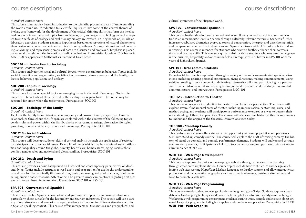#### *4 credits/5 contact hours*

This course is an inquiry-based introduction to the scientific process as a way of understanding the world around us. Introduction to Scientific Inquiry utilizes some of the central themes of biology as a framework for the development of the critical thinking skills that form the intellectual core of science. Selected topics from molecular, cell, and organismal biology as well as topics from the fields of ecology and evolutionary biology are covered. During hands-on, minds-on laboratory exercises, students generate hypotheses based on observations of natural phenomena, then design and conduct experiments to test those hypotheses. Appropriate methods of collecting, analyzing, and representing empirical data are discussed and employed. Emphasis is placed on rational thought and the formation of valid conclusions. Prerequisite: Grade of C or better in MAT 098 or appropriate Mathematics Placement Exam score

#### **SOC 101 - Introduction to Sociology**

#### *3 credits/3 contact hours*

This course analyzes the social and cultural forces, which govern human behavior. Topics include social interaction and organization, socialization processes, primary groups and the family, collective behavior, population, and ecology.

#### **SOC 200 - Topics in Sociology**

#### *3 credits/3 contact hours*

This course focuses on special topics or emerging issues in the field of sociology. Topics discussed will be outside of those carried in the catalog on a regular basis. The course may be repeated for credit when the topic varies. Prerequisite: SOC 101

#### **SOC 201 - Sociology of the Family**

#### *3 credits/3 contact hours*

Explores the family from historical, contemporary and cross-cultural perspectives. Familial relationships throughout the life span are explored within the context of the following topics: gender roles and power within the family, choice of partners, marriage, alternative life styles, parenting, domestic violence, divorce and remarriage. Prerequisite: SOC 101

#### **SOC 210 - Social Problems**

#### *3 credits/3 contact hours*

This course will develop students' skills of critical analysis through the application of sociological principles to current social issues. Examples of issues which may be examined are: stratification and inequality around the globe, poverty, health care, homelessness, aging, racial/ethnic conflict, gender roles and national and global conflict. Prerequisite: SOC 101

#### **SOC 232 - Death and Dying**

#### *3 credits/3 contact hours*

This course provides a basic background on historical and contemporary perspectives on death and dying. Topics include attitudes toward death and preparation for death; the understanding of and care for the terminally ill; funeral rites; burial, mourning and grief practices; grief counseling; suicide and euthanasia. Attention will be given to American practices regarding death, as well as cross-cultural interpretation. Prerequisite: SOC 101 or PSY 101

#### **SPA 101 - Conversational Spanish I**

#### *4 credits/4 contact hours*

This course teaches Spanish conversation and grammar with practice in business situations, particularly those suitable for the hospitality and tourism industries. The course will use a variety of oral situations and scenarios to equip students to function in different situations within a Spanish-speaking context. This course offers interpersonal transactions and geographical and

cultural awareness of the Hispanic world.

#### **SPA 102 - Conversational Spanish II**

#### *4 credits/4 contact hours*

This course further develops oral comprehension and fluency as well as written communication at an intermediate level in Spanish through culturally relevant materials. Students further increase vocabulary, dramatize everyday topics of conversation, interpret and describe materials, and compare and contrast Latin American and Spanish cultures with U. S. culture both oral and in writing. This course is intended for students who want to further enhance their conversational and reading skills. This course is quite useful for those students who may use the language in the business, hospitality and/or tourism fields. Prerequisite: C or better in SPA 101 or three years of high school Spanish.

#### **SPE 101 - Oral Communications**

#### *3 credits/3 contact hours*

Experiential learning is emphasized through a variety of life and career-oriented speaking situations, including relating personal experiences, giving directions, making announcements, using exhibits, reading from a manuscript, delivering informative talks and participating in a persuasive exercise. Also included are listening techniques and exercises, and the study of nonverbal communications, and interviewing. Prerequisite: ENG 101

#### **THE 123 - Introduction to Theater**

#### *3 credits/3 contact hours*

This course serves as an introduction to theater from the actor's perspective. The course will explore several fundamental areas of theater, including improvisation, pantomime, voice, and method acting, and students will participate in performance exercises as a way to deepen their understanding of theatrical practices. The course will also examine historical theater movements to understand the origins of the theatrical conventions used today.

#### **THE 180 - Stand-up Comedy**

#### *3 credits/3 contact hours*

This performance course offers students the opportunity to develop, practice and perform a 5-minute stand-up comedy routine. The course will explore the craft of writing comedy, the history of stand-up comedy, and comedy performance elements. Students will analyze and critique contemporary comics, participate in a field trip to a comedy show, and perform their routines to a live audience at YCCC.

#### **WEB 131 - Web Page Development**

#### *3 credits/3 contact hours*

This course explores the basics of developing a web site through all stages from planning through creation to implementation. Course topics include how to structure and design an effective web site: writing HyperText Markup Language to display content and allow interactivity; production and incorporation of graphics and multimedia elements; putting a site online; and ways to promote a web site.

#### **WEB 133 - Web Page Programming**

#### *3 credits/3 contact hours*

This course extends student knowledge of web site design using JavaScript. Students acquire a foundation in Java Scripting techniques and create useful scripts for customized and dynamic web pages. Working in a web-programming environment, students learn to write, compile and execute object-oriented JavaScript programs including both applets and stand-alone applications. Prerequisite: WEB 131 **WEB 140 - Web Graphics**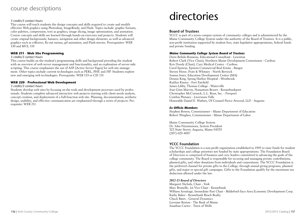#### *3 credits/3 contact hours*

This course will teach students the design concepts and skills required to create and modify effective Web graphics using Photoshop, ImageReady, and Flash. Topics include: graphic formats, color palettes, compression, text as graphics, image slicing, image optimization, and animation. Course concepts and skills are learned through hands-on exercises and projects. Students will create original backgrounds, banners, navigation and other design elements, as well as advanced graphics such as rollovers, fly-out menus, gif animation, and Flash movies. Prerequisites: WEB 130 and MUL 110

#### **WEB 211 - Web Site Programming**

#### *3 credits/3 contact hours*

This course builds on the student's programming skills and background providing the student with an overview of web server management and functionality, and an exploration of server-side scripting. This course emphasizes the use of ASP (Active Server Pages) for web site management. Other topics include current technologies such as PERL, PHP, and JSP. Students explore new and emerging web technologies. Prerequisite: WEB 133 or CIS 131

#### **WEB 220 - Professional Web Development**

#### *3 credits/3 contact hours*

Students develop web sites by focusing on the tools and development processes used by professionals. Students complete advanced interactive web projects starting with client needs analysis, concept creation, and deployment of a full-function web site. Planning, documentation, aesthetic design, usability, and effective communication are emphasized through a series of projects. Prerequisite: WEB 211

# directories

#### **Board of Trustees**

YCCC is part of a seven-campus system of community colleges and is administered by the Maine Community College System under the authority of the Board of Trustees. It is a public, non-profit institution supported by student fees, state legislative appropriations, federal funds and private funding.

#### *Maine Community College System Board of Trustees*

Doris Belisle-Bonneau, Educational Consultant - Lewiston Robert Clark (Vice Chair), Northern Maine Development Commission - Caribou Kris Doody (Chair), Cary Medical Center - Caribou Carol Epstein, Epstein Commercial Real Estate - Bangor Steven Howe, Pratt & Whitney - North Berwick Joanna Jones, Education Development Center (MA) Dennis King, Spring Harbor Hospital - Westbrook Kaitlyn Kinsey - Fort Fairfield James Libby, Thomas College - Waterville Jean Ginn Marvin, Nonantum Resort - Kennebunkport Christopher McCormick, L.L. Bean, Inc. - Freeport Cynthia Phinney - Livermore Falls Honorable Daniel E. Wathen, Of Counsel Pierce Atwood, LLP - Augusta

#### *Ex-Officio Members*

Stephen Bowen, Commissioner - Maine Department of Education Robert Winglass, Commissioner - Maine Department of Labor

Maine Community College System Dr. John Fitzsimmons, System President 323 State Street, Augusta, Maine 04333 (207) 629-4007

#### **YCCC Foundation**

The YCCC Foundation is a non-profit organization established in 1995 to raise funds for student scholarships and college priorities not funded by state appropriations. The Foundation Board of Directors is comprised of business and civic leaders committed to advancing the goals of the college community. The Board is responsible for securing and managing private contributions, planned gifts, and other donations from individuals and corporations. The YCCC Foundation is the preferred channel for private gifts to the College, through annual giving programs, planned gifts, and major or special gift campaigns. Gifts to the Foundation qualify for the maximum tax deduction allowed under the law.

#### *2012-13 Board of Directors*

Margaret Nichols, Chair - York Marc Brunelle, 1st Vice Chair - Kennebunk William Armitage, Immediate Past Chair - Biddeford-Saco Area Economic Development Corp. Kathy Baker - Kennebunk Beach Realty Chuck Bates - General Dynamics Lorraine Boston - The Bank of Maine Jonathan Carter - Town of Wells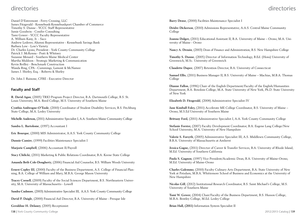### directories

Daniel D'Entremont - Ferry Crossing, LLC James Fitzgerald - Kennebunk-Kennebunkport Chamber of Commerce Timothy S. Dunne - YCCC Staff Representative Jamie Goodwin - Conifer Consulting Tami Gower - YCCC Faculty Representative A. William Kany, Jr. - Saco Andrew Lederer, Alumni Representative - Kennebunk Savings Bank Barbara Low - Low's Variety Dr. Charles Lyons, President - York County Community College Patrick J. McKenna - Pratt & Whitney Suzanne Menard - Southern Maine Medical Center Martha Muldoon - Strategic Marketing & Communication Kevin Reilley - Benchmark Construction Wanda Ring, CPA - Cummings, Lamont & McNamee James J. Shirley, Esq. - Roberts & Shirley

Dr. John J. Rainone, CFRE - Executive Director

#### **Faculty and Staff**

**R. David Agan**, (2005) TRIO Program Project Director, B.A. Dartmouth College, B.S. St. Louis University, M.A. Reed College, M.S. University of Southern Maine

**Cynthia Ambrogne-O'Toole**, (2010) Coordinator of Student Disability Services, B.S. Fitchburg State College, M.A. Lesley University

**Michelle Anderson,** (2011) Administrative Specialist I, A.A. Southern Maine Community College

**Sandra L. Bartolome**, (1997) Accountant I

**Eric Bourque**, (2000) MIS Administrator, A.A.S. York County Community College

**Dannie Camire**, (1999) Facilities Maintenance Specialist I

**Marjorie Campbell**, (2006) Accountant II/Payroll

**Stacy Chilicki**, (2011) Marketing & Public Relations Coordinator, B.A. Keene State College

**Amanda Beth Cole-Dougherty**, (2006) Financial Aid Counselor, B.S. William Woods University

**Ernest Copley III**, (2000) Faculty of the Business Department, A.S. College of Financial Planning, B.A. College of William and Mary, M.B.A. George Mason University

**Tracey Cornell**, (2009) Faculty of the Social Sciences Department, B.S. Northeastern University, M.A. University of Massachusetts - Lowell

**Sandra Cudmore**, (2003) Administrative Specialist III, A.A.S. York County Community College

**David P. Daigle**, (2000) Financial Aid Director, B.A. University of Maine - Presque Isle

**Geraldine H. Delaney**, (2005) Receptionist

138 | York County Community College 2012/2013 Catalog | 139

## directories

**Barry Dense**, (2000) Facilities Maintenance Specialist I

**Deidre Dickerson**, (2010) Admissions Representative, A.A.S. Central Maine Community College

**Joanna Dolgov,** (2011) Educational Assistant II, B.A. University of Maine – Orono, M.A. University of Maine - Orono

**Nancy A. Drouin**, (2003) Dean of Finance and Administration, B.S. New Hampshire College

**Timothy S. Dunne**, (2005) Director of Information Technology, B.Ed. (Hons) University of Greenwich, M.Sc. University of Greenwich

**Claudette Dupee**, (2007) Retention Director, B.A. University of Connecticut

**Samuel Ellis**, (2011) Business Manager II, B.S. University of Maine – Machias, M.B.A. Thomas College

**Dianne Fallon**, (1996) Chair of the English Department/Faculty of the English/Humanities Department, B.A. Bowdoin College, M.A. State University of New York, Ph.D. State University of New York

**Elizabeth D. Fitzgerald**, (2008) Administrative Specialist IV

**Jane Kimball Foley,** (2011) Accelerate ME College Coordinator, B.S. University of Maine – Orono, M.S.Ed University of Southern Maine

**Brittany Ford,** (2011) Administrative Specialist I, A.A. York County Community College

**Stefanie Forster,** (2007) Faculty Development Coordinator, B.A. Eugene Lang College/New School University, M.A. University of New Hampshire

**Valerie S. Forsyth**, (2005) Administrative Specialist III, A.S. Middlesex Community College, B.B.A. University of Massachusetts at Amherst

**Jessica Gagne,** (2011) Director of Career & Transfer Services, B.A. University of Rhode Island, M.Ed. University of Southern California

**Paula S. Gagnon**, (1997) Vice President/Academic Dean, B.A. University of Maine-Orono, M.Ed. University of Maine-Orono

**Charles Galemmo**, (2010) Faculty Culinary Arts Department, B.A. State University of New York at Potsdam, M.B.A. Whittemore School of Business and Economics at the University of New Hampshire

**Nicolas Gill**, (2012) Institutional Research Coordinator, B.S. Saint Michael's College, M.S. University of Southern Maine

**Tami W. Gower**, (2004) Chair/Faculty of the Business Department, B.S. Husson College, M.B.A. Bentley College, M.Ed. Lesley College

**Brian Hall, (2011)** Information System Specialist II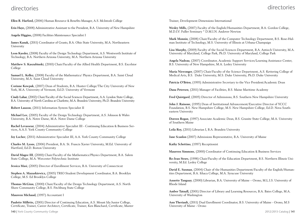### directories

### directories

**Ellen R. Harford,** (2006) Human Resource & Benefits Manager, A.S. McIntosh College

**Erin Haye,** (2008) Administrative Assistant to the President, B.A. University of New Hampshire

**Angela Higgins,** (2008) Facilities Maintenance Specialist I

**James Kanak,** (2011) Coordinator of Grants, B.A. Ohio State University, M.A. Northeastern University

**Leon Kassler,** (2008) Faculty of the Design Technology Department, A.S. Wentworth Institute of Technology, B.A. Northern Arizona University, M.A. Northern Arizona University

**Matthew S. Kaszubinski**, (2010) Chair/Faculty of the Allied Health Department, B.S. Excelsior College

**Samuel L. Kelley**, (2008) Faculty of the Mathematics/ Physics Department, B.A. Saint Cloud University, M.A. Saint Cloud University

**Corinne Kowpak**, (2007) Dean of Students, B.A. Hunter College/The City University of New York, M.A. University of Vermont, Ed.D. University of Vermont

**Cindy Lahar**, (2002) Chair/Faculty of the Social Sciences Department, A.A. Lyndon State College, B.A. University of North Carolina at Charlotte, M.A. Brandeis University, Ph.D. Brandeis University

**Robert Lauzon**, (2011) Information System Specialist II

**Michael Lee**, (2005) Faculty of the Design Technology Department, A.S. Johnson & Wales University, B.A. Notre Dame, M.A. Notre Dame College

**Rachel Levasseur**, (2004) Administrative Specialist III - Continuing Education & Business Services, A.A.S. York County Community College

**Joy Locher**, (2011) Administrative Specialist III, A.A. York County Community College

**Charles M. Lyons**, (2006) President, B.A. St. Francis Xavier University, M.Ed. University of Hartford, Ed.D. Boston University

**David Magee III**, (2000) Chair/Faculty of the Mathematics/Physics Department, B.A. Salem State College, M.A. Worcester Polytechnic Institute

**Jessica Masi**, (2005) Director of Enrollment Services, B.A. University of Connecticut

**Stephen A. Mazurkiewicz,** (2005) TRIO Student Development Coordinator, B.A. Brooklyn College, M.S. Ed Brooklyn College

**Thomas McGinn**, (2000) Chair/Faculty of the Design Technology Department, A.S. North Shore Community College, B.S. Fitchburg State College

**Maureen Michaud,** (1997) Accountant I

**Paulette Millette,** (2001) Director of Continuing Education, A.S. Mount Ida Junior College, Certificate, Trainer, Career Architect, Certificate, Trainer, Ken Blanchard, Certificate, Master Trainer, Development Dimensions International

**Wesley Mills,** (2007) Faculty of the English/Humanities Department, B.A. Gordon College, M.D.I.V. Fuller Seminary \* D.M.I.N. Andover Newton

**Mark Monnin**, (2008) Chair/Faculty of the Computer Technology Department, B.S. Rose-Hulman Institute of Technology, M.S. University of Illinois at Urbana-Champaign

**Lisa Murphy,** (2009) Faculty of the Social Sciences Department, B.A. Antioch University, M.A. University of Maryland, College Park, Ph.D. University of Maryland, College Park

**Angela Nadeau**, (2007) Coordinator, Academic Support Services/Learning Assistance Center, B.S. University of New Hampshire, M.A. Lesley University

**Maria Niswonger**, (2007) Chair/Faculty of the Science Department, A.S. Kettering College of Medical Arts, B.S. Duke University, M.S. Duke University, Ph.D. Duke University

**Patricia O'Brien**, (1995) Administrative Secretary to the Vice President/Academic Dean

**Dana Petersen**, (2011) Manager of Facilities, B.S. Maine Maritime Academy

**Fred Quistgard**, (2005) Director of Admissions, B.S. Southern New Hampshire University

**John J. Rainone**, (1995) Dean of Institutional Advancement/Executive Director of YCCC Foundation, B.S. New Hampshire College, M.S. New Hampshire College, Ed.D. Nova Southeastern University

**Doreen Rogan**, (1997) Associate Academic Dean, B.S. Granite State College, M.A. University of Southern Maine

**Leila Roy,** (2011) Librarian I, B.A. Brandeis University

**Jane Scanlon** (2007) Admissions Representative, B.A. University of Maine

**Kathy Schettino**, (1997) Receptionist

**Maureen Simmons**, (2000) Coordinator of Continuing Education & Business Services

**Ro-Jean Straw,** (1998) Chair/Faculty of the Education Department, B.S. Northern Illinois University, M.Ed. Lesley College

**David E. Susman**, (2004) Chair of the Humanities Department/Faculty of the English/Humanities Department, B.A. Ithaca College, M.A. Syracuse University

**Annette Tanguay**, (2000) Librarian, B.A. University of Maine – Orono, M.L.I.S. University of Rhode Island

**Amber Tatnall,** (2001) Director of Library and Learning Resources, B.A. Bates College, M.A. University of Washington

**Ann Theriault,** (2011) Dual Enrollment Coordinator, B.S. University of Maine - Orono, M.S University of Maine - Orono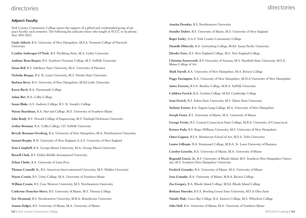#### directories

## directories

#### **Adjunct Faculty**

York County Community College enjoys the support of a gifted and credentialed group of adjunct faculty each semester. The following list indicates those who taught at YCCC in Academic Year 2011-2012.

**Linda Aldrich**, B.A. University of New Hampshire, M.F.A. Vermont College of Norwich University

**Cynthia Ambrogne-O'Toole**, B.S. Fitchburg State, M.A. Lesley University

**Anthony Bean Burpee**, B.S. Southern Vermont College, M.S. Suffolk University

**Susan Bell**, B.S. Salisbury State University, M.A. University of Houston

**Nicholas Bergan**, B.S. St. Louis University, M.S. Florida State University

**Barbara Berry**, B.A. University of New Hampshire, M.Ed Leslie University

**Karen Birch**, B.A. Dartmouth College

**Adam Birt**, B.A. Colby College

**Susan Blake**, A.S. Andover College, B.S. St. Joseph's College

**Wayne Boardman**, B.A. Harvard College, M.S. University of Southern Maine

**John Brady**, B.S. Newark College of Engineering, M.S. Fairleigh Dickinson University

**Arthur Brennan**, B.A. Colby College, J.D. Suffolk University

**Beverly Brennan-Overberg**, B.A. University of New Hampshire, M.A. Northeastern University

**Samuel Brophy**, R.N. University of New England, A.A.S. University of New England

**Sean Campbell**, B.A. George Mason University, M.A. George Mason University

**Russell Clark**, B.S. Embry-Riddle Aeronautical University

**Zelma Clarke**, B.A. University of Lima Peru

**Thomas Connolly Jr.**, B.S. American Intercontinental University, M.S. Walden University **Wayne Cronin**, B.S. Unity College, M.A. University of Southern Maine

**William Cronin**, B.S. Case Western University, M.S. Northeastern University

**Catherine Demchur-Merry**, B.S. University of Maine, M.S. Thomas College

**Eric Desmond**, B.S. Northeastern University, M.B.A. Benedictine University

**Joanna Dolgov**, B.S. University of Maine, M.A. University of Maine

142 | York County Community College 2012/2013 Catalog | 143

**Anarita Droukas**, B.S. Northeastern University **Jennifer Dufort**, B.S. University of Maine, M.S. University of New England **Roger Easley**, A.A.S. York County Community College **Danielle Ebbrecht**, B.A. Gettysburg College, M.Ed. Azusa Pacific University **Dierdre Estes**, B.S. New England College, M.S. New England College **Christian Farnsworth**, B.S University of Arizona, M.S. Humbolt State University, M.F.A. Maine College of Art **Mark Farrell**, B.A. University of New Hampshire, M.A. Riviera College **Peggy Farrington**, B.A. University of New Hampshire, M.H.A University of New Hampshire **James Ferreira**, B.S.A. Bentley College, M.B.A. Suffolk University **Cathleen Ferrick**, B.A. Gordon College, M.Ed. Cambridge College **Sean Ferrick**, B.S. Salem State University, M.S. Salem State University **Stefanie Forster**, B.A. Eugene Lang College, M.A. University of New Hampshire **Joseph Foster**, B.S. University of Maine, M.A. University of Maine **George Fowler**, B.S. Central Connecticut State College, M.B.A. University of Connecticut **Kristen Fuda**, B.S. Roger Williams University, M.S. University of New Hampshire **Omer Gagnon**, B.F.A. Montserrat School of Art, M.F.A. Tufts University **Louise Gillespie**, B.A. Emmanuel College, M.B.A. St. Louis University of Business **Carolyn Gosselin**, B.A. University of Maine, M.A. University of Maine **Reginald Gracie, Jr.**, B.S. University of Rhode Island, M.S. Southern New Hampshire University, M.S. Southern New Hampshire University **Fredrick Graunke**, B.A. University of Maine, M.A. University of Maine **Jean Graunke**, B.A. University of Maine, M.B.A. Riviera College **Zoe Gregory**, B.A. Rhode Island College, M.Ed. Rhode Island College **Bethany Haeseler**, B.F.A. Bowling Green State University, M.F.A Ohio State **Natalie Hale**, Casco Bay College, B.A. Eastern College, M.S. Wheelock College

**John Hall**, B.A. University of Maine, M.A. University of Southern Maine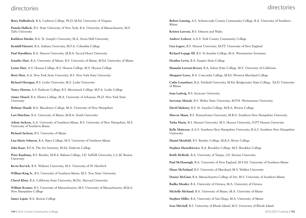#### directories

#### directories

**Betty Hallenbeck**, B.A. Carleton College, Ph.D, M.Ed. University of Virginia

**Pamela Hallock**, B.S. State University of New York, B.A. University of Massachusetts, M.S. Tufts University

**Kathleen Harder**, B.A. St. Joseph's University, M.A. Seton Hall University

**Kendall Harnett**, B.A. Indiana University, M.F.A. Columbia College

**Paul Haroldsen**, B.A. Husson University, M.B.A. Sacred Heart University

**Jennifer Hart**, B.A. University of Maine, B.S. University of Maine, M.Ed. University of Maine

**Lynne Hart**, A.S. Husson College, B.S. Husson College, M.S. Husson College

**Brett Horr**, A.A. New York State University, B.S. New York State University

**Richard Horrigan**, B.S. Leslie University, M.S. Leslie University

**Nancy Horton**, A.S. Endicott College, B.S. Merrimack College, M.F.A. Leslie College

**Aimee Huard**, B.A. Elmira College, M.A. University of Arkansas, Ph.D. New York State University

**Bethany Hundt**, B.A. Macalester College, M.A. University of New Hampshire

**Lori Hutchins**, B.A. University of Maine, M.B.A. South University

**Arlene Jackson**, A.A. University of Southern Maine, B.S. University of New Hampshire, M.S. University of Southern Maine

**Richard Jackson**, B.S. University of Maine

**Lisa-Marie Johnson**, B.A. Bates College, M.S. University of Southern Maine

**John Kane**, B.F.A. The Art Institute, M.Ed. Endicott College

**Peter Kaufman**, B.S. Bentley, M.B.A. Babson College, J.D. Suffolk University, L.L.M. Boston University

**Kevin Kervick**, B.A. Widener University, M.S. University of W. Hartford

**William King Jr.**, B.S. University of Southern Maine, M.S. Troy State University

**Cheryl Klein**, B.A. California State University, M.Div. Harvard University

**William Kramer**, B.S. University of Massachusetts, M.S. University of Massachusetts, M.B.A. New Hampshire College

**James Lajoie**, B.A. Boston College

**Robert Lansing**, A.S. Schenectady County Community College, B.A. University of Southern Maine

**Kristen Lawson**, B.S. Johnson and Wales

**Andrew Lederer**, A.A.S. York County Community College

**Lisa Legere**, B.S. Husson University, M.P.T. University of New England

**Richard Lepage III**, B.S. St Anselm College, M.A. Westminster Seminary

**Heather Lewis**, B.A. Empire State College

**Manuela Lorenzi-Keyser**, B.A. Salem State College, M.S. University of California

**Margaret Losee**, B.A. Concordia College, M.Ed. Western Maryland College

**Cathy Lounsbury**, B.A. Fairfield University, M.Ed. Bridgewater State College, Ed.D. University of Maine

**Joan Ludwig**, B.S. Syracuse University

**Sarvenaz Maisak**, B.S. Weber State University, M.P.H. Westminster University

**David Maloney**, B.S. St. Anselm College, M.B.A. Riviera College

**Marcus Mann**, B.S. Pennsylvania University, M.B.A. Southern New Hampshire University

**Tasha Marin**, B.S. Husson University, M.S. Husson University, D.P.T Husson University

**Kelly Matteson**, A.A.S. Southern New Hampshire University, B.A.S. Southern New Hampshire University

**Daniel Maxfield**, B.S. Bentley College, M.B.A. Rivier College

**Stephen Mazurkiewicz**, B.A. Brooklyn College, M.S. Brooklyn College

**Keith McBride**, B.A. University of Tampa, J.D. Stetson University

**Paul McDonough**, B.A. University of New England, M.S.Ed. University of Southern Maine

**Diane McFarland**, B.S. University of Maryland, M.S. Walden University

**Donise McGinn**, B.A. Massachusetts College of Art, M.S. University of Southern Maine

**Radka Meader**, B.A. University of Ostrava, M.A. University of Ostrava

**Michelle Michaud**, B.A. University of Maine, M.A. University of Maine

**Stephen Miller**, B.A. University of San Diego, M.A. University of Maine

**Jean Mitchell**, B.S. University of Rhode Island, M.S. University of Rhode Island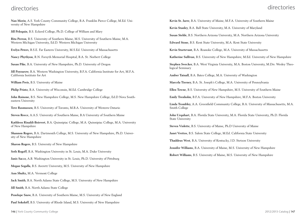#### directories

**Nan Morin**, A.S. York County Community College, B.A. Franklin Pierce College, M.Ed. University of New Hampshire

**Jill Peloquin**, B.S. Eckerd College, Ph.D. College of William and Mary

**Rita Perron**, B.S. University of Southern Maine, M.S. University of Southern Maine, M.A. Western Michigan University, Ed.D. Western Michigan University

**Evelyn Peters**, B.S.E. Far Eastern University, M.S.Ed. University of Massachusetts

**Nancy Phythyon**, R.N. Forsyth Memorial Hospital, B.A. St. Norbert College

**Susan Pike**, B.A. University of New Hampshire, Ph.D. University of Oregon

**Jill Poyourow**, B.A. Western Washington University, B.F.A. California Institute for Art, M.F.A. California Institute for Art

**William Preis**, B.S. University of Maine

**Philip Printz**, B.A. University of Wisconsin, M.Ed. Cambridge College

**John Rainone**, B.S. New Hampshire College, M.S. New Hampshire College, Ed.D Nova Southeastern University

**Tove Rasmussen**, B.S. University of Toronto, M.B.A. University of Western Ontario

**Steven Reece**, A.A.S. University of Southern Maine, B.A University of Southern Maine

**Kathleen Rinaldi-Boisvert**, B.A. Quinnipiac College, M.A. Quinnipiac College, M.A. University of New Hampshire

**Shannon Rogers**, B.A. Dartmouth College, M.S. University of New Hampshire, Ph.D. University of New Hampshire

**Sharon Rogers**, B.S. University of New Hampshire

**Seth Rogoff**, B.A. Washington University in St. Louis, M.A. Duke University

**Janis Sacco**, A.B. Washington University in St. Louis, Ph.D. University of Pittsburg

**Megan Segalla**, B.S. Averett University, M.S. University of New Hampshire

**Ann Shultz,** M.A. Vermont College

**Jack Smith**, B.A. North Adams State College, M.S. University of New Hampshire

**Jill Smith**, B.A. North Adams State College

**Penelope Snow**, B.A. University of Southern Maine, M.S. University of New England

**Paul Sokoloff**, B.S. University of Rhode Island, M.S. University of New Hampshire

**Kevin St. Jarre**, B.A. University of Maine, M.F.A. University of Southern Maine

**Kevin Stanley**, B.A. Ball State University, M.A. University of Maryland

**Susan Stehle**, B.S. Northern Arizona University, M.A. Northern Arizona University

**Edward Stone**, B.S. Kent State University, M.A. Kent State University

**Kevin Sturtevant**, B.A. Roanoke College, M.A. University of Massachusetts

**Katherine Sullivan**, B.S. University of New Hampshire, M.Ed. University of New Hampshire

**Stephen Swecker**, B.A. West Virginia University, M.A. Boston University, M.Div. Wesley Theological Seminary

**Amber Tatnall**, B.A. Bates College, M.A. University of Washington

**Marcela Tierney**, B.A. St. Joseph's College, M.A. University of Pennsylvania

**Ellen Towne**, B.S. University of New Hampshire, M.S. University of Southern Maine

**Emily Trenholm**, B.F.A. University of New Hampshire, M.F.A. Boston University

**Linda Trombley**, A.A. Greenfield Community College, B.A. University of Massachusetts, M.A. Smith College

**John Urquhart**, B.A. Florida State University, M.A. Florida State University, Ph.D. Florida State University

**Steven Violette**, B.S. University of Maine, Ph.D University of Maine

**Janet Vrettos**, B.S. Salem State College, M.Ed. California State University

**Thaddeus West**, B.A. University of Kentucky, J.D. Stetson University

**Jennifer Williams**, B.A. University of Maine, M.S. University of New Hampshire

**Robert Williams**, B.S. University of Maine, M.S. University of New Hampshire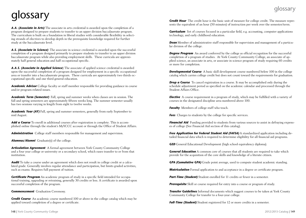*A.A. (Associate in Arts)* The associate in arts credential is awarded upon the completion of a program designed to prepare students to transfer to an upper division baccalaureate program. The curriculum is built on a foundation in liberal studies with considerable flexibility in selecting strands of electives to develop depth in the prerequisite knowledge required for further study at the baccalaureate level.

*A.S. (Associate in Science)* The associate in science credential is awarded upon the successful completion of a program designed primarily to prepare students to transfer to an upper division baccalaureate program while also providing employment skills. These curricula are approximately half general education and half occupational specific.

*A.A.S. (Associate in Applied Science*) The associate of applied science credential is awarded upon the successful completion of a program designed for employment in a specific occupational area or transfer into a baccalaureate program. These curricula are approximately two thirds occupational specific and one third general education.

**Academic Advisor** College faculty or staff member responsible for providing guidance in course and/or program-related issues.

*Academic Term (Semester)* Fall, spring and summer weeks when classes are in session. The fall and spring semesters are approximately fifteen weeks long. The summer semester usually has two sessions varying in length from eight to twelve weeks.

*Academic Year (AY)* Fall, spring and summer semesters, generally from early September to mid August.

*Add a Course* To enroll in additional courses after registration is complete. This is accomplished online through the student's MyYCCC account or through the Office of Student Affairs.

*Administration* College staff members responsible for management and supervision.

*Alumnus/Alumni* Graduate(s) of the college.

*Articulation Agreement* A formal agreement between York County Community College and a four year college or university or a secondary school, which eases transfer to or from that institution.

*Audit* To take a course under an agreement which does not result in college credit or a calculated grade. Generally involves regular attendance and participation, but limits graded activities, such as exams. Requires full payment of tuition.

*Certificate Program* An academic program of study in a specific field intended for occupational training, upgrading or retraining, generally 30 credits or less. A certificate is awarded upon successful completion of the program.

*Commencement* Graduation Ceremony.

**Credit Course** An academic course numbered 100 or above in the college catalog which may be applied toward completion of a degree or certificate.

GLOSSAFY<br><sup>Credit Hour</sup> The credit hour is the basic unit of measure for college credit. The measure represents the equivalent of an hour (50 minutes) of instruction per week over the semester/term.

> *Curriculum* Set of courses focused in a particular field, e.g. accounting, computer applications technology, and early childhood education.

> **Dean** Member of administrative staff responsible for supervision and management of a particular division of the college.

**Degree Program** An award conferred by the college as official recognition for the successful completion of a program of studies. At York County Community College, an associate of applied science, an associate in arts, or associate in science program of study requiring 60 credits or more for completion.

**Developmental Course** A basic skill development course numbered below 100 in the college catalog which carries college credit but does not count toward the requirements for graduation.

*Drop a Course* To cancel registration in a course. It may be accomplished only during the schedule adjustment period as specified on the academic calendar and processed through the Student Affairs Office.

**Elective** A course requirement in a program of study, which may be fulfilled with a variety of courses in the designated discipline area numbered above 100.

**Faculty** Members of college staff who teach.

**Fees** Charges to students by the college for specific services.

**Financial Aid** Funding provided to students from various sources to assist in defraying expenses of college (See Financial Aid section of this catalog).

*Free Application for Federal Student Aid (FAFSA)* A standardized application including detailed financial data which is required to determine eligibility for all financial aid programs.

**GED** General Educational Development (high school equivalency diploma).

**General Education** A common core of courses that all students are required to take which provide for the acquisition of the core skills and knowledge of a literate citizen.

*GPA (Cumulative GPA)* Grade point average, used to compute student academic standing.

*Matriculation* Formal application to and acceptance in a degree or certificate program.

*Part-Time (Student)* Student enrolled for 11 credits or fewer in a semester.

**Prerequisite** Skill or course required for entry into a course or program of study.

*Transfer Guidelines* Informal documents which suggest courses to be taken at York County Community College for transfer to a four-year college.

*Full-Time (Student)* Student registered for 12 or more credits in a semester.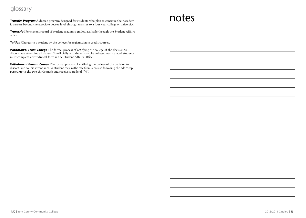## glossary

*Transfer Program* A degree program designed for students who plan to continue their academic careers beyond the associate degree level through transfer to a four-year college or university.

*Transcript* Permanent record of student academic grades, available through the Student Affairs office.

**Tuition** Charges to a student by the college for registration in credit courses.

*Withdrawal From College* The formal process of notifying the college of the decision to discontinue attending all classes. To officially withdraw from the college, matriculated students must complete a withdrawal form in the Student Affairs Office.

*Withdrawal From a Course* The formal process of notifying the college of the decision to discontinue course attendance. A student may withdraw from a course following the add/drop period up to the two thirds mark and receive a grade of "W".

# notes